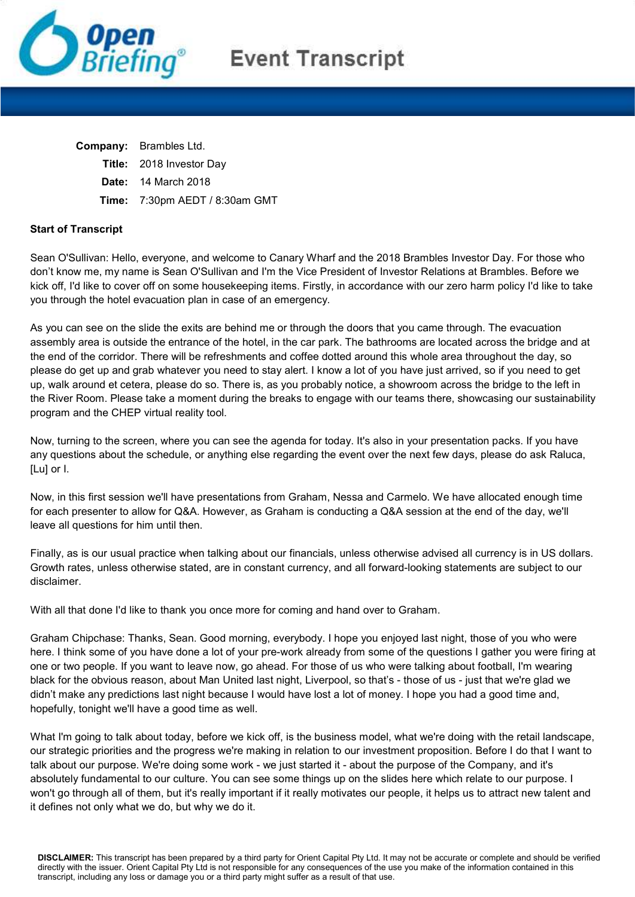

# **Event Transcript**

| Company: | Brambles Ltd. |  |
|----------|---------------|--|
|          |               |  |

- Title: 2018 Investor Day
- Date: 14 March 2018
- Time: 7:30pm AEDT / 8:30am GMT

# Start of Transcript

Sean O'Sullivan: Hello, everyone, and welcome to Canary Wharf and the 2018 Brambles Investor Day. For those who don't know me, my name is Sean O'Sullivan and I'm the Vice President of Investor Relations at Brambles. Before we kick off, I'd like to cover off on some housekeeping items. Firstly, in accordance with our zero harm policy I'd like to take you through the hotel evacuation plan in case of an emergency.

As you can see on the slide the exits are behind me or through the doors that you came through. The evacuation assembly area is outside the entrance of the hotel, in the car park. The bathrooms are located across the bridge and at the end of the corridor. There will be refreshments and coffee dotted around this whole area throughout the day, so please do get up and grab whatever you need to stay alert. I know a lot of you have just arrived, so if you need to get up, walk around et cetera, please do so. There is, as you probably notice, a showroom across the bridge to the left in the River Room. Please take a moment during the breaks to engage with our teams there, showcasing our sustainability program and the CHEP virtual reality tool.

Now, turning to the screen, where you can see the agenda for today. It's also in your presentation packs. If you have any questions about the schedule, or anything else regarding the event over the next few days, please do ask Raluca, [Lu] or I.

Now, in this first session we'll have presentations from Graham, Nessa and Carmelo. We have allocated enough time for each presenter to allow for Q&A. However, as Graham is conducting a Q&A session at the end of the day, we'll leave all questions for him until then.

Finally, as is our usual practice when talking about our financials, unless otherwise advised all currency is in US dollars. Growth rates, unless otherwise stated, are in constant currency, and all forward-looking statements are subject to our disclaimer.

With all that done I'd like to thank you once more for coming and hand over to Graham.

Graham Chipchase: Thanks, Sean. Good morning, everybody. I hope you enjoyed last night, those of you who were here. I think some of you have done a lot of your pre-work already from some of the questions I gather you were firing at one or two people. If you want to leave now, go ahead. For those of us who were talking about football, I'm wearing black for the obvious reason, about Man United last night, Liverpool, so that's - those of us - just that we're glad we didn't make any predictions last night because I would have lost a lot of money. I hope you had a good time and, hopefully, tonight we'll have a good time as well.

What I'm going to talk about today, before we kick off, is the business model, what we're doing with the retail landscape, our strategic priorities and the progress we're making in relation to our investment proposition. Before I do that I want to talk about our purpose. We're doing some work - we just started it - about the purpose of the Company, and it's absolutely fundamental to our culture. You can see some things up on the slides here which relate to our purpose. I won't go through all of them, but it's really important if it really motivates our people, it helps us to attract new talent and it defines not only what we do, but why we do it.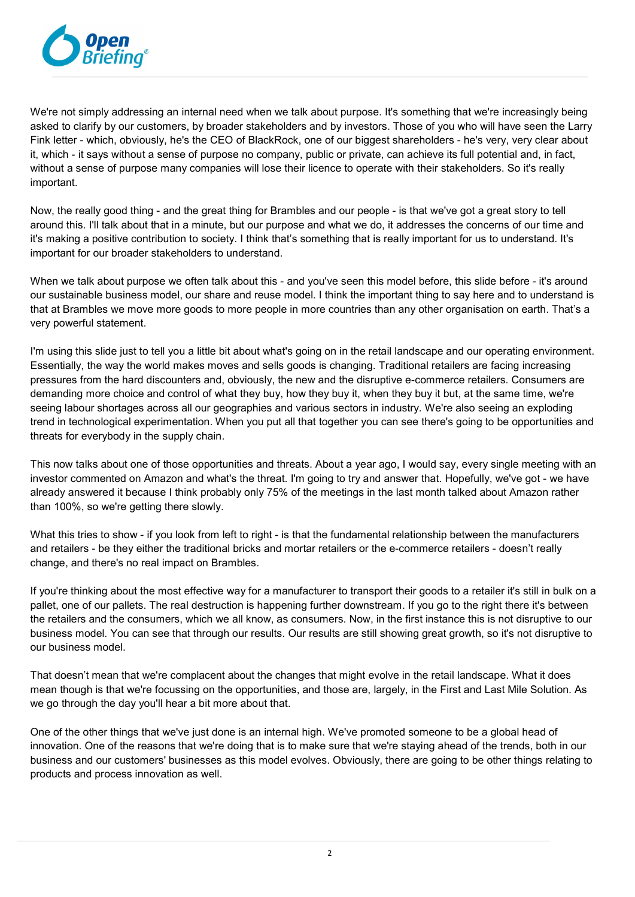

We're not simply addressing an internal need when we talk about purpose. It's something that we're increasingly being asked to clarify by our customers, by broader stakeholders and by investors. Those of you who will have seen the Larry Fink letter - which, obviously, he's the CEO of BlackRock, one of our biggest shareholders - he's very, very clear about it, which - it says without a sense of purpose no company, public or private, can achieve its full potential and, in fact, without a sense of purpose many companies will lose their licence to operate with their stakeholders. So it's really important.

Now, the really good thing - and the great thing for Brambles and our people - is that we've got a great story to tell around this. I'll talk about that in a minute, but our purpose and what we do, it addresses the concerns of our time and it's making a positive contribution to society. I think that's something that is really important for us to understand. It's important for our broader stakeholders to understand.

When we talk about purpose we often talk about this - and you've seen this model before, this slide before - it's around our sustainable business model, our share and reuse model. I think the important thing to say here and to understand is that at Brambles we move more goods to more people in more countries than any other organisation on earth. That's a very powerful statement.

I'm using this slide just to tell you a little bit about what's going on in the retail landscape and our operating environment. Essentially, the way the world makes moves and sells goods is changing. Traditional retailers are facing increasing pressures from the hard discounters and, obviously, the new and the disruptive e-commerce retailers. Consumers are demanding more choice and control of what they buy, how they buy it, when they buy it but, at the same time, we're seeing labour shortages across all our geographies and various sectors in industry. We're also seeing an exploding trend in technological experimentation. When you put all that together you can see there's going to be opportunities and threats for everybody in the supply chain.

This now talks about one of those opportunities and threats. About a year ago, I would say, every single meeting with an investor commented on Amazon and what's the threat. I'm going to try and answer that. Hopefully, we've got - we have already answered it because I think probably only 75% of the meetings in the last month talked about Amazon rather than 100%, so we're getting there slowly.

What this tries to show - if you look from left to right - is that the fundamental relationship between the manufacturers and retailers - be they either the traditional bricks and mortar retailers or the e-commerce retailers - doesn't really change, and there's no real impact on Brambles.

If you're thinking about the most effective way for a manufacturer to transport their goods to a retailer it's still in bulk on a pallet, one of our pallets. The real destruction is happening further downstream. If you go to the right there it's between the retailers and the consumers, which we all know, as consumers. Now, in the first instance this is not disruptive to our business model. You can see that through our results. Our results are still showing great growth, so it's not disruptive to our business model.

That doesn't mean that we're complacent about the changes that might evolve in the retail landscape. What it does mean though is that we're focussing on the opportunities, and those are, largely, in the First and Last Mile Solution. As we go through the day you'll hear a bit more about that.

One of the other things that we've just done is an internal high. We've promoted someone to be a global head of innovation. One of the reasons that we're doing that is to make sure that we're staying ahead of the trends, both in our business and our customers' businesses as this model evolves. Obviously, there are going to be other things relating to products and process innovation as well.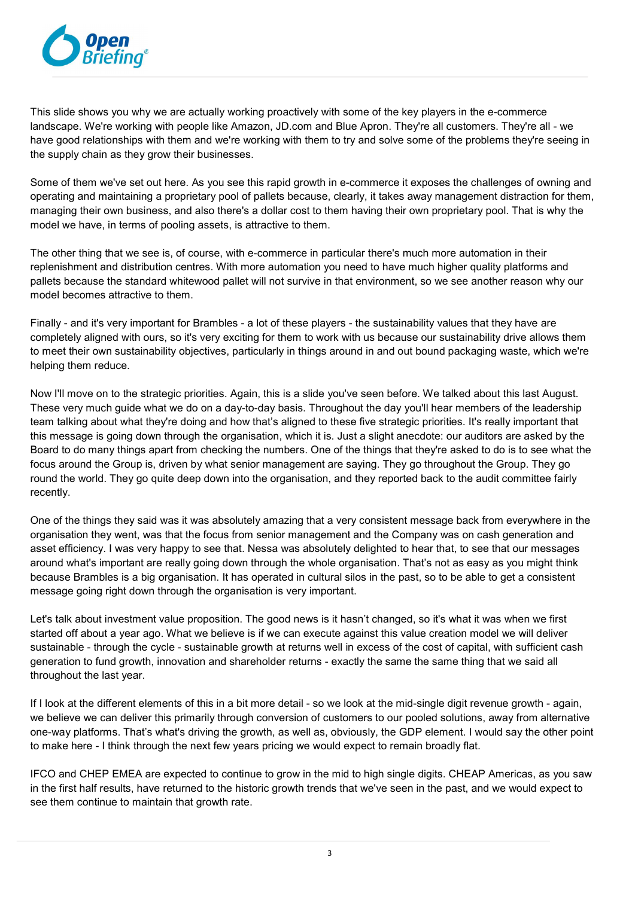

This slide shows you why we are actually working proactively with some of the key players in the e-commerce landscape. We're working with people like Amazon, JD.com and Blue Apron. They're all customers. They're all - we have good relationships with them and we're working with them to try and solve some of the problems they're seeing in the supply chain as they grow their businesses.

Some of them we've set out here. As you see this rapid growth in e-commerce it exposes the challenges of owning and operating and maintaining a proprietary pool of pallets because, clearly, it takes away management distraction for them, managing their own business, and also there's a dollar cost to them having their own proprietary pool. That is why the model we have, in terms of pooling assets, is attractive to them.

The other thing that we see is, of course, with e-commerce in particular there's much more automation in their replenishment and distribution centres. With more automation you need to have much higher quality platforms and pallets because the standard whitewood pallet will not survive in that environment, so we see another reason why our model becomes attractive to them.

Finally - and it's very important for Brambles - a lot of these players - the sustainability values that they have are completely aligned with ours, so it's very exciting for them to work with us because our sustainability drive allows them to meet their own sustainability objectives, particularly in things around in and out bound packaging waste, which we're helping them reduce.

Now I'll move on to the strategic priorities. Again, this is a slide you've seen before. We talked about this last August. These very much guide what we do on a day-to-day basis. Throughout the day you'll hear members of the leadership team talking about what they're doing and how that's aligned to these five strategic priorities. It's really important that this message is going down through the organisation, which it is. Just a slight anecdote: our auditors are asked by the Board to do many things apart from checking the numbers. One of the things that they're asked to do is to see what the focus around the Group is, driven by what senior management are saying. They go throughout the Group. They go round the world. They go quite deep down into the organisation, and they reported back to the audit committee fairly recently.

One of the things they said was it was absolutely amazing that a very consistent message back from everywhere in the organisation they went, was that the focus from senior management and the Company was on cash generation and asset efficiency. I was very happy to see that. Nessa was absolutely delighted to hear that, to see that our messages around what's important are really going down through the whole organisation. That's not as easy as you might think because Brambles is a big organisation. It has operated in cultural silos in the past, so to be able to get a consistent message going right down through the organisation is very important.

Let's talk about investment value proposition. The good news is it hasn't changed, so it's what it was when we first started off about a year ago. What we believe is if we can execute against this value creation model we will deliver sustainable - through the cycle - sustainable growth at returns well in excess of the cost of capital, with sufficient cash generation to fund growth, innovation and shareholder returns - exactly the same the same thing that we said all throughout the last year.

If I look at the different elements of this in a bit more detail - so we look at the mid-single digit revenue growth - again, we believe we can deliver this primarily through conversion of customers to our pooled solutions, away from alternative one-way platforms. That's what's driving the growth, as well as, obviously, the GDP element. I would say the other point to make here - I think through the next few years pricing we would expect to remain broadly flat.

IFCO and CHEP EMEA are expected to continue to grow in the mid to high single digits. CHEAP Americas, as you saw in the first half results, have returned to the historic growth trends that we've seen in the past, and we would expect to see them continue to maintain that growth rate.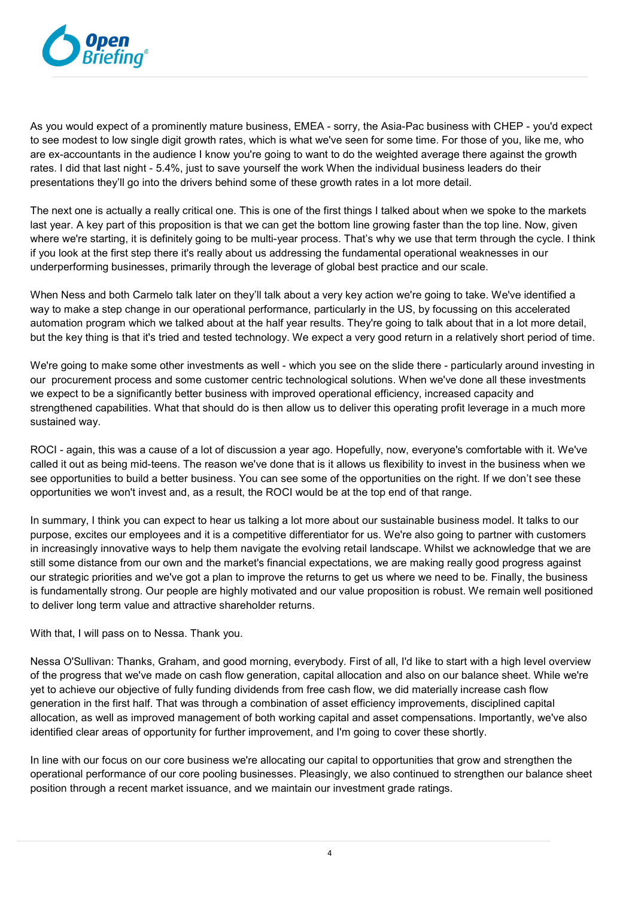

As you would expect of a prominently mature business, EMEA - sorry, the Asia-Pac business with CHEP - you'd expect to see modest to low single digit growth rates, which is what we've seen for some time. For those of you, like me, who are ex-accountants in the audience I know you're going to want to do the weighted average there against the growth rates. I did that last night - 5.4%, just to save yourself the work When the individual business leaders do their presentations they'll go into the drivers behind some of these growth rates in a lot more detail.

The next one is actually a really critical one. This is one of the first things I talked about when we spoke to the markets last year. A key part of this proposition is that we can get the bottom line growing faster than the top line. Now, given where we're starting, it is definitely going to be multi-year process. That's why we use that term through the cycle. I think if you look at the first step there it's really about us addressing the fundamental operational weaknesses in our underperforming businesses, primarily through the leverage of global best practice and our scale.

When Ness and both Carmelo talk later on they'll talk about a very key action we're going to take. We've identified a way to make a step change in our operational performance, particularly in the US, by focussing on this accelerated automation program which we talked about at the half year results. They're going to talk about that in a lot more detail, but the key thing is that it's tried and tested technology. We expect a very good return in a relatively short period of time.

We're going to make some other investments as well - which you see on the slide there - particularly around investing in our procurement process and some customer centric technological solutions. When we've done all these investments we expect to be a significantly better business with improved operational efficiency, increased capacity and strengthened capabilities. What that should do is then allow us to deliver this operating profit leverage in a much more sustained way.

ROCI - again, this was a cause of a lot of discussion a year ago. Hopefully, now, everyone's comfortable with it. We've called it out as being mid-teens. The reason we've done that is it allows us flexibility to invest in the business when we see opportunities to build a better business. You can see some of the opportunities on the right. If we don't see these opportunities we won't invest and, as a result, the ROCI would be at the top end of that range.

In summary, I think you can expect to hear us talking a lot more about our sustainable business model. It talks to our purpose, excites our employees and it is a competitive differentiator for us. We're also going to partner with customers in increasingly innovative ways to help them navigate the evolving retail landscape. Whilst we acknowledge that we are still some distance from our own and the market's financial expectations, we are making really good progress against our strategic priorities and we've got a plan to improve the returns to get us where we need to be. Finally, the business is fundamentally strong. Our people are highly motivated and our value proposition is robust. We remain well positioned to deliver long term value and attractive shareholder returns.

With that, I will pass on to Nessa. Thank you.

Nessa O'Sullivan: Thanks, Graham, and good morning, everybody. First of all, I'd like to start with a high level overview of the progress that we've made on cash flow generation, capital allocation and also on our balance sheet. While we're yet to achieve our objective of fully funding dividends from free cash flow, we did materially increase cash flow generation in the first half. That was through a combination of asset efficiency improvements, disciplined capital allocation, as well as improved management of both working capital and asset compensations. Importantly, we've also identified clear areas of opportunity for further improvement, and I'm going to cover these shortly.

In line with our focus on our core business we're allocating our capital to opportunities that grow and strengthen the operational performance of our core pooling businesses. Pleasingly, we also continued to strengthen our balance sheet position through a recent market issuance, and we maintain our investment grade ratings.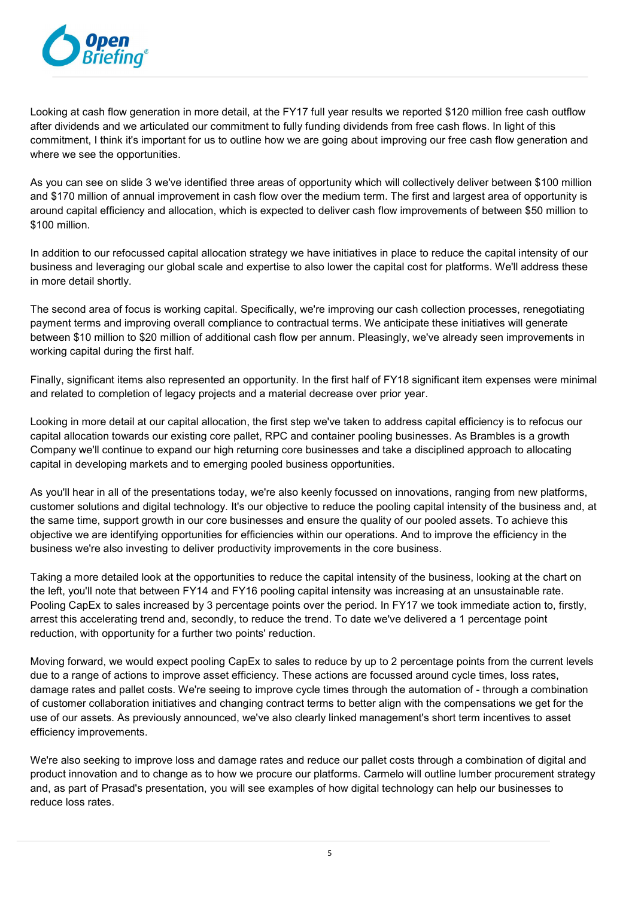

Looking at cash flow generation in more detail, at the FY17 full year results we reported \$120 million free cash outflow after dividends and we articulated our commitment to fully funding dividends from free cash flows. In light of this commitment, I think it's important for us to outline how we are going about improving our free cash flow generation and where we see the opportunities.

As you can see on slide 3 we've identified three areas of opportunity which will collectively deliver between \$100 million and \$170 million of annual improvement in cash flow over the medium term. The first and largest area of opportunity is around capital efficiency and allocation, which is expected to deliver cash flow improvements of between \$50 million to \$100 million.

In addition to our refocussed capital allocation strategy we have initiatives in place to reduce the capital intensity of our business and leveraging our global scale and expertise to also lower the capital cost for platforms. We'll address these in more detail shortly.

The second area of focus is working capital. Specifically, we're improving our cash collection processes, renegotiating payment terms and improving overall compliance to contractual terms. We anticipate these initiatives will generate between \$10 million to \$20 million of additional cash flow per annum. Pleasingly, we've already seen improvements in working capital during the first half.

Finally, significant items also represented an opportunity. In the first half of FY18 significant item expenses were minimal and related to completion of legacy projects and a material decrease over prior year.

Looking in more detail at our capital allocation, the first step we've taken to address capital efficiency is to refocus our capital allocation towards our existing core pallet, RPC and container pooling businesses. As Brambles is a growth Company we'll continue to expand our high returning core businesses and take a disciplined approach to allocating capital in developing markets and to emerging pooled business opportunities.

As you'll hear in all of the presentations today, we're also keenly focussed on innovations, ranging from new platforms, customer solutions and digital technology. It's our objective to reduce the pooling capital intensity of the business and, at the same time, support growth in our core businesses and ensure the quality of our pooled assets. To achieve this objective we are identifying opportunities for efficiencies within our operations. And to improve the efficiency in the business we're also investing to deliver productivity improvements in the core business.

Taking a more detailed look at the opportunities to reduce the capital intensity of the business, looking at the chart on the left, you'll note that between FY14 and FY16 pooling capital intensity was increasing at an unsustainable rate. Pooling CapEx to sales increased by 3 percentage points over the period. In FY17 we took immediate action to, firstly, arrest this accelerating trend and, secondly, to reduce the trend. To date we've delivered a 1 percentage point reduction, with opportunity for a further two points' reduction.

Moving forward, we would expect pooling CapEx to sales to reduce by up to 2 percentage points from the current levels due to a range of actions to improve asset efficiency. These actions are focussed around cycle times, loss rates, damage rates and pallet costs. We're seeing to improve cycle times through the automation of - through a combination of customer collaboration initiatives and changing contract terms to better align with the compensations we get for the use of our assets. As previously announced, we've also clearly linked management's short term incentives to asset efficiency improvements.

We're also seeking to improve loss and damage rates and reduce our pallet costs through a combination of digital and product innovation and to change as to how we procure our platforms. Carmelo will outline lumber procurement strategy and, as part of Prasad's presentation, you will see examples of how digital technology can help our businesses to reduce loss rates.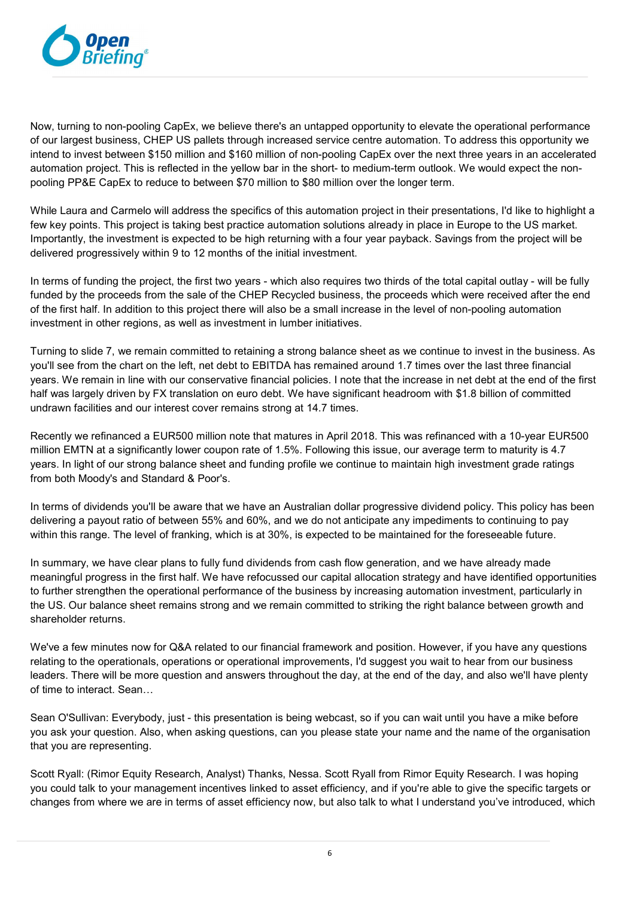

Now, turning to non-pooling CapEx, we believe there's an untapped opportunity to elevate the operational performance of our largest business, CHEP US pallets through increased service centre automation. To address this opportunity we intend to invest between \$150 million and \$160 million of non-pooling CapEx over the next three years in an accelerated automation project. This is reflected in the yellow bar in the short- to medium-term outlook. We would expect the nonpooling PP&E CapEx to reduce to between \$70 million to \$80 million over the longer term.

While Laura and Carmelo will address the specifics of this automation project in their presentations, I'd like to highlight a few key points. This project is taking best practice automation solutions already in place in Europe to the US market. Importantly, the investment is expected to be high returning with a four year payback. Savings from the project will be delivered progressively within 9 to 12 months of the initial investment.

In terms of funding the project, the first two years - which also requires two thirds of the total capital outlay - will be fully funded by the proceeds from the sale of the CHEP Recycled business, the proceeds which were received after the end of the first half. In addition to this project there will also be a small increase in the level of non-pooling automation investment in other regions, as well as investment in lumber initiatives.

Turning to slide 7, we remain committed to retaining a strong balance sheet as we continue to invest in the business. As you'll see from the chart on the left, net debt to EBITDA has remained around 1.7 times over the last three financial years. We remain in line with our conservative financial policies. I note that the increase in net debt at the end of the first half was largely driven by FX translation on euro debt. We have significant headroom with \$1.8 billion of committed undrawn facilities and our interest cover remains strong at 14.7 times.

Recently we refinanced a EUR500 million note that matures in April 2018. This was refinanced with a 10-year EUR500 million EMTN at a significantly lower coupon rate of 1.5%. Following this issue, our average term to maturity is 4.7 years. In light of our strong balance sheet and funding profile we continue to maintain high investment grade ratings from both Moody's and Standard & Poor's.

In terms of dividends you'll be aware that we have an Australian dollar progressive dividend policy. This policy has been delivering a payout ratio of between 55% and 60%, and we do not anticipate any impediments to continuing to pay within this range. The level of franking, which is at 30%, is expected to be maintained for the foreseeable future.

In summary, we have clear plans to fully fund dividends from cash flow generation, and we have already made meaningful progress in the first half. We have refocussed our capital allocation strategy and have identified opportunities to further strengthen the operational performance of the business by increasing automation investment, particularly in the US. Our balance sheet remains strong and we remain committed to striking the right balance between growth and shareholder returns.

We've a few minutes now for Q&A related to our financial framework and position. However, if you have any questions relating to the operationals, operations or operational improvements, I'd suggest you wait to hear from our business leaders. There will be more question and answers throughout the day, at the end of the day, and also we'll have plenty of time to interact. Sean…

Sean O'Sullivan: Everybody, just - this presentation is being webcast, so if you can wait until you have a mike before you ask your question. Also, when asking questions, can you please state your name and the name of the organisation that you are representing.

Scott Ryall: (Rimor Equity Research, Analyst) Thanks, Nessa. Scott Ryall from Rimor Equity Research. I was hoping you could talk to your management incentives linked to asset efficiency, and if you're able to give the specific targets or changes from where we are in terms of asset efficiency now, but also talk to what I understand you've introduced, which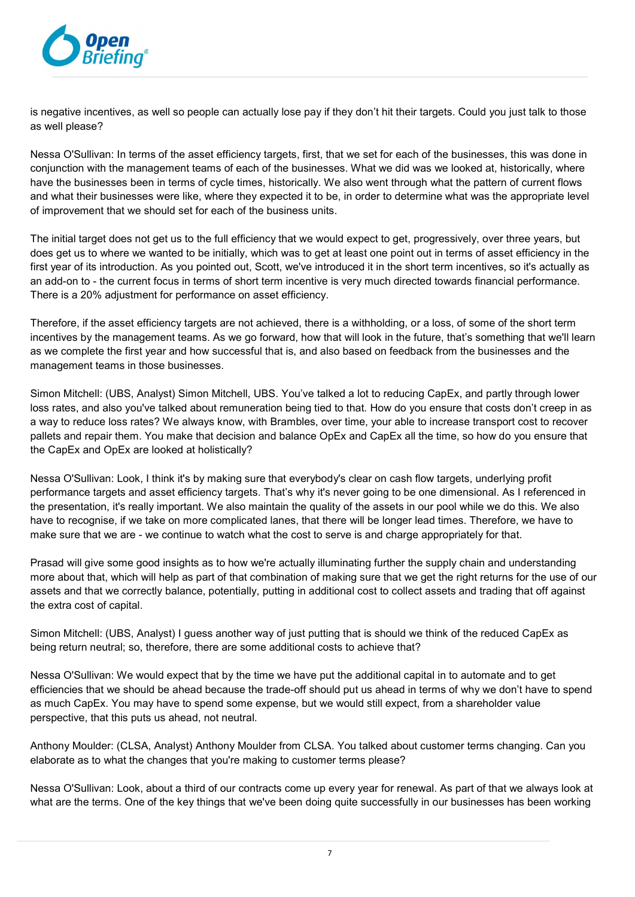

is negative incentives, as well so people can actually lose pay if they don't hit their targets. Could you just talk to those as well please?

Nessa O'Sullivan: In terms of the asset efficiency targets, first, that we set for each of the businesses, this was done in conjunction with the management teams of each of the businesses. What we did was we looked at, historically, where have the businesses been in terms of cycle times, historically. We also went through what the pattern of current flows and what their businesses were like, where they expected it to be, in order to determine what was the appropriate level of improvement that we should set for each of the business units.

The initial target does not get us to the full efficiency that we would expect to get, progressively, over three years, but does get us to where we wanted to be initially, which was to get at least one point out in terms of asset efficiency in the first year of its introduction. As you pointed out, Scott, we've introduced it in the short term incentives, so it's actually as an add-on to - the current focus in terms of short term incentive is very much directed towards financial performance. There is a 20% adjustment for performance on asset efficiency.

Therefore, if the asset efficiency targets are not achieved, there is a withholding, or a loss, of some of the short term incentives by the management teams. As we go forward, how that will look in the future, that's something that we'll learn as we complete the first year and how successful that is, and also based on feedback from the businesses and the management teams in those businesses.

Simon Mitchell: (UBS, Analyst) Simon Mitchell, UBS. You've talked a lot to reducing CapEx, and partly through lower loss rates, and also you've talked about remuneration being tied to that. How do you ensure that costs don't creep in as a way to reduce loss rates? We always know, with Brambles, over time, your able to increase transport cost to recover pallets and repair them. You make that decision and balance OpEx and CapEx all the time, so how do you ensure that the CapEx and OpEx are looked at holistically?

Nessa O'Sullivan: Look, I think it's by making sure that everybody's clear on cash flow targets, underlying profit performance targets and asset efficiency targets. That's why it's never going to be one dimensional. As I referenced in the presentation, it's really important. We also maintain the quality of the assets in our pool while we do this. We also have to recognise, if we take on more complicated lanes, that there will be longer lead times. Therefore, we have to make sure that we are - we continue to watch what the cost to serve is and charge appropriately for that.

Prasad will give some good insights as to how we're actually illuminating further the supply chain and understanding more about that, which will help as part of that combination of making sure that we get the right returns for the use of our assets and that we correctly balance, potentially, putting in additional cost to collect assets and trading that off against the extra cost of capital.

Simon Mitchell: (UBS, Analyst) I guess another way of just putting that is should we think of the reduced CapEx as being return neutral; so, therefore, there are some additional costs to achieve that?

Nessa O'Sullivan: We would expect that by the time we have put the additional capital in to automate and to get efficiencies that we should be ahead because the trade-off should put us ahead in terms of why we don't have to spend as much CapEx. You may have to spend some expense, but we would still expect, from a shareholder value perspective, that this puts us ahead, not neutral.

Anthony Moulder: (CLSA, Analyst) Anthony Moulder from CLSA. You talked about customer terms changing. Can you elaborate as to what the changes that you're making to customer terms please?

Nessa O'Sullivan: Look, about a third of our contracts come up every year for renewal. As part of that we always look at what are the terms. One of the key things that we've been doing quite successfully in our businesses has been working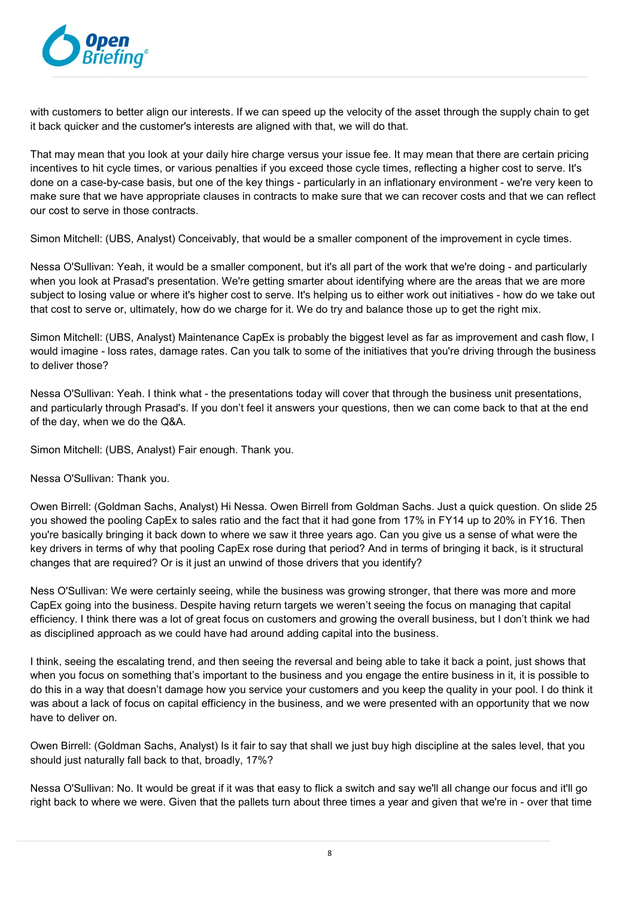

with customers to better align our interests. If we can speed up the velocity of the asset through the supply chain to get it back quicker and the customer's interests are aligned with that, we will do that.

That may mean that you look at your daily hire charge versus your issue fee. It may mean that there are certain pricing incentives to hit cycle times, or various penalties if you exceed those cycle times, reflecting a higher cost to serve. It's done on a case-by-case basis, but one of the key things - particularly in an inflationary environment - we're very keen to make sure that we have appropriate clauses in contracts to make sure that we can recover costs and that we can reflect our cost to serve in those contracts.

Simon Mitchell: (UBS, Analyst) Conceivably, that would be a smaller component of the improvement in cycle times.

Nessa O'Sullivan: Yeah, it would be a smaller component, but it's all part of the work that we're doing - and particularly when you look at Prasad's presentation. We're getting smarter about identifying where are the areas that we are more subject to losing value or where it's higher cost to serve. It's helping us to either work out initiatives - how do we take out that cost to serve or, ultimately, how do we charge for it. We do try and balance those up to get the right mix.

Simon Mitchell: (UBS, Analyst) Maintenance CapEx is probably the biggest level as far as improvement and cash flow, I would imagine - loss rates, damage rates. Can you talk to some of the initiatives that you're driving through the business to deliver those?

Nessa O'Sullivan: Yeah. I think what - the presentations today will cover that through the business unit presentations, and particularly through Prasad's. If you don't feel it answers your questions, then we can come back to that at the end of the day, when we do the Q&A.

Simon Mitchell: (UBS, Analyst) Fair enough. Thank you.

Nessa O'Sullivan: Thank you.

Owen Birrell: (Goldman Sachs, Analyst) Hi Nessa. Owen Birrell from Goldman Sachs. Just a quick question. On slide 25 you showed the pooling CapEx to sales ratio and the fact that it had gone from 17% in FY14 up to 20% in FY16. Then you're basically bringing it back down to where we saw it three years ago. Can you give us a sense of what were the key drivers in terms of why that pooling CapEx rose during that period? And in terms of bringing it back, is it structural changes that are required? Or is it just an unwind of those drivers that you identify?

Ness O'Sullivan: We were certainly seeing, while the business was growing stronger, that there was more and more CapEx going into the business. Despite having return targets we weren't seeing the focus on managing that capital efficiency. I think there was a lot of great focus on customers and growing the overall business, but I don't think we had as disciplined approach as we could have had around adding capital into the business.

I think, seeing the escalating trend, and then seeing the reversal and being able to take it back a point, just shows that when you focus on something that's important to the business and you engage the entire business in it, it is possible to do this in a way that doesn't damage how you service your customers and you keep the quality in your pool. I do think it was about a lack of focus on capital efficiency in the business, and we were presented with an opportunity that we now have to deliver on.

Owen Birrell: (Goldman Sachs, Analyst) Is it fair to say that shall we just buy high discipline at the sales level, that you should just naturally fall back to that, broadly, 17%?

Nessa O'Sullivan: No. It would be great if it was that easy to flick a switch and say we'll all change our focus and it'll go right back to where we were. Given that the pallets turn about three times a year and given that we're in - over that time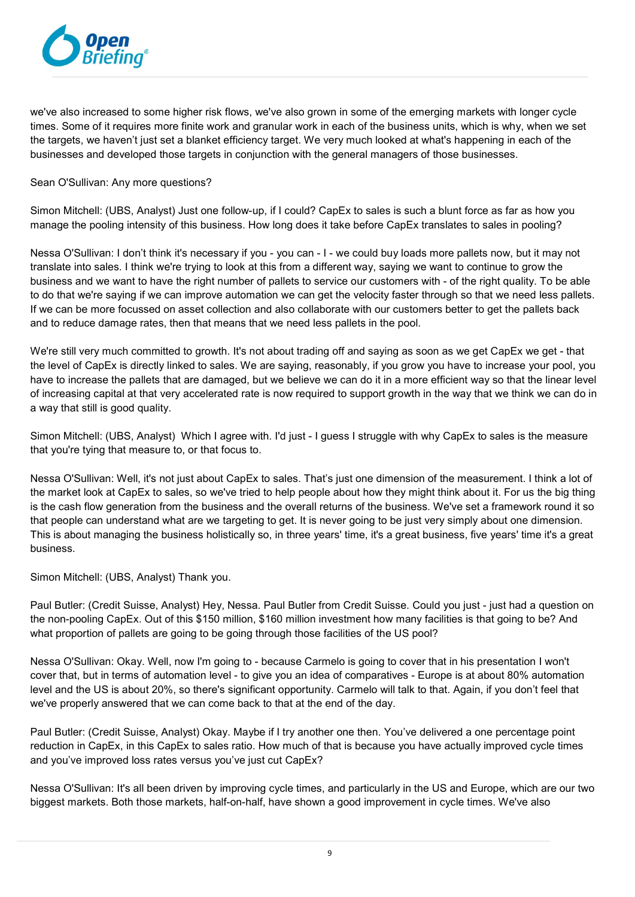

we've also increased to some higher risk flows, we've also grown in some of the emerging markets with longer cycle times. Some of it requires more finite work and granular work in each of the business units, which is why, when we set the targets, we haven't just set a blanket efficiency target. We very much looked at what's happening in each of the businesses and developed those targets in conjunction with the general managers of those businesses.

#### Sean O'Sullivan: Any more questions?

Simon Mitchell: (UBS, Analyst) Just one follow-up, if I could? CapEx to sales is such a blunt force as far as how you manage the pooling intensity of this business. How long does it take before CapEx translates to sales in pooling?

Nessa O'Sullivan: I don't think it's necessary if you - you can - I - we could buy loads more pallets now, but it may not translate into sales. I think we're trying to look at this from a different way, saying we want to continue to grow the business and we want to have the right number of pallets to service our customers with - of the right quality. To be able to do that we're saying if we can improve automation we can get the velocity faster through so that we need less pallets. If we can be more focussed on asset collection and also collaborate with our customers better to get the pallets back and to reduce damage rates, then that means that we need less pallets in the pool.

We're still very much committed to growth. It's not about trading off and saying as soon as we get CapEx we get - that the level of CapEx is directly linked to sales. We are saying, reasonably, if you grow you have to increase your pool, you have to increase the pallets that are damaged, but we believe we can do it in a more efficient way so that the linear level of increasing capital at that very accelerated rate is now required to support growth in the way that we think we can do in a way that still is good quality.

Simon Mitchell: (UBS, Analyst) Which I agree with. I'd just - I guess I struggle with why CapEx to sales is the measure that you're tying that measure to, or that focus to.

Nessa O'Sullivan: Well, it's not just about CapEx to sales. That's just one dimension of the measurement. I think a lot of the market look at CapEx to sales, so we've tried to help people about how they might think about it. For us the big thing is the cash flow generation from the business and the overall returns of the business. We've set a framework round it so that people can understand what are we targeting to get. It is never going to be just very simply about one dimension. This is about managing the business holistically so, in three years' time, it's a great business, five years' time it's a great business.

Simon Mitchell: (UBS, Analyst) Thank you.

Paul Butler: (Credit Suisse, Analyst) Hey, Nessa. Paul Butler from Credit Suisse. Could you just - just had a question on the non-pooling CapEx. Out of this \$150 million, \$160 million investment how many facilities is that going to be? And what proportion of pallets are going to be going through those facilities of the US pool?

Nessa O'Sullivan: Okay. Well, now I'm going to - because Carmelo is going to cover that in his presentation I won't cover that, but in terms of automation level - to give you an idea of comparatives - Europe is at about 80% automation level and the US is about 20%, so there's significant opportunity. Carmelo will talk to that. Again, if you don't feel that we've properly answered that we can come back to that at the end of the day.

Paul Butler: (Credit Suisse, Analyst) Okay. Maybe if I try another one then. You've delivered a one percentage point reduction in CapEx, in this CapEx to sales ratio. How much of that is because you have actually improved cycle times and you've improved loss rates versus you've just cut CapEx?

Nessa O'Sullivan: It's all been driven by improving cycle times, and particularly in the US and Europe, which are our two biggest markets. Both those markets, half-on-half, have shown a good improvement in cycle times. We've also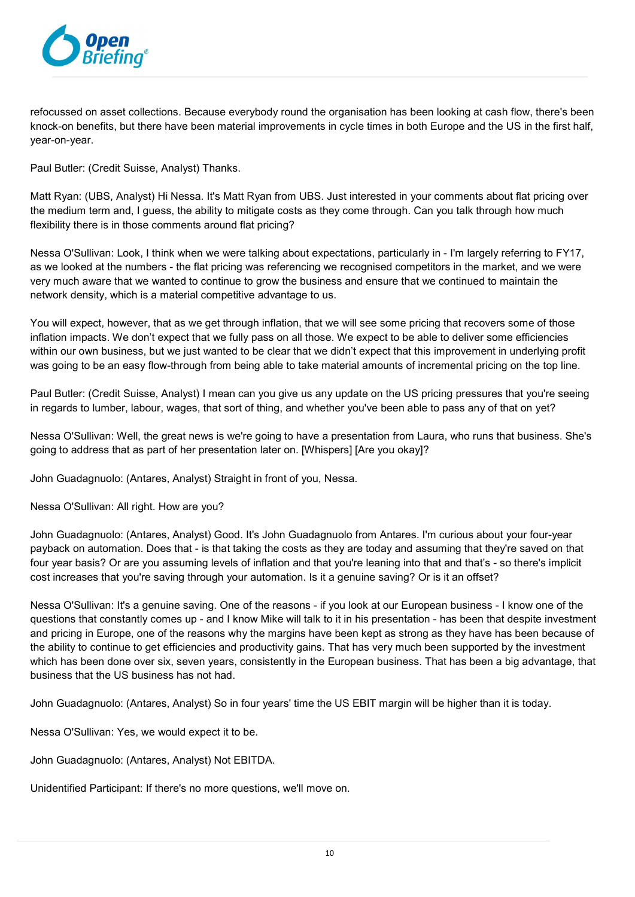

refocussed on asset collections. Because everybody round the organisation has been looking at cash flow, there's been knock-on benefits, but there have been material improvements in cycle times in both Europe and the US in the first half, year-on-year.

Paul Butler: (Credit Suisse, Analyst) Thanks.

Matt Ryan: (UBS, Analyst) Hi Nessa. It's Matt Ryan from UBS. Just interested in your comments about flat pricing over the medium term and, I guess, the ability to mitigate costs as they come through. Can you talk through how much flexibility there is in those comments around flat pricing?

Nessa O'Sullivan: Look, I think when we were talking about expectations, particularly in - I'm largely referring to FY17, as we looked at the numbers - the flat pricing was referencing we recognised competitors in the market, and we were very much aware that we wanted to continue to grow the business and ensure that we continued to maintain the network density, which is a material competitive advantage to us.

You will expect, however, that as we get through inflation, that we will see some pricing that recovers some of those inflation impacts. We don't expect that we fully pass on all those. We expect to be able to deliver some efficiencies within our own business, but we just wanted to be clear that we didn't expect that this improvement in underlying profit was going to be an easy flow-through from being able to take material amounts of incremental pricing on the top line.

Paul Butler: (Credit Suisse, Analyst) I mean can you give us any update on the US pricing pressures that you're seeing in regards to lumber, labour, wages, that sort of thing, and whether you've been able to pass any of that on yet?

Nessa O'Sullivan: Well, the great news is we're going to have a presentation from Laura, who runs that business. She's going to address that as part of her presentation later on. [Whispers] [Are you okay]?

John Guadagnuolo: (Antares, Analyst) Straight in front of you, Nessa.

Nessa O'Sullivan: All right. How are you?

John Guadagnuolo: (Antares, Analyst) Good. It's John Guadagnuolo from Antares. I'm curious about your four-year payback on automation. Does that - is that taking the costs as they are today and assuming that they're saved on that four year basis? Or are you assuming levels of inflation and that you're leaning into that and that's - so there's implicit cost increases that you're saving through your automation. Is it a genuine saving? Or is it an offset?

Nessa O'Sullivan: It's a genuine saving. One of the reasons - if you look at our European business - I know one of the questions that constantly comes up - and I know Mike will talk to it in his presentation - has been that despite investment and pricing in Europe, one of the reasons why the margins have been kept as strong as they have has been because of the ability to continue to get efficiencies and productivity gains. That has very much been supported by the investment which has been done over six, seven years, consistently in the European business. That has been a big advantage, that business that the US business has not had.

John Guadagnuolo: (Antares, Analyst) So in four years' time the US EBIT margin will be higher than it is today.

Nessa O'Sullivan: Yes, we would expect it to be.

John Guadagnuolo: (Antares, Analyst) Not EBITDA.

Unidentified Participant: If there's no more questions, we'll move on.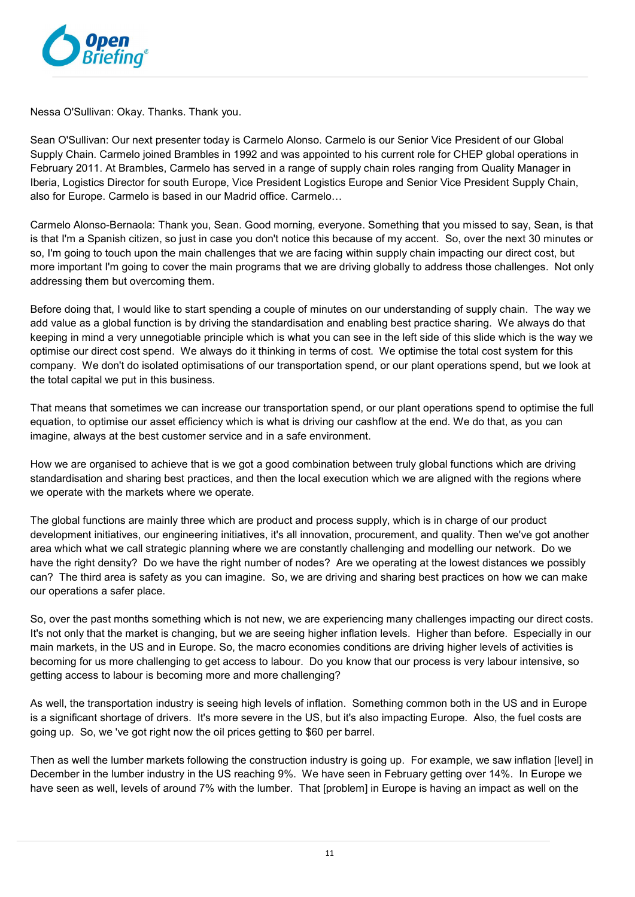

Nessa O'Sullivan: Okay. Thanks. Thank you.

Sean O'Sullivan: Our next presenter today is Carmelo Alonso. Carmelo is our Senior Vice President of our Global Supply Chain. Carmelo joined Brambles in 1992 and was appointed to his current role for CHEP global operations in February 2011. At Brambles, Carmelo has served in a range of supply chain roles ranging from Quality Manager in Iberia, Logistics Director for south Europe, Vice President Logistics Europe and Senior Vice President Supply Chain, also for Europe. Carmelo is based in our Madrid office. Carmelo…

Carmelo Alonso-Bernaola: Thank you, Sean. Good morning, everyone. Something that you missed to say, Sean, is that is that I'm a Spanish citizen, so just in case you don't notice this because of my accent. So, over the next 30 minutes or so, I'm going to touch upon the main challenges that we are facing within supply chain impacting our direct cost, but more important I'm going to cover the main programs that we are driving globally to address those challenges. Not only addressing them but overcoming them.

Before doing that, I would like to start spending a couple of minutes on our understanding of supply chain. The way we add value as a global function is by driving the standardisation and enabling best practice sharing. We always do that keeping in mind a very unnegotiable principle which is what you can see in the left side of this slide which is the way we optimise our direct cost spend. We always do it thinking in terms of cost. We optimise the total cost system for this company. We don't do isolated optimisations of our transportation spend, or our plant operations spend, but we look at the total capital we put in this business.

That means that sometimes we can increase our transportation spend, or our plant operations spend to optimise the full equation, to optimise our asset efficiency which is what is driving our cashflow at the end. We do that, as you can imagine, always at the best customer service and in a safe environment.

How we are organised to achieve that is we got a good combination between truly global functions which are driving standardisation and sharing best practices, and then the local execution which we are aligned with the regions where we operate with the markets where we operate.

The global functions are mainly three which are product and process supply, which is in charge of our product development initiatives, our engineering initiatives, it's all innovation, procurement, and quality. Then we've got another area which what we call strategic planning where we are constantly challenging and modelling our network. Do we have the right density? Do we have the right number of nodes? Are we operating at the lowest distances we possibly can? The third area is safety as you can imagine. So, we are driving and sharing best practices on how we can make our operations a safer place.

So, over the past months something which is not new, we are experiencing many challenges impacting our direct costs. It's not only that the market is changing, but we are seeing higher inflation levels. Higher than before. Especially in our main markets, in the US and in Europe. So, the macro economies conditions are driving higher levels of activities is becoming for us more challenging to get access to labour. Do you know that our process is very labour intensive, so getting access to labour is becoming more and more challenging?

As well, the transportation industry is seeing high levels of inflation. Something common both in the US and in Europe is a significant shortage of drivers. It's more severe in the US, but it's also impacting Europe. Also, the fuel costs are going up. So, we 've got right now the oil prices getting to \$60 per barrel.

Then as well the lumber markets following the construction industry is going up. For example, we saw inflation [level] in December in the lumber industry in the US reaching 9%. We have seen in February getting over 14%. In Europe we have seen as well, levels of around 7% with the lumber. That [problem] in Europe is having an impact as well on the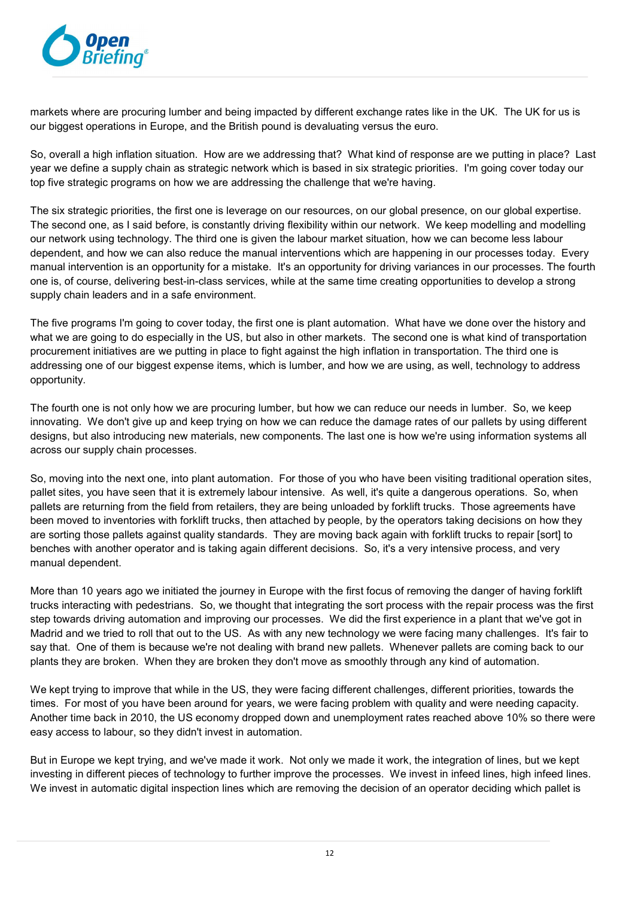

markets where are procuring lumber and being impacted by different exchange rates like in the UK. The UK for us is our biggest operations in Europe, and the British pound is devaluating versus the euro.

So, overall a high inflation situation. How are we addressing that? What kind of response are we putting in place? Last year we define a supply chain as strategic network which is based in six strategic priorities. I'm going cover today our top five strategic programs on how we are addressing the challenge that we're having.

The six strategic priorities, the first one is leverage on our resources, on our global presence, on our global expertise. The second one, as I said before, is constantly driving flexibility within our network. We keep modelling and modelling our network using technology. The third one is given the labour market situation, how we can become less labour dependent, and how we can also reduce the manual interventions which are happening in our processes today. Every manual intervention is an opportunity for a mistake. It's an opportunity for driving variances in our processes. The fourth one is, of course, delivering best-in-class services, while at the same time creating opportunities to develop a strong supply chain leaders and in a safe environment.

The five programs I'm going to cover today, the first one is plant automation. What have we done over the history and what we are going to do especially in the US, but also in other markets. The second one is what kind of transportation procurement initiatives are we putting in place to fight against the high inflation in transportation. The third one is addressing one of our biggest expense items, which is lumber, and how we are using, as well, technology to address opportunity.

The fourth one is not only how we are procuring lumber, but how we can reduce our needs in lumber. So, we keep innovating. We don't give up and keep trying on how we can reduce the damage rates of our pallets by using different designs, but also introducing new materials, new components. The last one is how we're using information systems all across our supply chain processes.

So, moving into the next one, into plant automation. For those of you who have been visiting traditional operation sites, pallet sites, you have seen that it is extremely labour intensive. As well, it's quite a dangerous operations. So, when pallets are returning from the field from retailers, they are being unloaded by forklift trucks. Those agreements have been moved to inventories with forklift trucks, then attached by people, by the operators taking decisions on how they are sorting those pallets against quality standards. They are moving back again with forklift trucks to repair [sort] to benches with another operator and is taking again different decisions. So, it's a very intensive process, and very manual dependent.

More than 10 years ago we initiated the journey in Europe with the first focus of removing the danger of having forklift trucks interacting with pedestrians. So, we thought that integrating the sort process with the repair process was the first step towards driving automation and improving our processes. We did the first experience in a plant that we've got in Madrid and we tried to roll that out to the US. As with any new technology we were facing many challenges. It's fair to say that. One of them is because we're not dealing with brand new pallets. Whenever pallets are coming back to our plants they are broken. When they are broken they don't move as smoothly through any kind of automation.

We kept trying to improve that while in the US, they were facing different challenges, different priorities, towards the times. For most of you have been around for years, we were facing problem with quality and were needing capacity. Another time back in 2010, the US economy dropped down and unemployment rates reached above 10% so there were easy access to labour, so they didn't invest in automation.

But in Europe we kept trying, and we've made it work. Not only we made it work, the integration of lines, but we kept investing in different pieces of technology to further improve the processes. We invest in infeed lines, high infeed lines. We invest in automatic digital inspection lines which are removing the decision of an operator deciding which pallet is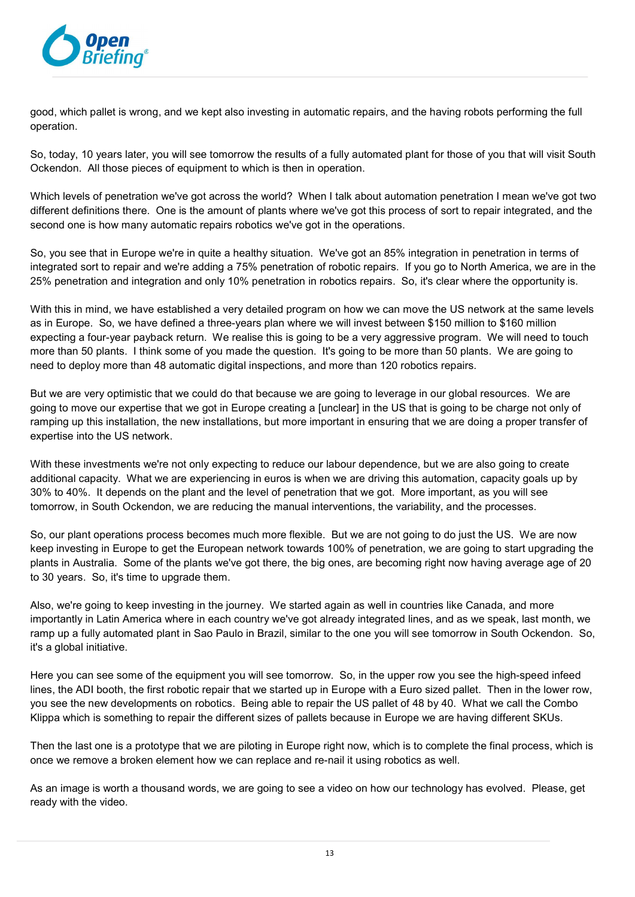

good, which pallet is wrong, and we kept also investing in automatic repairs, and the having robots performing the full operation.

So, today, 10 years later, you will see tomorrow the results of a fully automated plant for those of you that will visit South Ockendon. All those pieces of equipment to which is then in operation.

Which levels of penetration we've got across the world? When I talk about automation penetration I mean we've got two different definitions there. One is the amount of plants where we've got this process of sort to repair integrated, and the second one is how many automatic repairs robotics we've got in the operations.

So, you see that in Europe we're in quite a healthy situation. We've got an 85% integration in penetration in terms of integrated sort to repair and we're adding a 75% penetration of robotic repairs. If you go to North America, we are in the 25% penetration and integration and only 10% penetration in robotics repairs. So, it's clear where the opportunity is.

With this in mind, we have established a very detailed program on how we can move the US network at the same levels as in Europe. So, we have defined a three-years plan where we will invest between \$150 million to \$160 million expecting a four-year payback return. We realise this is going to be a very aggressive program. We will need to touch more than 50 plants. I think some of you made the question. It's going to be more than 50 plants. We are going to need to deploy more than 48 automatic digital inspections, and more than 120 robotics repairs.

But we are very optimistic that we could do that because we are going to leverage in our global resources. We are going to move our expertise that we got in Europe creating a [unclear] in the US that is going to be charge not only of ramping up this installation, the new installations, but more important in ensuring that we are doing a proper transfer of expertise into the US network.

With these investments we're not only expecting to reduce our labour dependence, but we are also going to create additional capacity. What we are experiencing in euros is when we are driving this automation, capacity goals up by 30% to 40%. It depends on the plant and the level of penetration that we got. More important, as you will see tomorrow, in South Ockendon, we are reducing the manual interventions, the variability, and the processes.

So, our plant operations process becomes much more flexible. But we are not going to do just the US. We are now keep investing in Europe to get the European network towards 100% of penetration, we are going to start upgrading the plants in Australia. Some of the plants we've got there, the big ones, are becoming right now having average age of 20 to 30 years. So, it's time to upgrade them.

Also, we're going to keep investing in the journey. We started again as well in countries like Canada, and more importantly in Latin America where in each country we've got already integrated lines, and as we speak, last month, we ramp up a fully automated plant in Sao Paulo in Brazil, similar to the one you will see tomorrow in South Ockendon. So, it's a global initiative.

Here you can see some of the equipment you will see tomorrow. So, in the upper row you see the high-speed infeed lines, the ADI booth, the first robotic repair that we started up in Europe with a Euro sized pallet. Then in the lower row, you see the new developments on robotics. Being able to repair the US pallet of 48 by 40. What we call the Combo Klippa which is something to repair the different sizes of pallets because in Europe we are having different SKUs.

Then the last one is a prototype that we are piloting in Europe right now, which is to complete the final process, which is once we remove a broken element how we can replace and re-nail it using robotics as well.

As an image is worth a thousand words, we are going to see a video on how our technology has evolved. Please, get ready with the video.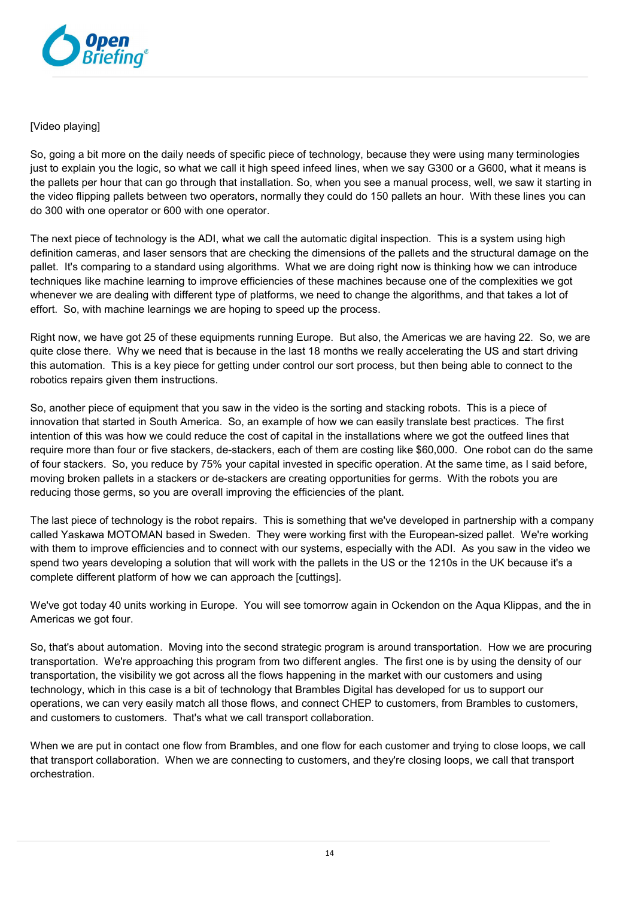

## [Video plaving]

So, going a bit more on the daily needs of specific piece of technology, because they were using many terminologies just to explain you the logic, so what we call it high speed infeed lines, when we say G300 or a G600, what it means is the pallets per hour that can go through that installation. So, when you see a manual process, well, we saw it starting in the video flipping pallets between two operators, normally they could do 150 pallets an hour. With these lines you can do 300 with one operator or 600 with one operator.

The next piece of technology is the ADI, what we call the automatic digital inspection. This is a system using high definition cameras, and laser sensors that are checking the dimensions of the pallets and the structural damage on the pallet. It's comparing to a standard using algorithms. What we are doing right now is thinking how we can introduce techniques like machine learning to improve efficiencies of these machines because one of the complexities we got whenever we are dealing with different type of platforms, we need to change the algorithms, and that takes a lot of effort. So, with machine learnings we are hoping to speed up the process.

Right now, we have got 25 of these equipments running Europe. But also, the Americas we are having 22. So, we are quite close there. Why we need that is because in the last 18 months we really accelerating the US and start driving this automation. This is a key piece for getting under control our sort process, but then being able to connect to the robotics repairs given them instructions.

So, another piece of equipment that you saw in the video is the sorting and stacking robots. This is a piece of innovation that started in South America. So, an example of how we can easily translate best practices. The first intention of this was how we could reduce the cost of capital in the installations where we got the outfeed lines that require more than four or five stackers, de-stackers, each of them are costing like \$60,000. One robot can do the same of four stackers. So, you reduce by 75% your capital invested in specific operation. At the same time, as I said before, moving broken pallets in a stackers or de-stackers are creating opportunities for germs. With the robots you are reducing those germs, so you are overall improving the efficiencies of the plant.

The last piece of technology is the robot repairs. This is something that we've developed in partnership with a company called Yaskawa MOTOMAN based in Sweden. They were working first with the European-sized pallet. We're working with them to improve efficiencies and to connect with our systems, especially with the ADI. As you saw in the video we spend two years developing a solution that will work with the pallets in the US or the 1210s in the UK because it's a complete different platform of how we can approach the [cuttings].

We've got today 40 units working in Europe. You will see tomorrow again in Ockendon on the Aqua Klippas, and the in Americas we got four.

So, that's about automation. Moving into the second strategic program is around transportation. How we are procuring transportation. We're approaching this program from two different angles. The first one is by using the density of our transportation, the visibility we got across all the flows happening in the market with our customers and using technology, which in this case is a bit of technology that Brambles Digital has developed for us to support our operations, we can very easily match all those flows, and connect CHEP to customers, from Brambles to customers, and customers to customers. That's what we call transport collaboration.

When we are put in contact one flow from Brambles, and one flow for each customer and trying to close loops, we call that transport collaboration. When we are connecting to customers, and they're closing loops, we call that transport orchestration.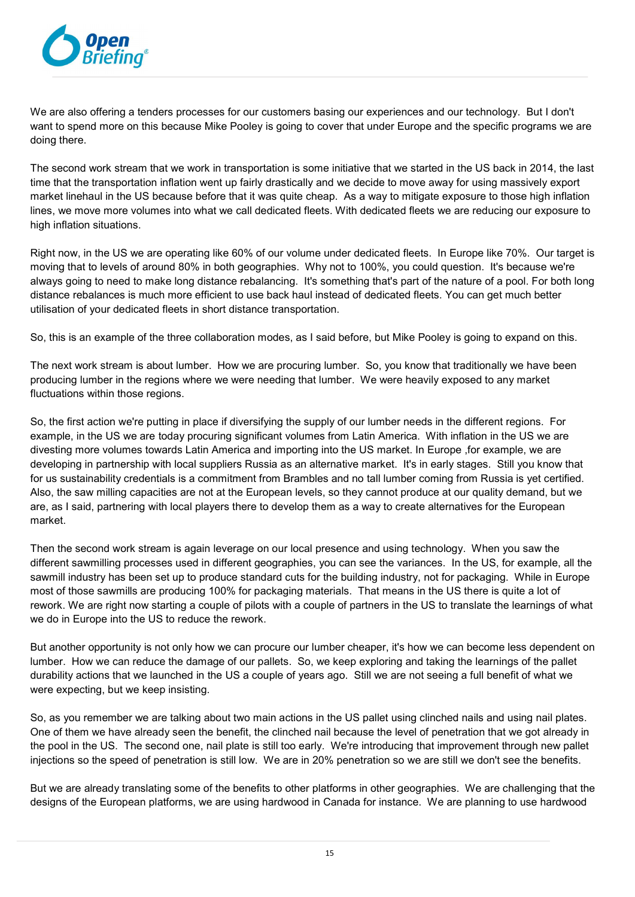

We are also offering a tenders processes for our customers basing our experiences and our technology. But I don't want to spend more on this because Mike Pooley is going to cover that under Europe and the specific programs we are doing there.

The second work stream that we work in transportation is some initiative that we started in the US back in 2014, the last time that the transportation inflation went up fairly drastically and we decide to move away for using massively export market linehaul in the US because before that it was quite cheap. As a way to mitigate exposure to those high inflation lines, we move more volumes into what we call dedicated fleets. With dedicated fleets we are reducing our exposure to high inflation situations.

Right now, in the US we are operating like 60% of our volume under dedicated fleets. In Europe like 70%. Our target is moving that to levels of around 80% in both geographies. Why not to 100%, you could question. It's because we're always going to need to make long distance rebalancing. It's something that's part of the nature of a pool. For both long distance rebalances is much more efficient to use back haul instead of dedicated fleets. You can get much better utilisation of your dedicated fleets in short distance transportation.

So, this is an example of the three collaboration modes, as I said before, but Mike Pooley is going to expand on this.

The next work stream is about lumber. How we are procuring lumber. So, you know that traditionally we have been producing lumber in the regions where we were needing that lumber. We were heavily exposed to any market fluctuations within those regions.

So, the first action we're putting in place if diversifying the supply of our lumber needs in the different regions. For example, in the US we are today procuring significant volumes from Latin America. With inflation in the US we are divesting more volumes towards Latin America and importing into the US market. In Europe ,for example, we are developing in partnership with local suppliers Russia as an alternative market. It's in early stages. Still you know that for us sustainability credentials is a commitment from Brambles and no tall lumber coming from Russia is yet certified. Also, the saw milling capacities are not at the European levels, so they cannot produce at our quality demand, but we are, as I said, partnering with local players there to develop them as a way to create alternatives for the European market.

Then the second work stream is again leverage on our local presence and using technology. When you saw the different sawmilling processes used in different geographies, you can see the variances. In the US, for example, all the sawmill industry has been set up to produce standard cuts for the building industry, not for packaging. While in Europe most of those sawmills are producing 100% for packaging materials. That means in the US there is quite a lot of rework. We are right now starting a couple of pilots with a couple of partners in the US to translate the learnings of what we do in Europe into the US to reduce the rework.

But another opportunity is not only how we can procure our lumber cheaper, it's how we can become less dependent on lumber. How we can reduce the damage of our pallets. So, we keep exploring and taking the learnings of the pallet durability actions that we launched in the US a couple of years ago. Still we are not seeing a full benefit of what we were expecting, but we keep insisting.

So, as you remember we are talking about two main actions in the US pallet using clinched nails and using nail plates. One of them we have already seen the benefit, the clinched nail because the level of penetration that we got already in the pool in the US. The second one, nail plate is still too early. We're introducing that improvement through new pallet injections so the speed of penetration is still low. We are in 20% penetration so we are still we don't see the benefits.

But we are already translating some of the benefits to other platforms in other geographies. We are challenging that the designs of the European platforms, we are using hardwood in Canada for instance. We are planning to use hardwood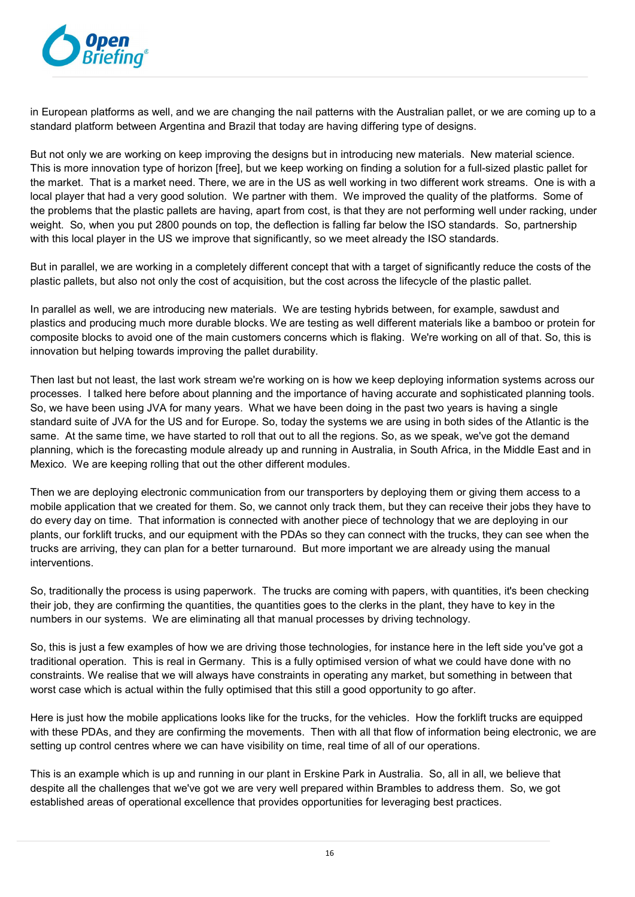

in European platforms as well, and we are changing the nail patterns with the Australian pallet, or we are coming up to a standard platform between Argentina and Brazil that today are having differing type of designs.

But not only we are working on keep improving the designs but in introducing new materials. New material science. This is more innovation type of horizon [free], but we keep working on finding a solution for a full-sized plastic pallet for the market. That is a market need. There, we are in the US as well working in two different work streams. One is with a local player that had a very good solution. We partner with them. We improved the quality of the platforms. Some of the problems that the plastic pallets are having, apart from cost, is that they are not performing well under racking, under weight. So, when you put 2800 pounds on top, the deflection is falling far below the ISO standards. So, partnership with this local player in the US we improve that significantly, so we meet already the ISO standards.

But in parallel, we are working in a completely different concept that with a target of significantly reduce the costs of the plastic pallets, but also not only the cost of acquisition, but the cost across the lifecycle of the plastic pallet.

In parallel as well, we are introducing new materials. We are testing hybrids between, for example, sawdust and plastics and producing much more durable blocks. We are testing as well different materials like a bamboo or protein for composite blocks to avoid one of the main customers concerns which is flaking. We're working on all of that. So, this is innovation but helping towards improving the pallet durability.

Then last but not least, the last work stream we're working on is how we keep deploying information systems across our processes. I talked here before about planning and the importance of having accurate and sophisticated planning tools. So, we have been using JVA for many years. What we have been doing in the past two years is having a single standard suite of JVA for the US and for Europe. So, today the systems we are using in both sides of the Atlantic is the same. At the same time, we have started to roll that out to all the regions. So, as we speak, we've got the demand planning, which is the forecasting module already up and running in Australia, in South Africa, in the Middle East and in Mexico. We are keeping rolling that out the other different modules.

Then we are deploying electronic communication from our transporters by deploying them or giving them access to a mobile application that we created for them. So, we cannot only track them, but they can receive their jobs they have to do every day on time. That information is connected with another piece of technology that we are deploying in our plants, our forklift trucks, and our equipment with the PDAs so they can connect with the trucks, they can see when the trucks are arriving, they can plan for a better turnaround. But more important we are already using the manual interventions.

So, traditionally the process is using paperwork. The trucks are coming with papers, with quantities, it's been checking their job, they are confirming the quantities, the quantities goes to the clerks in the plant, they have to key in the numbers in our systems. We are eliminating all that manual processes by driving technology.

So, this is just a few examples of how we are driving those technologies, for instance here in the left side you've got a traditional operation. This is real in Germany. This is a fully optimised version of what we could have done with no constraints. We realise that we will always have constraints in operating any market, but something in between that worst case which is actual within the fully optimised that this still a good opportunity to go after.

Here is just how the mobile applications looks like for the trucks, for the vehicles. How the forklift trucks are equipped with these PDAs, and they are confirming the movements. Then with all that flow of information being electronic, we are setting up control centres where we can have visibility on time, real time of all of our operations.

This is an example which is up and running in our plant in Erskine Park in Australia. So, all in all, we believe that despite all the challenges that we've got we are very well prepared within Brambles to address them. So, we got established areas of operational excellence that provides opportunities for leveraging best practices.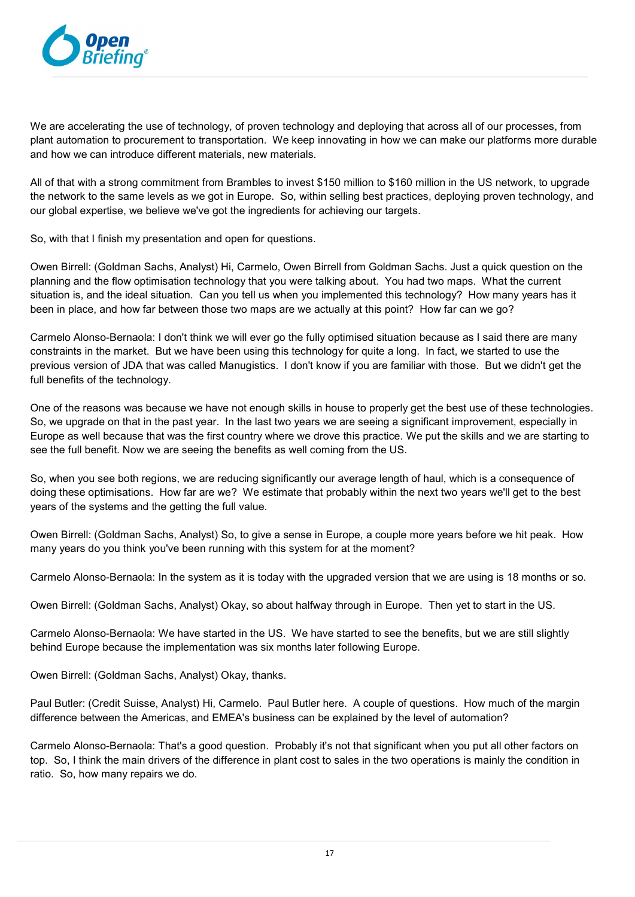

We are accelerating the use of technology, of proven technology and deploying that across all of our processes, from plant automation to procurement to transportation. We keep innovating in how we can make our platforms more durable and how we can introduce different materials, new materials.

All of that with a strong commitment from Brambles to invest \$150 million to \$160 million in the US network, to upgrade the network to the same levels as we got in Europe. So, within selling best practices, deploying proven technology, and our global expertise, we believe we've got the ingredients for achieving our targets.

So, with that I finish my presentation and open for questions.

Owen Birrell: (Goldman Sachs, Analyst) Hi, Carmelo, Owen Birrell from Goldman Sachs. Just a quick question on the planning and the flow optimisation technology that you were talking about. You had two maps. What the current situation is, and the ideal situation. Can you tell us when you implemented this technology? How many years has it been in place, and how far between those two maps are we actually at this point? How far can we go?

Carmelo Alonso-Bernaola: I don't think we will ever go the fully optimised situation because as I said there are many constraints in the market. But we have been using this technology for quite a long. In fact, we started to use the previous version of JDA that was called Manugistics. I don't know if you are familiar with those. But we didn't get the full benefits of the technology.

One of the reasons was because we have not enough skills in house to properly get the best use of these technologies. So, we upgrade on that in the past year. In the last two years we are seeing a significant improvement, especially in Europe as well because that was the first country where we drove this practice. We put the skills and we are starting to see the full benefit. Now we are seeing the benefits as well coming from the US.

So, when you see both regions, we are reducing significantly our average length of haul, which is a consequence of doing these optimisations. How far are we? We estimate that probably within the next two years we'll get to the best years of the systems and the getting the full value.

Owen Birrell: (Goldman Sachs, Analyst) So, to give a sense in Europe, a couple more years before we hit peak. How many years do you think you've been running with this system for at the moment?

Carmelo Alonso-Bernaola: In the system as it is today with the upgraded version that we are using is 18 months or so.

Owen Birrell: (Goldman Sachs, Analyst) Okay, so about halfway through in Europe. Then yet to start in the US.

Carmelo Alonso-Bernaola: We have started in the US. We have started to see the benefits, but we are still slightly behind Europe because the implementation was six months later following Europe.

Owen Birrell: (Goldman Sachs, Analyst) Okay, thanks.

Paul Butler: (Credit Suisse, Analyst) Hi, Carmelo. Paul Butler here. A couple of questions. How much of the margin difference between the Americas, and EMEA's business can be explained by the level of automation?

Carmelo Alonso-Bernaola: That's a good question. Probably it's not that significant when you put all other factors on top. So, I think the main drivers of the difference in plant cost to sales in the two operations is mainly the condition in ratio. So, how many repairs we do.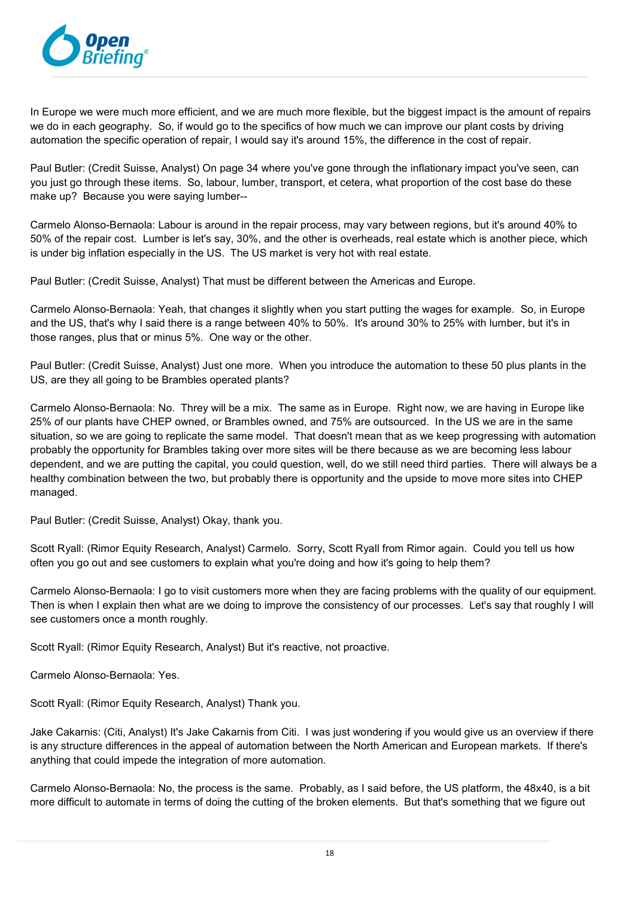

In Europe we were much more efficient, and we are much more flexible, but the biggest impact is the amount of repairs we do in each geography. So, if would go to the specifics of how much we can improve our plant costs by driving automation the specific operation of repair, I would say it's around 15%, the difference in the cost of repair.

Paul Butler: (Credit Suisse, Analyst) On page 34 where you've gone through the inflationary impact you've seen, can you just go through these items. So, labour, lumber, transport, et cetera, what proportion of the cost base do these make up? Because you were saying lumber--

Carmelo Alonso-Bernaola: Labour is around in the repair process, may vary between regions, but it's around 40% to 50% of the repair cost. Lumber is let's say, 30%, and the other is overheads, real estate which is another piece, which is under big inflation especially in the US. The US market is very hot with real estate.

Paul Butler: (Credit Suisse, Analyst) That must be different between the Americas and Europe.

Carmelo Alonso-Bernaola: Yeah, that changes it slightly when you start putting the wages for example. So, in Europe and the US, that's why I said there is a range between 40% to 50%. It's around 30% to 25% with lumber, but it's in those ranges, plus that or minus 5%. One way or the other.

Paul Butler: (Credit Suisse, Analyst) Just one more. When you introduce the automation to these 50 plus plants in the US, are they all going to be Brambles operated plants?

Carmelo Alonso-Bernaola: No. Threy will be a mix. The same as in Europe. Right now, we are having in Europe like 25% of our plants have CHEP owned, or Brambles owned, and 75% are outsourced. In the US we are in the same situation, so we are going to replicate the same model. That doesn't mean that as we keep progressing with automation probably the opportunity for Brambles taking over more sites will be there because as we are becoming less labour dependent, and we are putting the capital, you could question, well, do we still need third parties. There will always be a healthy combination between the two, but probably there is opportunity and the upside to move more sites into CHEP managed.

Paul Butler: (Credit Suisse, Analyst) Okay, thank you.

Scott Ryall: (Rimor Equity Research, Analyst) Carmelo. Sorry, Scott Ryall from Rimor again. Could you tell us how often you go out and see customers to explain what you're doing and how it's going to help them?

Carmelo Alonso-Bernaola: I go to visit customers more when they are facing problems with the quality of our equipment. Then is when I explain then what are we doing to improve the consistency of our processes. Let's say that roughly I will see customers once a month roughly.

Scott Ryall: (Rimor Equity Research, Analyst) But it's reactive, not proactive.

Carmelo Alonso-Bernaola: Yes.

Scott Ryall: (Rimor Equity Research, Analyst) Thank you.

Jake Cakarnis: (Citi, Analyst) It's Jake Cakarnis from Citi. I was just wondering if you would give us an overview if there is any structure differences in the appeal of automation between the North American and European markets. If there's anything that could impede the integration of more automation.

Carmelo Alonso-Bernaola: No, the process is the same. Probably, as I said before, the US platform, the 48x40, is a bit more difficult to automate in terms of doing the cutting of the broken elements. But that's something that we figure out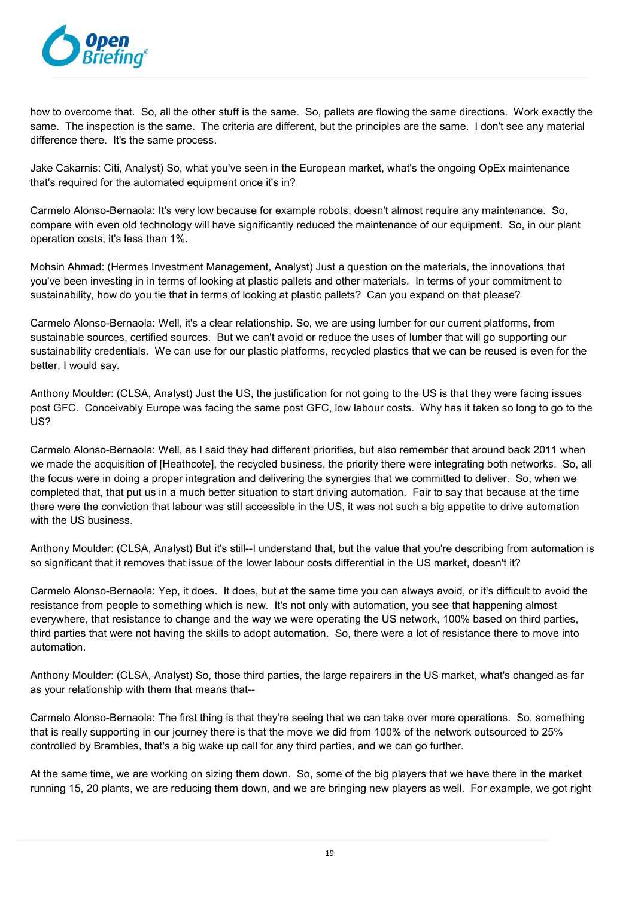

how to overcome that. So, all the other stuff is the same. So, pallets are flowing the same directions. Work exactly the same. The inspection is the same. The criteria are different, but the principles are the same. I don't see any material difference there. It's the same process.

Jake Cakarnis: Citi, Analyst) So, what you've seen in the European market, what's the ongoing OpEx maintenance that's required for the automated equipment once it's in?

Carmelo Alonso-Bernaola: It's very low because for example robots, doesn't almost require any maintenance. So, compare with even old technology will have significantly reduced the maintenance of our equipment. So, in our plant operation costs, it's less than 1%.

Mohsin Ahmad: (Hermes Investment Management, Analyst) Just a question on the materials, the innovations that you've been investing in in terms of looking at plastic pallets and other materials. In terms of your commitment to sustainability, how do you tie that in terms of looking at plastic pallets? Can you expand on that please?

Carmelo Alonso-Bernaola: Well, it's a clear relationship. So, we are using lumber for our current platforms, from sustainable sources, certified sources. But we can't avoid or reduce the uses of lumber that will go supporting our sustainability credentials. We can use for our plastic platforms, recycled plastics that we can be reused is even for the better, I would say.

Anthony Moulder: (CLSA, Analyst) Just the US, the justification for not going to the US is that they were facing issues post GFC. Conceivably Europe was facing the same post GFC, low labour costs. Why has it taken so long to go to the US?

Carmelo Alonso-Bernaola: Well, as I said they had different priorities, but also remember that around back 2011 when we made the acquisition of [Heathcote], the recycled business, the priority there were integrating both networks. So, all the focus were in doing a proper integration and delivering the synergies that we committed to deliver. So, when we completed that, that put us in a much better situation to start driving automation. Fair to say that because at the time there were the conviction that labour was still accessible in the US, it was not such a big appetite to drive automation with the US business.

Anthony Moulder: (CLSA, Analyst) But it's still--I understand that, but the value that you're describing from automation is so significant that it removes that issue of the lower labour costs differential in the US market, doesn't it?

Carmelo Alonso-Bernaola: Yep, it does. It does, but at the same time you can always avoid, or it's difficult to avoid the resistance from people to something which is new. It's not only with automation, you see that happening almost everywhere, that resistance to change and the way we were operating the US network, 100% based on third parties, third parties that were not having the skills to adopt automation. So, there were a lot of resistance there to move into automation.

Anthony Moulder: (CLSA, Analyst) So, those third parties, the large repairers in the US market, what's changed as far as your relationship with them that means that--

Carmelo Alonso-Bernaola: The first thing is that they're seeing that we can take over more operations. So, something that is really supporting in our journey there is that the move we did from 100% of the network outsourced to 25% controlled by Brambles, that's a big wake up call for any third parties, and we can go further.

At the same time, we are working on sizing them down. So, some of the big players that we have there in the market running 15, 20 plants, we are reducing them down, and we are bringing new players as well. For example, we got right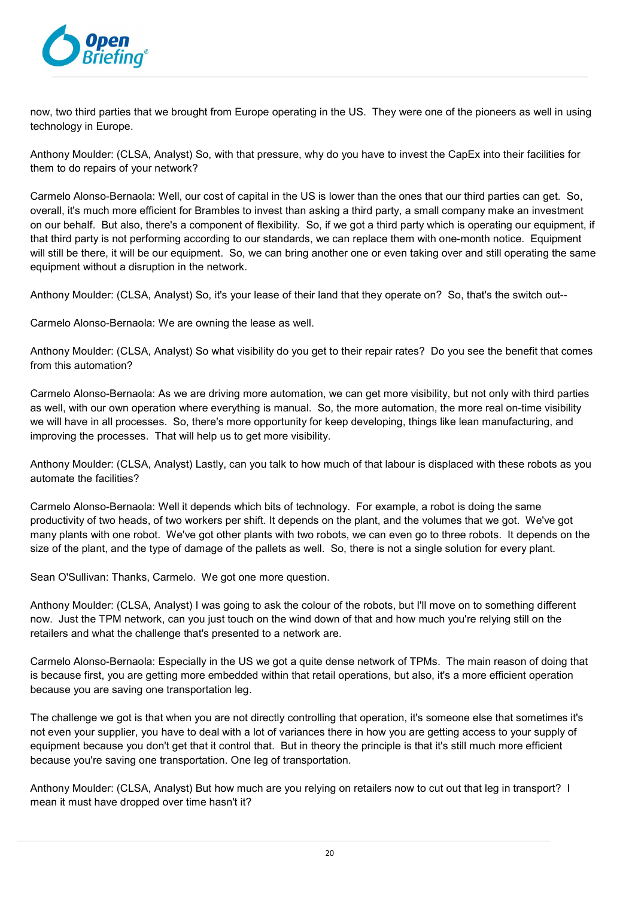

now, two third parties that we brought from Europe operating in the US. They were one of the pioneers as well in using technology in Europe.

Anthony Moulder: (CLSA, Analyst) So, with that pressure, why do you have to invest the CapEx into their facilities for them to do repairs of your network?

Carmelo Alonso-Bernaola: Well, our cost of capital in the US is lower than the ones that our third parties can get. So, overall, it's much more efficient for Brambles to invest than asking a third party, a small company make an investment on our behalf. But also, there's a component of flexibility. So, if we got a third party which is operating our equipment, if that third party is not performing according to our standards, we can replace them with one-month notice. Equipment will still be there, it will be our equipment. So, we can bring another one or even taking over and still operating the same equipment without a disruption in the network.

Anthony Moulder: (CLSA, Analyst) So, it's your lease of their land that they operate on? So, that's the switch out--

Carmelo Alonso-Bernaola: We are owning the lease as well.

Anthony Moulder: (CLSA, Analyst) So what visibility do you get to their repair rates? Do you see the benefit that comes from this automation?

Carmelo Alonso-Bernaola: As we are driving more automation, we can get more visibility, but not only with third parties as well, with our own operation where everything is manual. So, the more automation, the more real on-time visibility we will have in all processes. So, there's more opportunity for keep developing, things like lean manufacturing, and improving the processes. That will help us to get more visibility.

Anthony Moulder: (CLSA, Analyst) Lastly, can you talk to how much of that labour is displaced with these robots as you automate the facilities?

Carmelo Alonso-Bernaola: Well it depends which bits of technology. For example, a robot is doing the same productivity of two heads, of two workers per shift. It depends on the plant, and the volumes that we got. We've got many plants with one robot. We've got other plants with two robots, we can even go to three robots. It depends on the size of the plant, and the type of damage of the pallets as well. So, there is not a single solution for every plant.

Sean O'Sullivan: Thanks, Carmelo. We got one more question.

Anthony Moulder: (CLSA, Analyst) I was going to ask the colour of the robots, but I'll move on to something different now. Just the TPM network, can you just touch on the wind down of that and how much you're relying still on the retailers and what the challenge that's presented to a network are.

Carmelo Alonso-Bernaola: Especially in the US we got a quite dense network of TPMs. The main reason of doing that is because first, you are getting more embedded within that retail operations, but also, it's a more efficient operation because you are saving one transportation leg.

The challenge we got is that when you are not directly controlling that operation, it's someone else that sometimes it's not even your supplier, you have to deal with a lot of variances there in how you are getting access to your supply of equipment because you don't get that it control that. But in theory the principle is that it's still much more efficient because you're saving one transportation. One leg of transportation.

Anthony Moulder: (CLSA, Analyst) But how much are you relying on retailers now to cut out that leg in transport? I mean it must have dropped over time hasn't it?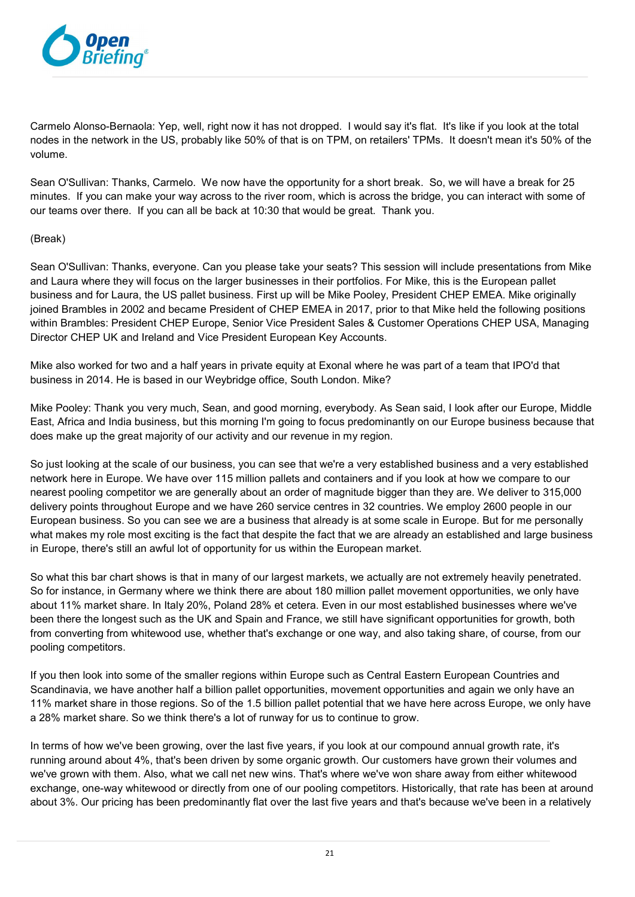

Carmelo Alonso-Bernaola: Yep, well, right now it has not dropped. I would say it's flat. It's like if you look at the total nodes in the network in the US, probably like 50% of that is on TPM, on retailers' TPMs. It doesn't mean it's 50% of the volume.

Sean O'Sullivan: Thanks, Carmelo. We now have the opportunity for a short break. So, we will have a break for 25 minutes. If you can make your way across to the river room, which is across the bridge, you can interact with some of our teams over there. If you can all be back at 10:30 that would be great. Thank you.

#### (Break)

Sean O'Sullivan: Thanks, everyone. Can you please take your seats? This session will include presentations from Mike and Laura where they will focus on the larger businesses in their portfolios. For Mike, this is the European pallet business and for Laura, the US pallet business. First up will be Mike Pooley, President CHEP EMEA. Mike originally joined Brambles in 2002 and became President of CHEP EMEA in 2017, prior to that Mike held the following positions within Brambles: President CHEP Europe, Senior Vice President Sales & Customer Operations CHEP USA, Managing Director CHEP UK and Ireland and Vice President European Key Accounts.

Mike also worked for two and a half years in private equity at Exonal where he was part of a team that IPO'd that business in 2014. He is based in our Weybridge office, South London. Mike?

Mike Pooley: Thank you very much, Sean, and good morning, everybody. As Sean said, I look after our Europe, Middle East, Africa and India business, but this morning I'm going to focus predominantly on our Europe business because that does make up the great majority of our activity and our revenue in my region.

So just looking at the scale of our business, you can see that we're a very established business and a very established network here in Europe. We have over 115 million pallets and containers and if you look at how we compare to our nearest pooling competitor we are generally about an order of magnitude bigger than they are. We deliver to 315,000 delivery points throughout Europe and we have 260 service centres in 32 countries. We employ 2600 people in our European business. So you can see we are a business that already is at some scale in Europe. But for me personally what makes my role most exciting is the fact that despite the fact that we are already an established and large business in Europe, there's still an awful lot of opportunity for us within the European market.

So what this bar chart shows is that in many of our largest markets, we actually are not extremely heavily penetrated. So for instance, in Germany where we think there are about 180 million pallet movement opportunities, we only have about 11% market share. In Italy 20%, Poland 28% et cetera. Even in our most established businesses where we've been there the longest such as the UK and Spain and France, we still have significant opportunities for growth, both from converting from whitewood use, whether that's exchange or one way, and also taking share, of course, from our pooling competitors.

If you then look into some of the smaller regions within Europe such as Central Eastern European Countries and Scandinavia, we have another half a billion pallet opportunities, movement opportunities and again we only have an 11% market share in those regions. So of the 1.5 billion pallet potential that we have here across Europe, we only have a 28% market share. So we think there's a lot of runway for us to continue to grow.

In terms of how we've been growing, over the last five years, if you look at our compound annual growth rate, it's running around about 4%, that's been driven by some organic growth. Our customers have grown their volumes and we've grown with them. Also, what we call net new wins. That's where we've won share away from either whitewood exchange, one-way whitewood or directly from one of our pooling competitors. Historically, that rate has been at around about 3%. Our pricing has been predominantly flat over the last five years and that's because we've been in a relatively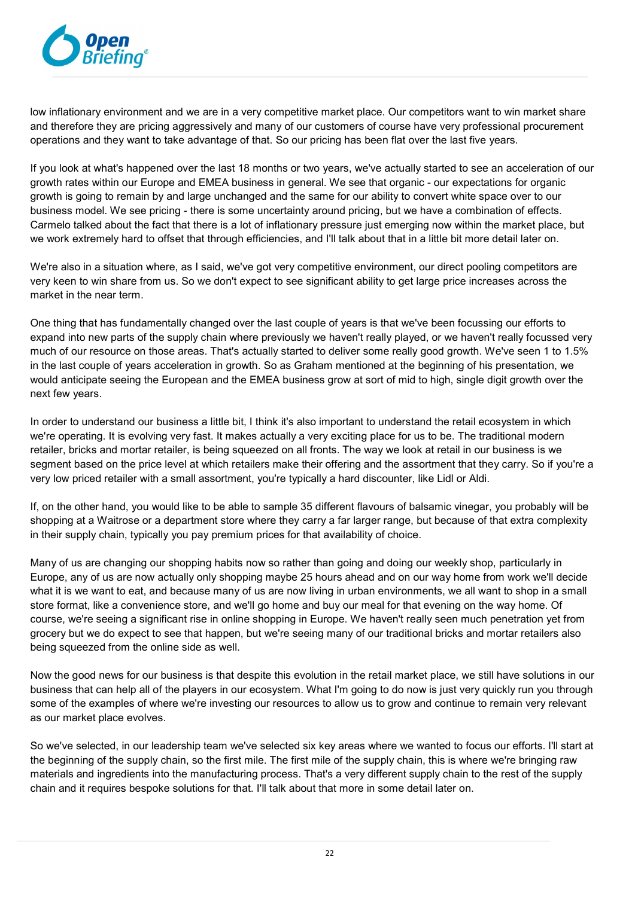

low inflationary environment and we are in a very competitive market place. Our competitors want to win market share and therefore they are pricing aggressively and many of our customers of course have very professional procurement operations and they want to take advantage of that. So our pricing has been flat over the last five years.

If you look at what's happened over the last 18 months or two years, we've actually started to see an acceleration of our growth rates within our Europe and EMEA business in general. We see that organic - our expectations for organic growth is going to remain by and large unchanged and the same for our ability to convert white space over to our business model. We see pricing - there is some uncertainty around pricing, but we have a combination of effects. Carmelo talked about the fact that there is a lot of inflationary pressure just emerging now within the market place, but we work extremely hard to offset that through efficiencies, and I'll talk about that in a little bit more detail later on.

We're also in a situation where, as I said, we've got very competitive environment, our direct pooling competitors are very keen to win share from us. So we don't expect to see significant ability to get large price increases across the market in the near term.

One thing that has fundamentally changed over the last couple of years is that we've been focussing our efforts to expand into new parts of the supply chain where previously we haven't really played, or we haven't really focussed very much of our resource on those areas. That's actually started to deliver some really good growth. We've seen 1 to 1.5% in the last couple of years acceleration in growth. So as Graham mentioned at the beginning of his presentation, we would anticipate seeing the European and the EMEA business grow at sort of mid to high, single digit growth over the next few years.

In order to understand our business a little bit, I think it's also important to understand the retail ecosystem in which we're operating. It is evolving very fast. It makes actually a very exciting place for us to be. The traditional modern retailer, bricks and mortar retailer, is being squeezed on all fronts. The way we look at retail in our business is we segment based on the price level at which retailers make their offering and the assortment that they carry. So if you're a very low priced retailer with a small assortment, you're typically a hard discounter, like Lidl or Aldi.

If, on the other hand, you would like to be able to sample 35 different flavours of balsamic vinegar, you probably will be shopping at a Waitrose or a department store where they carry a far larger range, but because of that extra complexity in their supply chain, typically you pay premium prices for that availability of choice.

Many of us are changing our shopping habits now so rather than going and doing our weekly shop, particularly in Europe, any of us are now actually only shopping maybe 25 hours ahead and on our way home from work we'll decide what it is we want to eat, and because many of us are now living in urban environments, we all want to shop in a small store format, like a convenience store, and we'll go home and buy our meal for that evening on the way home. Of course, we're seeing a significant rise in online shopping in Europe. We haven't really seen much penetration yet from grocery but we do expect to see that happen, but we're seeing many of our traditional bricks and mortar retailers also being squeezed from the online side as well.

Now the good news for our business is that despite this evolution in the retail market place, we still have solutions in our business that can help all of the players in our ecosystem. What I'm going to do now is just very quickly run you through some of the examples of where we're investing our resources to allow us to grow and continue to remain very relevant as our market place evolves.

So we've selected, in our leadership team we've selected six key areas where we wanted to focus our efforts. I'll start at the beginning of the supply chain, so the first mile. The first mile of the supply chain, this is where we're bringing raw materials and ingredients into the manufacturing process. That's a very different supply chain to the rest of the supply chain and it requires bespoke solutions for that. I'll talk about that more in some detail later on.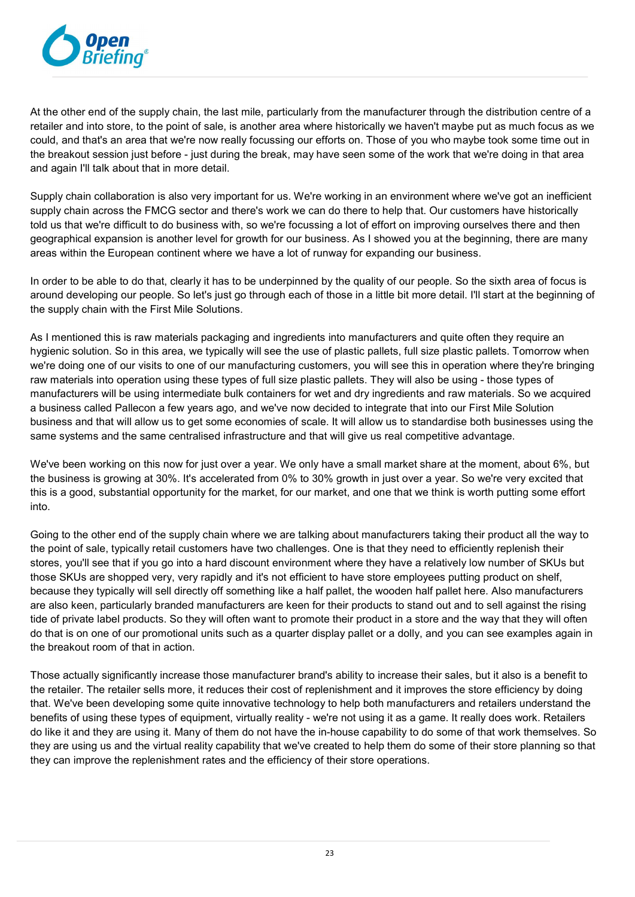

At the other end of the supply chain, the last mile, particularly from the manufacturer through the distribution centre of a retailer and into store, to the point of sale, is another area where historically we haven't maybe put as much focus as we could, and that's an area that we're now really focussing our efforts on. Those of you who maybe took some time out in the breakout session just before - just during the break, may have seen some of the work that we're doing in that area and again I'll talk about that in more detail.

Supply chain collaboration is also very important for us. We're working in an environment where we've got an inefficient supply chain across the FMCG sector and there's work we can do there to help that. Our customers have historically told us that we're difficult to do business with, so we're focussing a lot of effort on improving ourselves there and then geographical expansion is another level for growth for our business. As I showed you at the beginning, there are many areas within the European continent where we have a lot of runway for expanding our business.

In order to be able to do that, clearly it has to be underpinned by the quality of our people. So the sixth area of focus is around developing our people. So let's just go through each of those in a little bit more detail. I'll start at the beginning of the supply chain with the First Mile Solutions.

As I mentioned this is raw materials packaging and ingredients into manufacturers and quite often they require an hygienic solution. So in this area, we typically will see the use of plastic pallets, full size plastic pallets. Tomorrow when we're doing one of our visits to one of our manufacturing customers, you will see this in operation where they're bringing raw materials into operation using these types of full size plastic pallets. They will also be using - those types of manufacturers will be using intermediate bulk containers for wet and dry ingredients and raw materials. So we acquired a business called Pallecon a few years ago, and we've now decided to integrate that into our First Mile Solution business and that will allow us to get some economies of scale. It will allow us to standardise both businesses using the same systems and the same centralised infrastructure and that will give us real competitive advantage.

We've been working on this now for just over a year. We only have a small market share at the moment, about 6%, but the business is growing at 30%. It's accelerated from 0% to 30% growth in just over a year. So we're very excited that this is a good, substantial opportunity for the market, for our market, and one that we think is worth putting some effort into.

Going to the other end of the supply chain where we are talking about manufacturers taking their product all the way to the point of sale, typically retail customers have two challenges. One is that they need to efficiently replenish their stores, you'll see that if you go into a hard discount environment where they have a relatively low number of SKUs but those SKUs are shopped very, very rapidly and it's not efficient to have store employees putting product on shelf, because they typically will sell directly off something like a half pallet, the wooden half pallet here. Also manufacturers are also keen, particularly branded manufacturers are keen for their products to stand out and to sell against the rising tide of private label products. So they will often want to promote their product in a store and the way that they will often do that is on one of our promotional units such as a quarter display pallet or a dolly, and you can see examples again in the breakout room of that in action.

Those actually significantly increase those manufacturer brand's ability to increase their sales, but it also is a benefit to the retailer. The retailer sells more, it reduces their cost of replenishment and it improves the store efficiency by doing that. We've been developing some quite innovative technology to help both manufacturers and retailers understand the benefits of using these types of equipment, virtually reality - we're not using it as a game. It really does work. Retailers do like it and they are using it. Many of them do not have the in-house capability to do some of that work themselves. So they are using us and the virtual reality capability that we've created to help them do some of their store planning so that they can improve the replenishment rates and the efficiency of their store operations.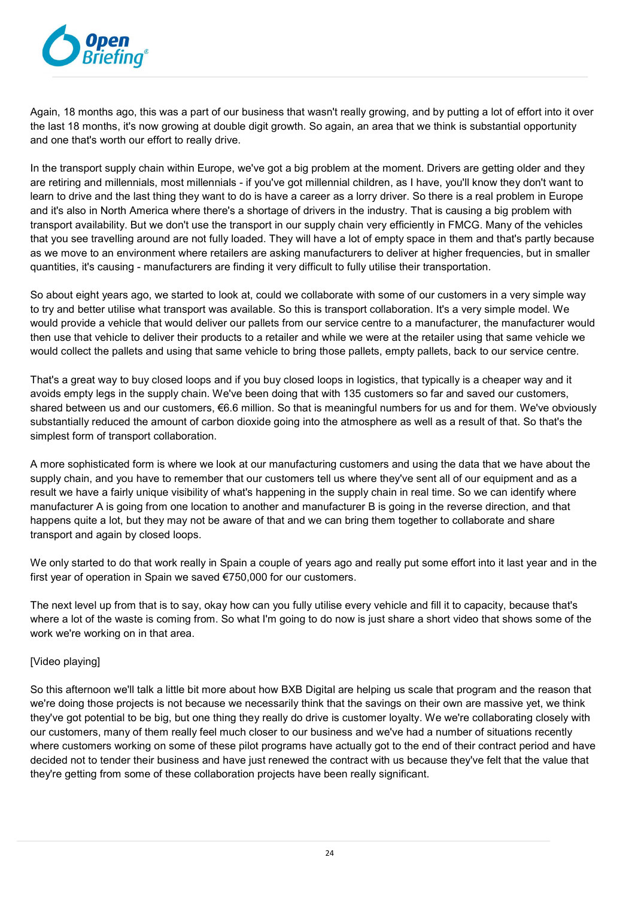

Again, 18 months ago, this was a part of our business that wasn't really growing, and by putting a lot of effort into it over the last 18 months, it's now growing at double digit growth. So again, an area that we think is substantial opportunity and one that's worth our effort to really drive.

In the transport supply chain within Europe, we've got a big problem at the moment. Drivers are getting older and they are retiring and millennials, most millennials - if you've got millennial children, as I have, you'll know they don't want to learn to drive and the last thing they want to do is have a career as a lorry driver. So there is a real problem in Europe and it's also in North America where there's a shortage of drivers in the industry. That is causing a big problem with transport availability. But we don't use the transport in our supply chain very efficiently in FMCG. Many of the vehicles that you see travelling around are not fully loaded. They will have a lot of empty space in them and that's partly because as we move to an environment where retailers are asking manufacturers to deliver at higher frequencies, but in smaller quantities, it's causing - manufacturers are finding it very difficult to fully utilise their transportation.

So about eight years ago, we started to look at, could we collaborate with some of our customers in a very simple way to try and better utilise what transport was available. So this is transport collaboration. It's a very simple model. We would provide a vehicle that would deliver our pallets from our service centre to a manufacturer, the manufacturer would then use that vehicle to deliver their products to a retailer and while we were at the retailer using that same vehicle we would collect the pallets and using that same vehicle to bring those pallets, empty pallets, back to our service centre.

That's a great way to buy closed loops and if you buy closed loops in logistics, that typically is a cheaper way and it avoids empty legs in the supply chain. We've been doing that with 135 customers so far and saved our customers, shared between us and our customers, €6.6 million. So that is meaningful numbers for us and for them. We've obviously substantially reduced the amount of carbon dioxide going into the atmosphere as well as a result of that. So that's the simplest form of transport collaboration.

A more sophisticated form is where we look at our manufacturing customers and using the data that we have about the supply chain, and you have to remember that our customers tell us where they've sent all of our equipment and as a result we have a fairly unique visibility of what's happening in the supply chain in real time. So we can identify where manufacturer A is going from one location to another and manufacturer B is going in the reverse direction, and that happens quite a lot, but they may not be aware of that and we can bring them together to collaborate and share transport and again by closed loops.

We only started to do that work really in Spain a couple of years ago and really put some effort into it last year and in the first year of operation in Spain we saved €750,000 for our customers.

The next level up from that is to say, okay how can you fully utilise every vehicle and fill it to capacity, because that's where a lot of the waste is coming from. So what I'm going to do now is just share a short video that shows some of the work we're working on in that area.

# [Video playing]

So this afternoon we'll talk a little bit more about how BXB Digital are helping us scale that program and the reason that we're doing those projects is not because we necessarily think that the savings on their own are massive yet, we think they've got potential to be big, but one thing they really do drive is customer loyalty. We we're collaborating closely with our customers, many of them really feel much closer to our business and we've had a number of situations recently where customers working on some of these pilot programs have actually got to the end of their contract period and have decided not to tender their business and have just renewed the contract with us because they've felt that the value that they're getting from some of these collaboration projects have been really significant.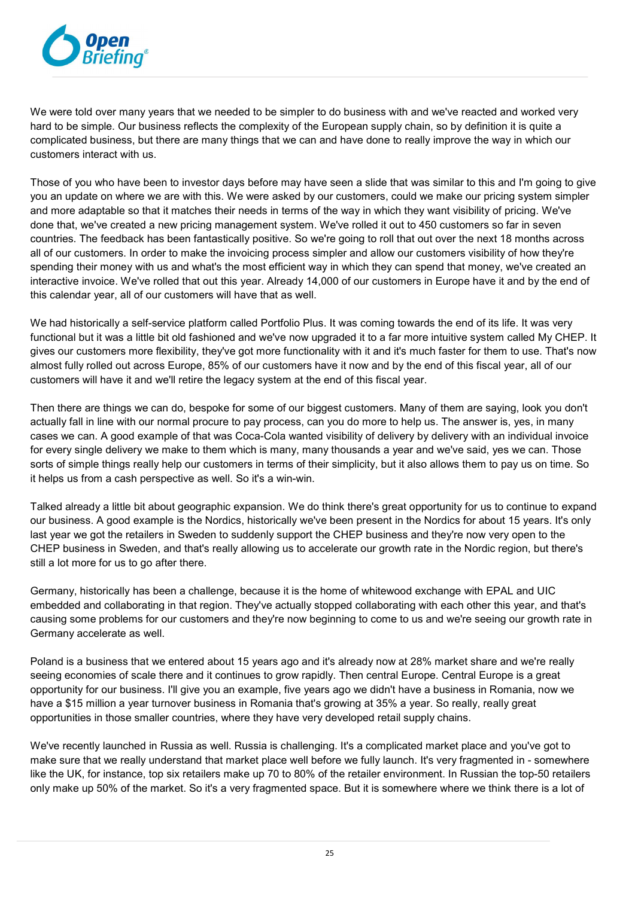

We were told over many years that we needed to be simpler to do business with and we've reacted and worked very hard to be simple. Our business reflects the complexity of the European supply chain, so by definition it is quite a complicated business, but there are many things that we can and have done to really improve the way in which our customers interact with us.

Those of you who have been to investor days before may have seen a slide that was similar to this and I'm going to give you an update on where we are with this. We were asked by our customers, could we make our pricing system simpler and more adaptable so that it matches their needs in terms of the way in which they want visibility of pricing. We've done that, we've created a new pricing management system. We've rolled it out to 450 customers so far in seven countries. The feedback has been fantastically positive. So we're going to roll that out over the next 18 months across all of our customers. In order to make the invoicing process simpler and allow our customers visibility of how they're spending their money with us and what's the most efficient way in which they can spend that money, we've created an interactive invoice. We've rolled that out this year. Already 14,000 of our customers in Europe have it and by the end of this calendar year, all of our customers will have that as well.

We had historically a self-service platform called Portfolio Plus. It was coming towards the end of its life. It was very functional but it was a little bit old fashioned and we've now upgraded it to a far more intuitive system called My CHEP. It gives our customers more flexibility, they've got more functionality with it and it's much faster for them to use. That's now almost fully rolled out across Europe, 85% of our customers have it now and by the end of this fiscal year, all of our customers will have it and we'll retire the legacy system at the end of this fiscal year.

Then there are things we can do, bespoke for some of our biggest customers. Many of them are saying, look you don't actually fall in line with our normal procure to pay process, can you do more to help us. The answer is, yes, in many cases we can. A good example of that was Coca-Cola wanted visibility of delivery by delivery with an individual invoice for every single delivery we make to them which is many, many thousands a year and we've said, yes we can. Those sorts of simple things really help our customers in terms of their simplicity, but it also allows them to pay us on time. So it helps us from a cash perspective as well. So it's a win-win.

Talked already a little bit about geographic expansion. We do think there's great opportunity for us to continue to expand our business. A good example is the Nordics, historically we've been present in the Nordics for about 15 years. It's only last year we got the retailers in Sweden to suddenly support the CHEP business and they're now very open to the CHEP business in Sweden, and that's really allowing us to accelerate our growth rate in the Nordic region, but there's still a lot more for us to go after there.

Germany, historically has been a challenge, because it is the home of whitewood exchange with EPAL and UIC embedded and collaborating in that region. They've actually stopped collaborating with each other this year, and that's causing some problems for our customers and they're now beginning to come to us and we're seeing our growth rate in Germany accelerate as well.

Poland is a business that we entered about 15 years ago and it's already now at 28% market share and we're really seeing economies of scale there and it continues to grow rapidly. Then central Europe. Central Europe is a great opportunity for our business. I'll give you an example, five years ago we didn't have a business in Romania, now we have a \$15 million a year turnover business in Romania that's growing at 35% a year. So really, really great opportunities in those smaller countries, where they have very developed retail supply chains.

We've recently launched in Russia as well. Russia is challenging. It's a complicated market place and you've got to make sure that we really understand that market place well before we fully launch. It's very fragmented in - somewhere like the UK, for instance, top six retailers make up 70 to 80% of the retailer environment. In Russian the top-50 retailers only make up 50% of the market. So it's a very fragmented space. But it is somewhere where we think there is a lot of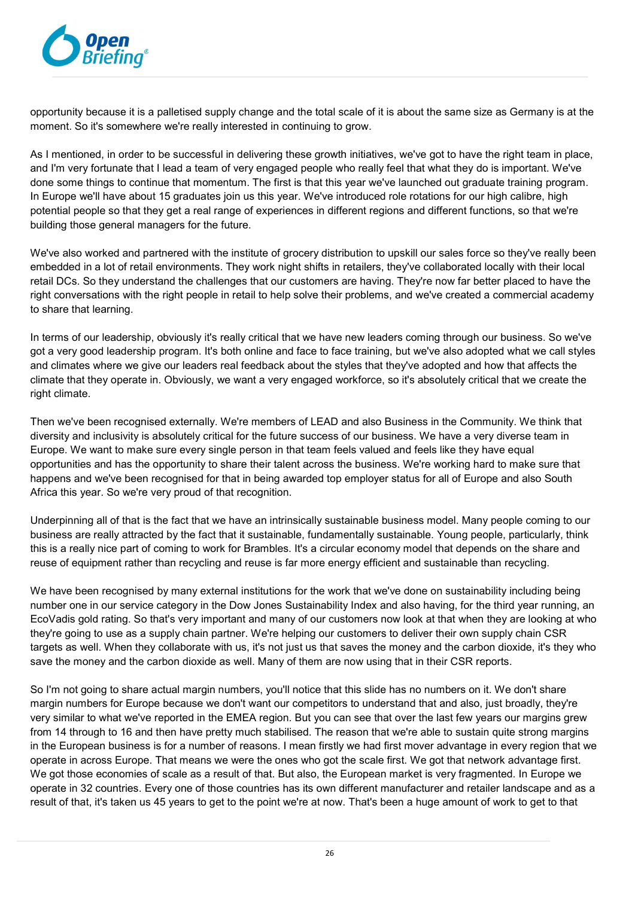

opportunity because it is a palletised supply change and the total scale of it is about the same size as Germany is at the moment. So it's somewhere we're really interested in continuing to grow.

As I mentioned, in order to be successful in delivering these growth initiatives, we've got to have the right team in place, and I'm very fortunate that I lead a team of very engaged people who really feel that what they do is important. We've done some things to continue that momentum. The first is that this year we've launched out graduate training program. In Europe we'll have about 15 graduates join us this year. We've introduced role rotations for our high calibre, high potential people so that they get a real range of experiences in different regions and different functions, so that we're building those general managers for the future.

We've also worked and partnered with the institute of grocery distribution to upskill our sales force so they've really been embedded in a lot of retail environments. They work night shifts in retailers, they've collaborated locally with their local retail DCs. So they understand the challenges that our customers are having. They're now far better placed to have the right conversations with the right people in retail to help solve their problems, and we've created a commercial academy to share that learning.

In terms of our leadership, obviously it's really critical that we have new leaders coming through our business. So we've got a very good leadership program. It's both online and face to face training, but we've also adopted what we call styles and climates where we give our leaders real feedback about the styles that they've adopted and how that affects the climate that they operate in. Obviously, we want a very engaged workforce, so it's absolutely critical that we create the right climate.

Then we've been recognised externally. We're members of LEAD and also Business in the Community. We think that diversity and inclusivity is absolutely critical for the future success of our business. We have a very diverse team in Europe. We want to make sure every single person in that team feels valued and feels like they have equal opportunities and has the opportunity to share their talent across the business. We're working hard to make sure that happens and we've been recognised for that in being awarded top employer status for all of Europe and also South Africa this year. So we're very proud of that recognition.

Underpinning all of that is the fact that we have an intrinsically sustainable business model. Many people coming to our business are really attracted by the fact that it sustainable, fundamentally sustainable. Young people, particularly, think this is a really nice part of coming to work for Brambles. It's a circular economy model that depends on the share and reuse of equipment rather than recycling and reuse is far more energy efficient and sustainable than recycling.

We have been recognised by many external institutions for the work that we've done on sustainability including being number one in our service category in the Dow Jones Sustainability Index and also having, for the third year running, an EcoVadis gold rating. So that's very important and many of our customers now look at that when they are looking at who they're going to use as a supply chain partner. We're helping our customers to deliver their own supply chain CSR targets as well. When they collaborate with us, it's not just us that saves the money and the carbon dioxide, it's they who save the money and the carbon dioxide as well. Many of them are now using that in their CSR reports.

So I'm not going to share actual margin numbers, you'll notice that this slide has no numbers on it. We don't share margin numbers for Europe because we don't want our competitors to understand that and also, just broadly, they're very similar to what we've reported in the EMEA region. But you can see that over the last few years our margins grew from 14 through to 16 and then have pretty much stabilised. The reason that we're able to sustain quite strong margins in the European business is for a number of reasons. I mean firstly we had first mover advantage in every region that we operate in across Europe. That means we were the ones who got the scale first. We got that network advantage first. We got those economies of scale as a result of that. But also, the European market is very fragmented. In Europe we operate in 32 countries. Every one of those countries has its own different manufacturer and retailer landscape and as a result of that, it's taken us 45 years to get to the point we're at now. That's been a huge amount of work to get to that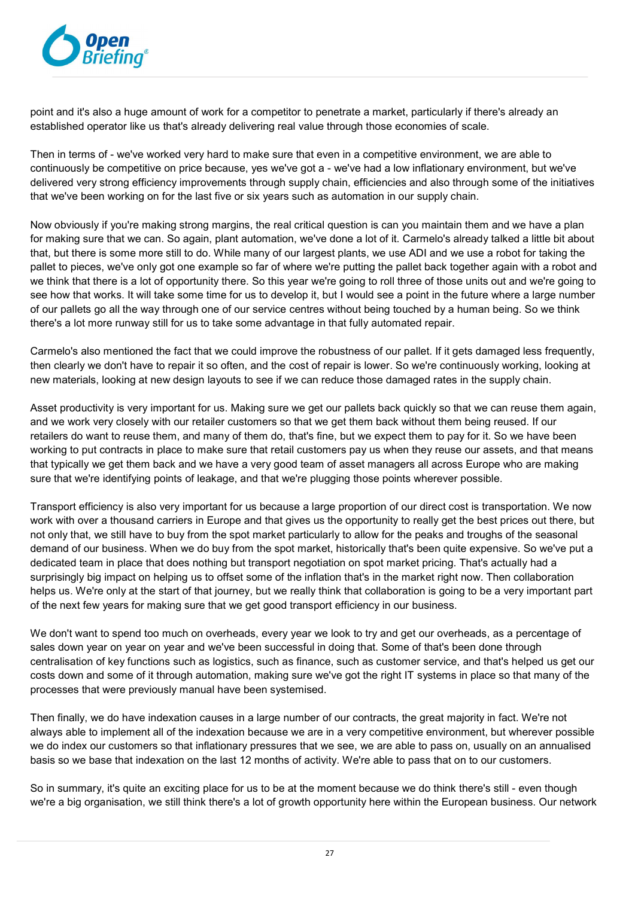

point and it's also a huge amount of work for a competitor to penetrate a market, particularly if there's already an established operator like us that's already delivering real value through those economies of scale.

Then in terms of - we've worked very hard to make sure that even in a competitive environment, we are able to continuously be competitive on price because, yes we've got a - we've had a low inflationary environment, but we've delivered very strong efficiency improvements through supply chain, efficiencies and also through some of the initiatives that we've been working on for the last five or six years such as automation in our supply chain.

Now obviously if you're making strong margins, the real critical question is can you maintain them and we have a plan for making sure that we can. So again, plant automation, we've done a lot of it. Carmelo's already talked a little bit about that, but there is some more still to do. While many of our largest plants, we use ADI and we use a robot for taking the pallet to pieces, we've only got one example so far of where we're putting the pallet back together again with a robot and we think that there is a lot of opportunity there. So this year we're going to roll three of those units out and we're going to see how that works. It will take some time for us to develop it, but I would see a point in the future where a large number of our pallets go all the way through one of our service centres without being touched by a human being. So we think there's a lot more runway still for us to take some advantage in that fully automated repair.

Carmelo's also mentioned the fact that we could improve the robustness of our pallet. If it gets damaged less frequently, then clearly we don't have to repair it so often, and the cost of repair is lower. So we're continuously working, looking at new materials, looking at new design layouts to see if we can reduce those damaged rates in the supply chain.

Asset productivity is very important for us. Making sure we get our pallets back quickly so that we can reuse them again, and we work very closely with our retailer customers so that we get them back without them being reused. If our retailers do want to reuse them, and many of them do, that's fine, but we expect them to pay for it. So we have been working to put contracts in place to make sure that retail customers pay us when they reuse our assets, and that means that typically we get them back and we have a very good team of asset managers all across Europe who are making sure that we're identifying points of leakage, and that we're plugging those points wherever possible.

Transport efficiency is also very important for us because a large proportion of our direct cost is transportation. We now work with over a thousand carriers in Europe and that gives us the opportunity to really get the best prices out there, but not only that, we still have to buy from the spot market particularly to allow for the peaks and troughs of the seasonal demand of our business. When we do buy from the spot market, historically that's been quite expensive. So we've put a dedicated team in place that does nothing but transport negotiation on spot market pricing. That's actually had a surprisingly big impact on helping us to offset some of the inflation that's in the market right now. Then collaboration helps us. We're only at the start of that journey, but we really think that collaboration is going to be a very important part of the next few years for making sure that we get good transport efficiency in our business.

We don't want to spend too much on overheads, every year we look to try and get our overheads, as a percentage of sales down year on year on year and we've been successful in doing that. Some of that's been done through centralisation of key functions such as logistics, such as finance, such as customer service, and that's helped us get our costs down and some of it through automation, making sure we've got the right IT systems in place so that many of the processes that were previously manual have been systemised.

Then finally, we do have indexation causes in a large number of our contracts, the great majority in fact. We're not always able to implement all of the indexation because we are in a very competitive environment, but wherever possible we do index our customers so that inflationary pressures that we see, we are able to pass on, usually on an annualised basis so we base that indexation on the last 12 months of activity. We're able to pass that on to our customers.

So in summary, it's quite an exciting place for us to be at the moment because we do think there's still - even though we're a big organisation, we still think there's a lot of growth opportunity here within the European business. Our network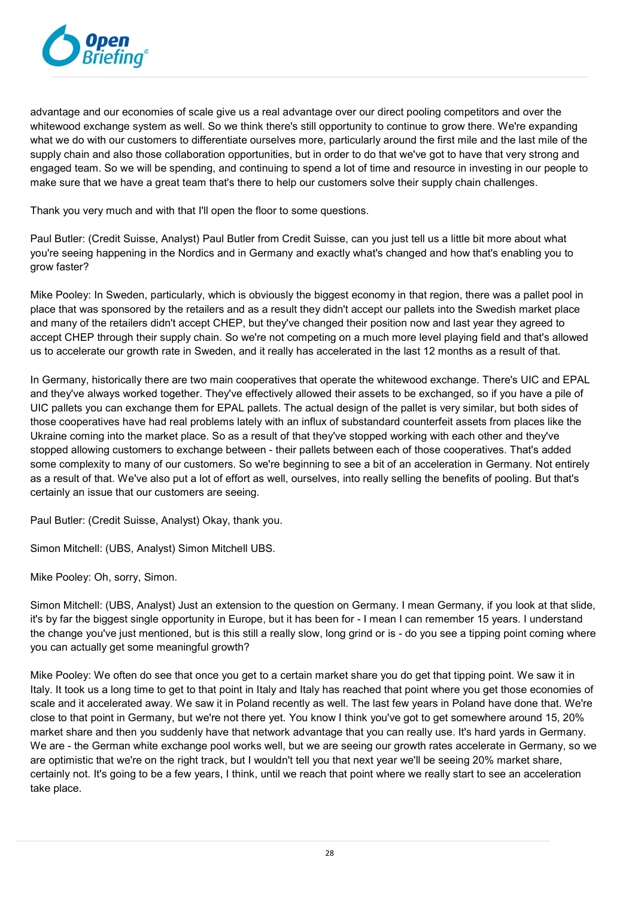

advantage and our economies of scale give us a real advantage over our direct pooling competitors and over the whitewood exchange system as well. So we think there's still opportunity to continue to grow there. We're expanding what we do with our customers to differentiate ourselves more, particularly around the first mile and the last mile of the supply chain and also those collaboration opportunities, but in order to do that we've got to have that very strong and engaged team. So we will be spending, and continuing to spend a lot of time and resource in investing in our people to make sure that we have a great team that's there to help our customers solve their supply chain challenges.

Thank you very much and with that I'll open the floor to some questions.

Paul Butler: (Credit Suisse, Analyst) Paul Butler from Credit Suisse, can you just tell us a little bit more about what you're seeing happening in the Nordics and in Germany and exactly what's changed and how that's enabling you to grow faster?

Mike Pooley: In Sweden, particularly, which is obviously the biggest economy in that region, there was a pallet pool in place that was sponsored by the retailers and as a result they didn't accept our pallets into the Swedish market place and many of the retailers didn't accept CHEP, but they've changed their position now and last year they agreed to accept CHEP through their supply chain. So we're not competing on a much more level playing field and that's allowed us to accelerate our growth rate in Sweden, and it really has accelerated in the last 12 months as a result of that.

In Germany, historically there are two main cooperatives that operate the whitewood exchange. There's UIC and EPAL and they've always worked together. They've effectively allowed their assets to be exchanged, so if you have a pile of UIC pallets you can exchange them for EPAL pallets. The actual design of the pallet is very similar, but both sides of those cooperatives have had real problems lately with an influx of substandard counterfeit assets from places like the Ukraine coming into the market place. So as a result of that they've stopped working with each other and they've stopped allowing customers to exchange between - their pallets between each of those cooperatives. That's added some complexity to many of our customers. So we're beginning to see a bit of an acceleration in Germany. Not entirely as a result of that. We've also put a lot of effort as well, ourselves, into really selling the benefits of pooling. But that's certainly an issue that our customers are seeing.

Paul Butler: (Credit Suisse, Analyst) Okay, thank you.

Simon Mitchell: (UBS, Analyst) Simon Mitchell UBS.

Mike Pooley: Oh, sorry, Simon.

Simon Mitchell: (UBS, Analyst) Just an extension to the question on Germany. I mean Germany, if you look at that slide, it's by far the biggest single opportunity in Europe, but it has been for - I mean I can remember 15 years. I understand the change you've just mentioned, but is this still a really slow, long grind or is - do you see a tipping point coming where you can actually get some meaningful growth?

Mike Pooley: We often do see that once you get to a certain market share you do get that tipping point. We saw it in Italy. It took us a long time to get to that point in Italy and Italy has reached that point where you get those economies of scale and it accelerated away. We saw it in Poland recently as well. The last few years in Poland have done that. We're close to that point in Germany, but we're not there yet. You know I think you've got to get somewhere around 15, 20% market share and then you suddenly have that network advantage that you can really use. It's hard yards in Germany. We are - the German white exchange pool works well, but we are seeing our growth rates accelerate in Germany, so we are optimistic that we're on the right track, but I wouldn't tell you that next year we'll be seeing 20% market share, certainly not. It's going to be a few years, I think, until we reach that point where we really start to see an acceleration take place.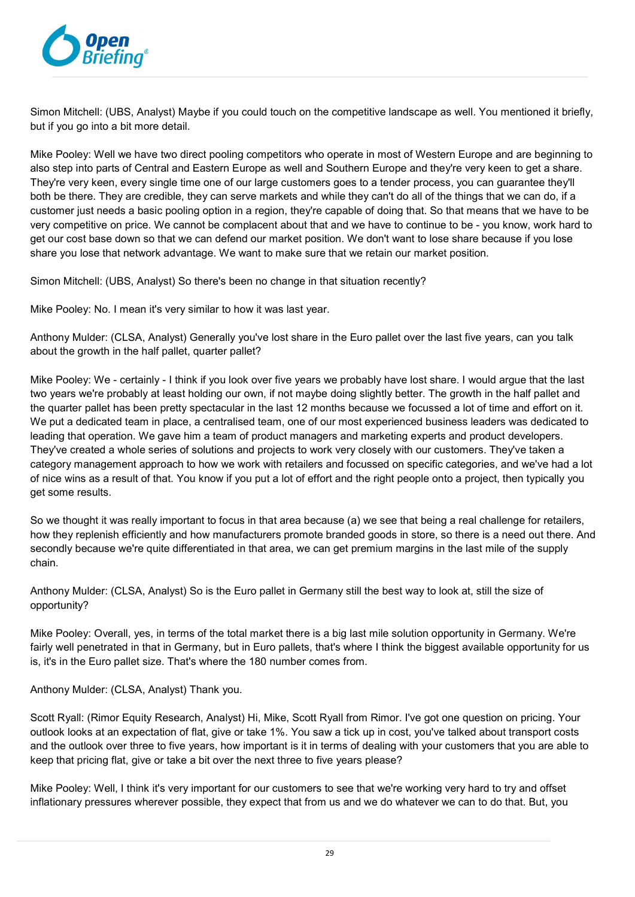

Simon Mitchell: (UBS, Analyst) Maybe if you could touch on the competitive landscape as well. You mentioned it briefly, but if you go into a bit more detail.

Mike Pooley: Well we have two direct pooling competitors who operate in most of Western Europe and are beginning to also step into parts of Central and Eastern Europe as well and Southern Europe and they're very keen to get a share. They're very keen, every single time one of our large customers goes to a tender process, you can guarantee they'll both be there. They are credible, they can serve markets and while they can't do all of the things that we can do, if a customer just needs a basic pooling option in a region, they're capable of doing that. So that means that we have to be very competitive on price. We cannot be complacent about that and we have to continue to be - you know, work hard to get our cost base down so that we can defend our market position. We don't want to lose share because if you lose share you lose that network advantage. We want to make sure that we retain our market position.

Simon Mitchell: (UBS, Analyst) So there's been no change in that situation recently?

Mike Pooley: No. I mean it's very similar to how it was last year.

Anthony Mulder: (CLSA, Analyst) Generally you've lost share in the Euro pallet over the last five years, can you talk about the growth in the half pallet, quarter pallet?

Mike Pooley: We - certainly - I think if you look over five years we probably have lost share. I would argue that the last two years we're probably at least holding our own, if not maybe doing slightly better. The growth in the half pallet and the quarter pallet has been pretty spectacular in the last 12 months because we focussed a lot of time and effort on it. We put a dedicated team in place, a centralised team, one of our most experienced business leaders was dedicated to leading that operation. We gave him a team of product managers and marketing experts and product developers. They've created a whole series of solutions and projects to work very closely with our customers. They've taken a category management approach to how we work with retailers and focussed on specific categories, and we've had a lot of nice wins as a result of that. You know if you put a lot of effort and the right people onto a project, then typically you get some results.

So we thought it was really important to focus in that area because (a) we see that being a real challenge for retailers, how they replenish efficiently and how manufacturers promote branded goods in store, so there is a need out there. And secondly because we're quite differentiated in that area, we can get premium margins in the last mile of the supply chain.

Anthony Mulder: (CLSA, Analyst) So is the Euro pallet in Germany still the best way to look at, still the size of opportunity?

Mike Pooley: Overall, yes, in terms of the total market there is a big last mile solution opportunity in Germany. We're fairly well penetrated in that in Germany, but in Euro pallets, that's where I think the biggest available opportunity for us is, it's in the Euro pallet size. That's where the 180 number comes from.

Anthony Mulder: (CLSA, Analyst) Thank you.

Scott Ryall: (Rimor Equity Research, Analyst) Hi, Mike, Scott Ryall from Rimor. I've got one question on pricing. Your outlook looks at an expectation of flat, give or take 1%. You saw a tick up in cost, you've talked about transport costs and the outlook over three to five years, how important is it in terms of dealing with your customers that you are able to keep that pricing flat, give or take a bit over the next three to five years please?

Mike Pooley: Well, I think it's very important for our customers to see that we're working very hard to try and offset inflationary pressures wherever possible, they expect that from us and we do whatever we can to do that. But, you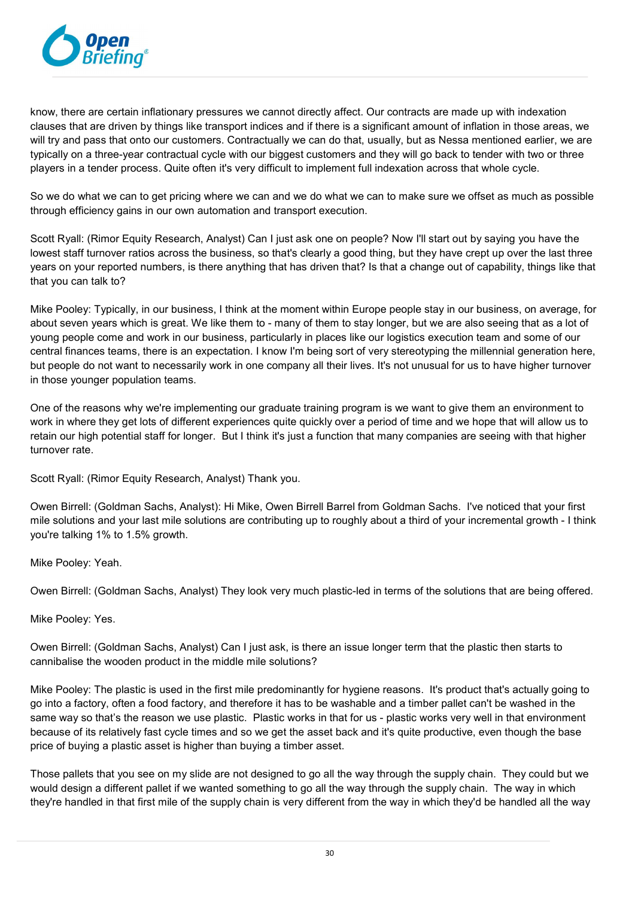

know, there are certain inflationary pressures we cannot directly affect. Our contracts are made up with indexation clauses that are driven by things like transport indices and if there is a significant amount of inflation in those areas, we will try and pass that onto our customers. Contractually we can do that, usually, but as Nessa mentioned earlier, we are typically on a three-year contractual cycle with our biggest customers and they will go back to tender with two or three players in a tender process. Quite often it's very difficult to implement full indexation across that whole cycle.

So we do what we can to get pricing where we can and we do what we can to make sure we offset as much as possible through efficiency gains in our own automation and transport execution.

Scott Ryall: (Rimor Equity Research, Analyst) Can I just ask one on people? Now I'll start out by saying you have the lowest staff turnover ratios across the business, so that's clearly a good thing, but they have crept up over the last three years on your reported numbers, is there anything that has driven that? Is that a change out of capability, things like that that you can talk to?

Mike Pooley: Typically, in our business, I think at the moment within Europe people stay in our business, on average, for about seven years which is great. We like them to - many of them to stay longer, but we are also seeing that as a lot of young people come and work in our business, particularly in places like our logistics execution team and some of our central finances teams, there is an expectation. I know I'm being sort of very stereotyping the millennial generation here, but people do not want to necessarily work in one company all their lives. It's not unusual for us to have higher turnover in those younger population teams.

One of the reasons why we're implementing our graduate training program is we want to give them an environment to work in where they get lots of different experiences quite quickly over a period of time and we hope that will allow us to retain our high potential staff for longer. But I think it's just a function that many companies are seeing with that higher turnover rate.

Scott Ryall: (Rimor Equity Research, Analyst) Thank you.

Owen Birrell: (Goldman Sachs, Analyst): Hi Mike, Owen Birrell Barrel from Goldman Sachs. I've noticed that your first mile solutions and your last mile solutions are contributing up to roughly about a third of your incremental growth - I think you're talking 1% to 1.5% growth.

Mike Pooley: Yeah.

Owen Birrell: (Goldman Sachs, Analyst) They look very much plastic-led in terms of the solutions that are being offered.

Mike Pooley: Yes.

Owen Birrell: (Goldman Sachs, Analyst) Can I just ask, is there an issue longer term that the plastic then starts to cannibalise the wooden product in the middle mile solutions?

Mike Pooley: The plastic is used in the first mile predominantly for hygiene reasons. It's product that's actually going to go into a factory, often a food factory, and therefore it has to be washable and a timber pallet can't be washed in the same way so that's the reason we use plastic. Plastic works in that for us - plastic works very well in that environment because of its relatively fast cycle times and so we get the asset back and it's quite productive, even though the base price of buying a plastic asset is higher than buying a timber asset.

Those pallets that you see on my slide are not designed to go all the way through the supply chain. They could but we would design a different pallet if we wanted something to go all the way through the supply chain. The way in which they're handled in that first mile of the supply chain is very different from the way in which they'd be handled all the way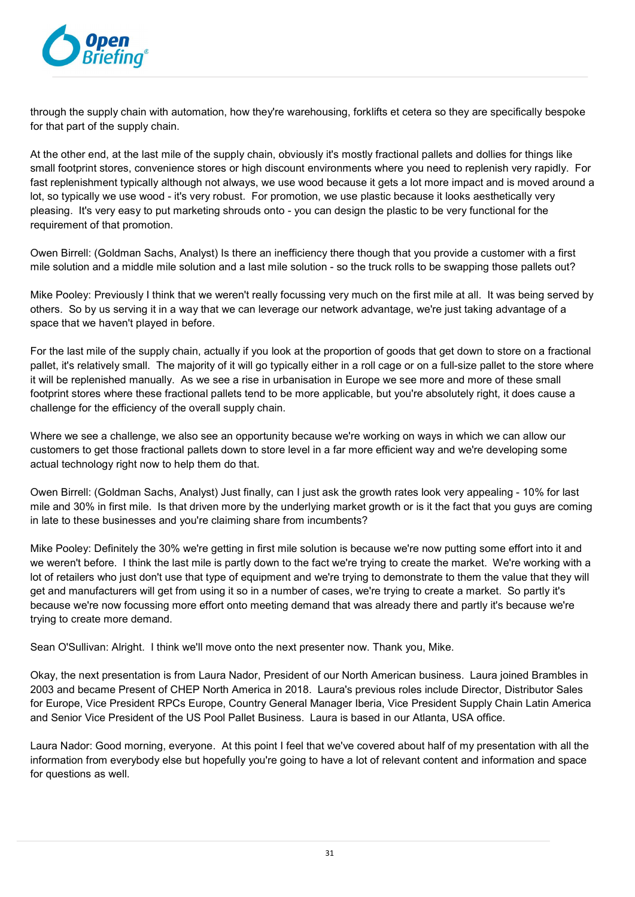

through the supply chain with automation, how they're warehousing, forklifts et cetera so they are specifically bespoke for that part of the supply chain.

At the other end, at the last mile of the supply chain, obviously it's mostly fractional pallets and dollies for things like small footprint stores, convenience stores or high discount environments where you need to replenish very rapidly. For fast replenishment typically although not always, we use wood because it gets a lot more impact and is moved around a lot, so typically we use wood - it's very robust. For promotion, we use plastic because it looks aesthetically very pleasing. It's very easy to put marketing shrouds onto - you can design the plastic to be very functional for the requirement of that promotion.

Owen Birrell: (Goldman Sachs, Analyst) Is there an inefficiency there though that you provide a customer with a first mile solution and a middle mile solution and a last mile solution - so the truck rolls to be swapping those pallets out?

Mike Pooley: Previously I think that we weren't really focussing very much on the first mile at all. It was being served by others. So by us serving it in a way that we can leverage our network advantage, we're just taking advantage of a space that we haven't played in before.

For the last mile of the supply chain, actually if you look at the proportion of goods that get down to store on a fractional pallet, it's relatively small. The majority of it will go typically either in a roll cage or on a full-size pallet to the store where it will be replenished manually. As we see a rise in urbanisation in Europe we see more and more of these small footprint stores where these fractional pallets tend to be more applicable, but you're absolutely right, it does cause a challenge for the efficiency of the overall supply chain.

Where we see a challenge, we also see an opportunity because we're working on ways in which we can allow our customers to get those fractional pallets down to store level in a far more efficient way and we're developing some actual technology right now to help them do that.

Owen Birrell: (Goldman Sachs, Analyst) Just finally, can I just ask the growth rates look very appealing - 10% for last mile and 30% in first mile. Is that driven more by the underlying market growth or is it the fact that you guys are coming in late to these businesses and you're claiming share from incumbents?

Mike Pooley: Definitely the 30% we're getting in first mile solution is because we're now putting some effort into it and we weren't before. I think the last mile is partly down to the fact we're trying to create the market. We're working with a lot of retailers who just don't use that type of equipment and we're trying to demonstrate to them the value that they will get and manufacturers will get from using it so in a number of cases, we're trying to create a market. So partly it's because we're now focussing more effort onto meeting demand that was already there and partly it's because we're trying to create more demand.

Sean O'Sullivan: Alright. I think we'll move onto the next presenter now. Thank you, Mike.

Okay, the next presentation is from Laura Nador, President of our North American business. Laura joined Brambles in 2003 and became Present of CHEP North America in 2018. Laura's previous roles include Director, Distributor Sales for Europe, Vice President RPCs Europe, Country General Manager Iberia, Vice President Supply Chain Latin America and Senior Vice President of the US Pool Pallet Business. Laura is based in our Atlanta, USA office.

Laura Nador: Good morning, everyone. At this point I feel that we've covered about half of my presentation with all the information from everybody else but hopefully you're going to have a lot of relevant content and information and space for questions as well.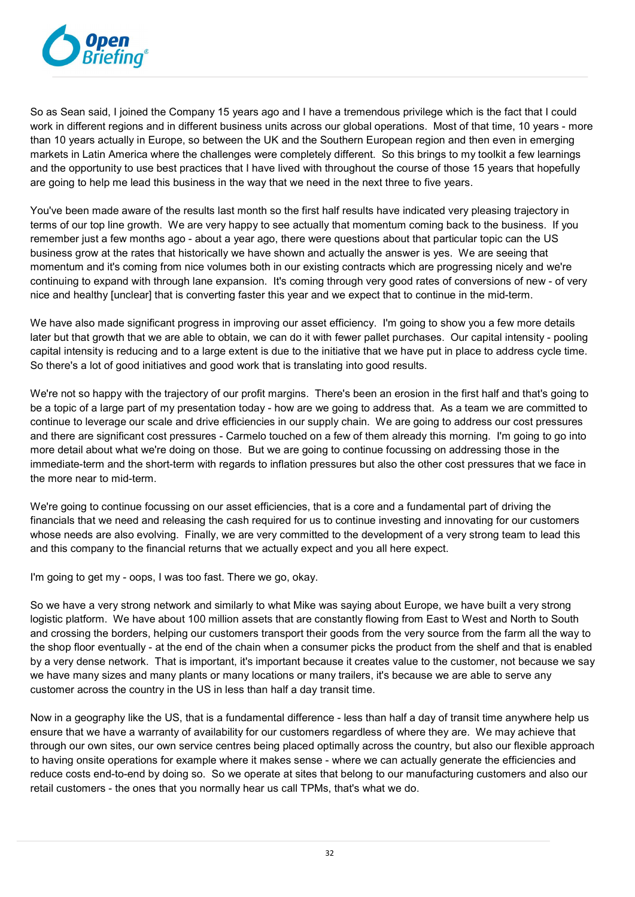

So as Sean said, I joined the Company 15 years ago and I have a tremendous privilege which is the fact that I could work in different regions and in different business units across our global operations. Most of that time, 10 years - more than 10 years actually in Europe, so between the UK and the Southern European region and then even in emerging markets in Latin America where the challenges were completely different. So this brings to my toolkit a few learnings and the opportunity to use best practices that I have lived with throughout the course of those 15 years that hopefully are going to help me lead this business in the way that we need in the next three to five years.

You've been made aware of the results last month so the first half results have indicated very pleasing trajectory in terms of our top line growth. We are very happy to see actually that momentum coming back to the business. If you remember just a few months ago - about a year ago, there were questions about that particular topic can the US business grow at the rates that historically we have shown and actually the answer is yes. We are seeing that momentum and it's coming from nice volumes both in our existing contracts which are progressing nicely and we're continuing to expand with through lane expansion. It's coming through very good rates of conversions of new - of very nice and healthy [unclear] that is converting faster this year and we expect that to continue in the mid-term.

We have also made significant progress in improving our asset efficiency. I'm going to show you a few more details later but that growth that we are able to obtain, we can do it with fewer pallet purchases. Our capital intensity - pooling capital intensity is reducing and to a large extent is due to the initiative that we have put in place to address cycle time. So there's a lot of good initiatives and good work that is translating into good results.

We're not so happy with the trajectory of our profit margins. There's been an erosion in the first half and that's going to be a topic of a large part of my presentation today - how are we going to address that. As a team we are committed to continue to leverage our scale and drive efficiencies in our supply chain. We are going to address our cost pressures and there are significant cost pressures - Carmelo touched on a few of them already this morning. I'm going to go into more detail about what we're doing on those. But we are going to continue focussing on addressing those in the immediate-term and the short-term with regards to inflation pressures but also the other cost pressures that we face in the more near to mid-term.

We're going to continue focussing on our asset efficiencies, that is a core and a fundamental part of driving the financials that we need and releasing the cash required for us to continue investing and innovating for our customers whose needs are also evolving. Finally, we are very committed to the development of a very strong team to lead this and this company to the financial returns that we actually expect and you all here expect.

I'm going to get my - oops, I was too fast. There we go, okay.

So we have a very strong network and similarly to what Mike was saying about Europe, we have built a very strong logistic platform. We have about 100 million assets that are constantly flowing from East to West and North to South and crossing the borders, helping our customers transport their goods from the very source from the farm all the way to the shop floor eventually - at the end of the chain when a consumer picks the product from the shelf and that is enabled by a very dense network. That is important, it's important because it creates value to the customer, not because we say we have many sizes and many plants or many locations or many trailers, it's because we are able to serve any customer across the country in the US in less than half a day transit time.

Now in a geography like the US, that is a fundamental difference - less than half a day of transit time anywhere help us ensure that we have a warranty of availability for our customers regardless of where they are. We may achieve that through our own sites, our own service centres being placed optimally across the country, but also our flexible approach to having onsite operations for example where it makes sense - where we can actually generate the efficiencies and reduce costs end-to-end by doing so. So we operate at sites that belong to our manufacturing customers and also our retail customers - the ones that you normally hear us call TPMs, that's what we do.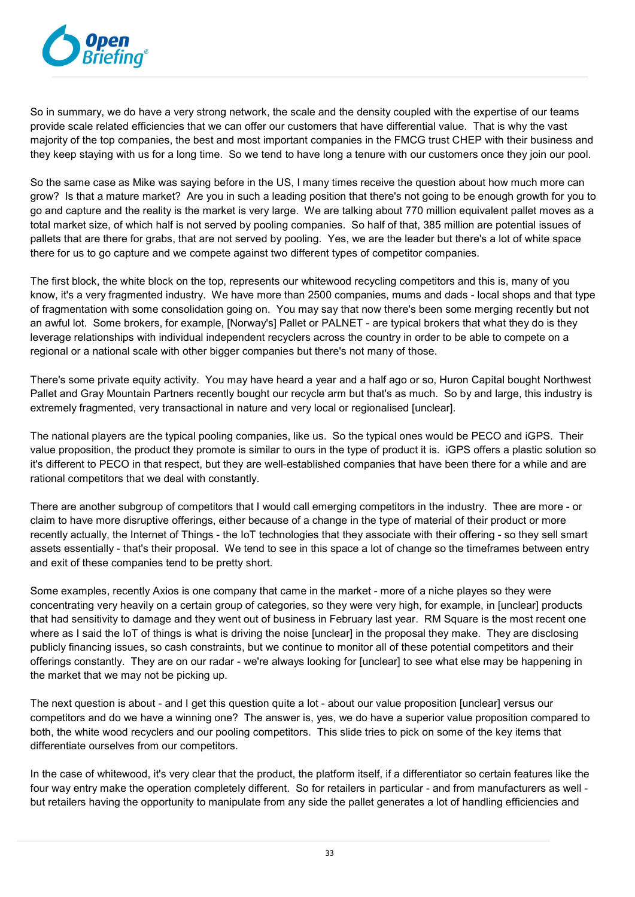

So in summary, we do have a very strong network, the scale and the density coupled with the expertise of our teams provide scale related efficiencies that we can offer our customers that have differential value. That is why the vast majority of the top companies, the best and most important companies in the FMCG trust CHEP with their business and they keep staying with us for a long time. So we tend to have long a tenure with our customers once they join our pool.

So the same case as Mike was saying before in the US, I many times receive the question about how much more can grow? Is that a mature market? Are you in such a leading position that there's not going to be enough growth for you to go and capture and the reality is the market is very large. We are talking about 770 million equivalent pallet moves as a total market size, of which half is not served by pooling companies. So half of that, 385 million are potential issues of pallets that are there for grabs, that are not served by pooling. Yes, we are the leader but there's a lot of white space there for us to go capture and we compete against two different types of competitor companies.

The first block, the white block on the top, represents our whitewood recycling competitors and this is, many of you know, it's a very fragmented industry. We have more than 2500 companies, mums and dads - local shops and that type of fragmentation with some consolidation going on. You may say that now there's been some merging recently but not an awful lot. Some brokers, for example, [Norway's] Pallet or PALNET - are typical brokers that what they do is they leverage relationships with individual independent recyclers across the country in order to be able to compete on a regional or a national scale with other bigger companies but there's not many of those.

There's some private equity activity. You may have heard a year and a half ago or so, Huron Capital bought Northwest Pallet and Gray Mountain Partners recently bought our recycle arm but that's as much. So by and large, this industry is extremely fragmented, very transactional in nature and very local or regionalised [unclear].

The national players are the typical pooling companies, like us. So the typical ones would be PECO and iGPS. Their value proposition, the product they promote is similar to ours in the type of product it is. iGPS offers a plastic solution so it's different to PECO in that respect, but they are well-established companies that have been there for a while and are rational competitors that we deal with constantly.

There are another subgroup of competitors that I would call emerging competitors in the industry. Thee are more - or claim to have more disruptive offerings, either because of a change in the type of material of their product or more recently actually, the Internet of Things - the IoT technologies that they associate with their offering - so they sell smart assets essentially - that's their proposal. We tend to see in this space a lot of change so the timeframes between entry and exit of these companies tend to be pretty short.

Some examples, recently Axios is one company that came in the market - more of a niche playes so they were concentrating very heavily on a certain group of categories, so they were very high, for example, in [unclear] products that had sensitivity to damage and they went out of business in February last year. RM Square is the most recent one where as I said the IoT of things is what is driving the noise [unclear] in the proposal they make. They are disclosing publicly financing issues, so cash constraints, but we continue to monitor all of these potential competitors and their offerings constantly. They are on our radar - we're always looking for [unclear] to see what else may be happening in the market that we may not be picking up.

The next question is about - and I get this question quite a lot - about our value proposition [unclear] versus our competitors and do we have a winning one? The answer is, yes, we do have a superior value proposition compared to both, the white wood recyclers and our pooling competitors. This slide tries to pick on some of the key items that differentiate ourselves from our competitors.

In the case of whitewood, it's very clear that the product, the platform itself, if a differentiator so certain features like the four way entry make the operation completely different. So for retailers in particular - and from manufacturers as well but retailers having the opportunity to manipulate from any side the pallet generates a lot of handling efficiencies and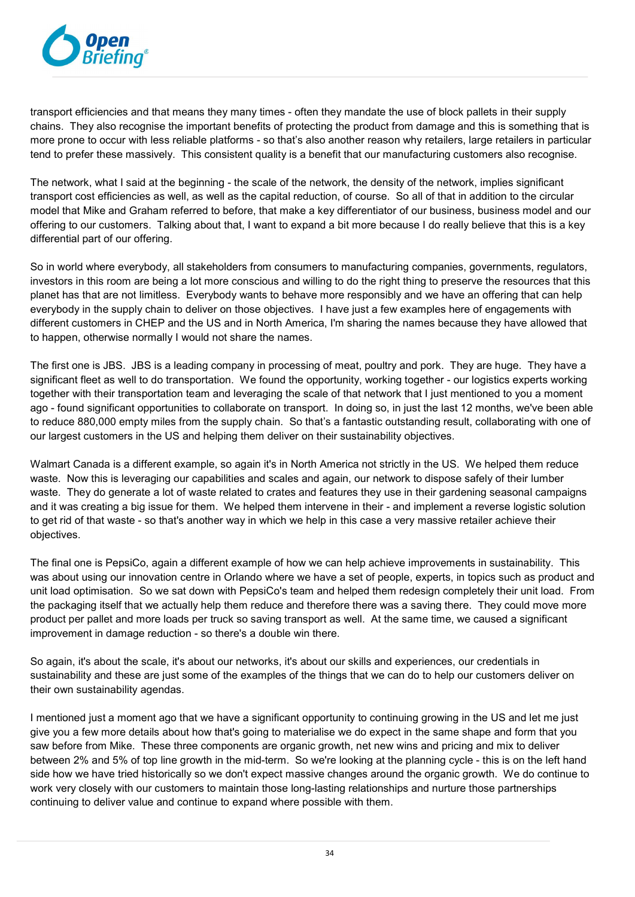

transport efficiencies and that means they many times - often they mandate the use of block pallets in their supply chains. They also recognise the important benefits of protecting the product from damage and this is something that is more prone to occur with less reliable platforms - so that's also another reason why retailers, large retailers in particular tend to prefer these massively. This consistent quality is a benefit that our manufacturing customers also recognise.

The network, what I said at the beginning - the scale of the network, the density of the network, implies significant transport cost efficiencies as well, as well as the capital reduction, of course. So all of that in addition to the circular model that Mike and Graham referred to before, that make a key differentiator of our business, business model and our offering to our customers. Talking about that, I want to expand a bit more because I do really believe that this is a key differential part of our offering.

So in world where everybody, all stakeholders from consumers to manufacturing companies, governments, regulators, investors in this room are being a lot more conscious and willing to do the right thing to preserve the resources that this planet has that are not limitless. Everybody wants to behave more responsibly and we have an offering that can help everybody in the supply chain to deliver on those objectives. I have just a few examples here of engagements with different customers in CHEP and the US and in North America, I'm sharing the names because they have allowed that to happen, otherwise normally I would not share the names.

The first one is JBS. JBS is a leading company in processing of meat, poultry and pork. They are huge. They have a significant fleet as well to do transportation. We found the opportunity, working together - our logistics experts working together with their transportation team and leveraging the scale of that network that I just mentioned to you a moment ago - found significant opportunities to collaborate on transport. In doing so, in just the last 12 months, we've been able to reduce 880,000 empty miles from the supply chain. So that's a fantastic outstanding result, collaborating with one of our largest customers in the US and helping them deliver on their sustainability objectives.

Walmart Canada is a different example, so again it's in North America not strictly in the US. We helped them reduce waste. Now this is leveraging our capabilities and scales and again, our network to dispose safely of their lumber waste. They do generate a lot of waste related to crates and features they use in their gardening seasonal campaigns and it was creating a big issue for them. We helped them intervene in their - and implement a reverse logistic solution to get rid of that waste - so that's another way in which we help in this case a very massive retailer achieve their objectives.

The final one is PepsiCo, again a different example of how we can help achieve improvements in sustainability. This was about using our innovation centre in Orlando where we have a set of people, experts, in topics such as product and unit load optimisation. So we sat down with PepsiCo's team and helped them redesign completely their unit load. From the packaging itself that we actually help them reduce and therefore there was a saving there. They could move more product per pallet and more loads per truck so saving transport as well. At the same time, we caused a significant improvement in damage reduction - so there's a double win there.

So again, it's about the scale, it's about our networks, it's about our skills and experiences, our credentials in sustainability and these are just some of the examples of the things that we can do to help our customers deliver on their own sustainability agendas.

I mentioned just a moment ago that we have a significant opportunity to continuing growing in the US and let me just give you a few more details about how that's going to materialise we do expect in the same shape and form that you saw before from Mike. These three components are organic growth, net new wins and pricing and mix to deliver between 2% and 5% of top line growth in the mid-term. So we're looking at the planning cycle - this is on the left hand side how we have tried historically so we don't expect massive changes around the organic growth. We do continue to work very closely with our customers to maintain those long-lasting relationships and nurture those partnerships continuing to deliver value and continue to expand where possible with them.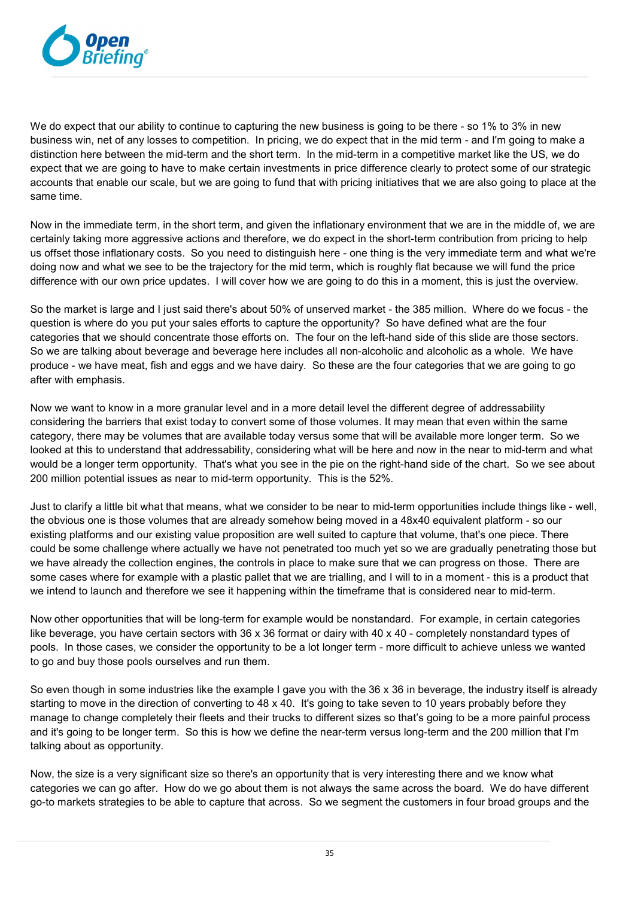

We do expect that our ability to continue to capturing the new business is going to be there - so 1% to 3% in new business win, net of any losses to competition. In pricing, we do expect that in the mid term - and I'm going to make a distinction here between the mid-term and the short term. In the mid-term in a competitive market like the US, we do expect that we are going to have to make certain investments in price difference clearly to protect some of our strategic accounts that enable our scale, but we are going to fund that with pricing initiatives that we are also going to place at the same time.

Now in the immediate term, in the short term, and given the inflationary environment that we are in the middle of, we are certainly taking more aggressive actions and therefore, we do expect in the short-term contribution from pricing to help us offset those inflationary costs. So you need to distinguish here - one thing is the very immediate term and what we're doing now and what we see to be the trajectory for the mid term, which is roughly flat because we will fund the price difference with our own price updates. I will cover how we are going to do this in a moment, this is just the overview.

So the market is large and I just said there's about 50% of unserved market - the 385 million. Where do we focus - the question is where do you put your sales efforts to capture the opportunity? So have defined what are the four categories that we should concentrate those efforts on. The four on the left-hand side of this slide are those sectors. So we are talking about beverage and beverage here includes all non-alcoholic and alcoholic as a whole. We have produce - we have meat, fish and eggs and we have dairy. So these are the four categories that we are going to go after with emphasis.

Now we want to know in a more granular level and in a more detail level the different degree of addressability considering the barriers that exist today to convert some of those volumes. It may mean that even within the same category, there may be volumes that are available today versus some that will be available more longer term. So we looked at this to understand that addressability, considering what will be here and now in the near to mid-term and what would be a longer term opportunity. That's what you see in the pie on the right-hand side of the chart. So we see about 200 million potential issues as near to mid-term opportunity. This is the 52%.

Just to clarify a little bit what that means, what we consider to be near to mid-term opportunities include things like - well, the obvious one is those volumes that are already somehow being moved in a 48x40 equivalent platform - so our existing platforms and our existing value proposition are well suited to capture that volume, that's one piece. There could be some challenge where actually we have not penetrated too much yet so we are gradually penetrating those but we have already the collection engines, the controls in place to make sure that we can progress on those. There are some cases where for example with a plastic pallet that we are trialling, and I will to in a moment - this is a product that we intend to launch and therefore we see it happening within the timeframe that is considered near to mid-term.

Now other opportunities that will be long-term for example would be nonstandard. For example, in certain categories like beverage, you have certain sectors with 36 x 36 format or dairy with 40 x 40 - completely nonstandard types of pools. In those cases, we consider the opportunity to be a lot longer term - more difficult to achieve unless we wanted to go and buy those pools ourselves and run them.

So even though in some industries like the example I gave you with the 36 x 36 in beverage, the industry itself is already starting to move in the direction of converting to 48 x 40. It's going to take seven to 10 years probably before they manage to change completely their fleets and their trucks to different sizes so that's going to be a more painful process and it's going to be longer term. So this is how we define the near-term versus long-term and the 200 million that I'm talking about as opportunity.

Now, the size is a very significant size so there's an opportunity that is very interesting there and we know what categories we can go after. How do we go about them is not always the same across the board. We do have different go-to markets strategies to be able to capture that across. So we segment the customers in four broad groups and the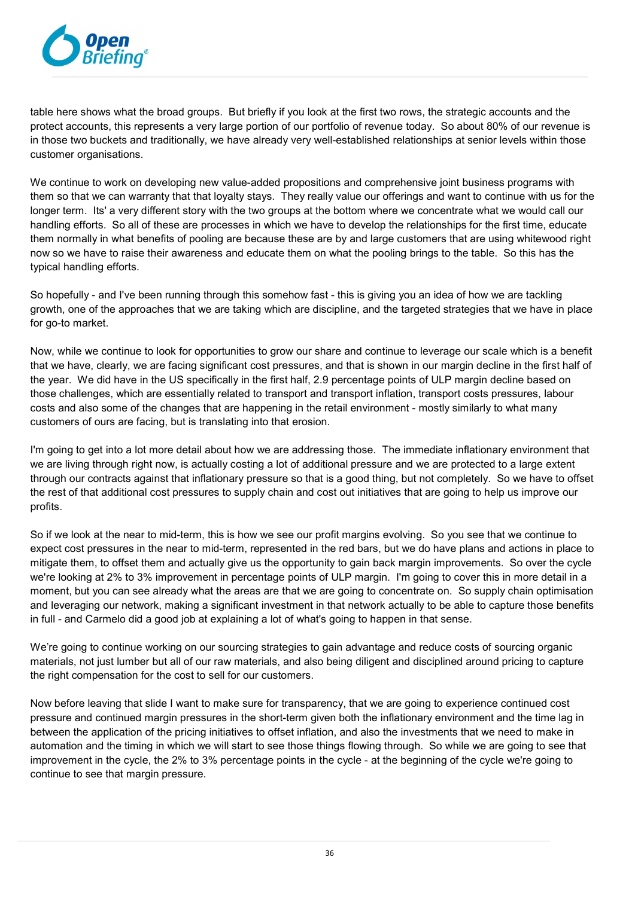

table here shows what the broad groups. But briefly if you look at the first two rows, the strategic accounts and the protect accounts, this represents a very large portion of our portfolio of revenue today. So about 80% of our revenue is in those two buckets and traditionally, we have already very well-established relationships at senior levels within those customer organisations.

We continue to work on developing new value-added propositions and comprehensive joint business programs with them so that we can warranty that that loyalty stays. They really value our offerings and want to continue with us for the longer term. Its' a very different story with the two groups at the bottom where we concentrate what we would call our handling efforts. So all of these are processes in which we have to develop the relationships for the first time, educate them normally in what benefits of pooling are because these are by and large customers that are using whitewood right now so we have to raise their awareness and educate them on what the pooling brings to the table. So this has the typical handling efforts.

So hopefully - and I've been running through this somehow fast - this is giving you an idea of how we are tackling growth, one of the approaches that we are taking which are discipline, and the targeted strategies that we have in place for go-to market.

Now, while we continue to look for opportunities to grow our share and continue to leverage our scale which is a benefit that we have, clearly, we are facing significant cost pressures, and that is shown in our margin decline in the first half of the year. We did have in the US specifically in the first half, 2.9 percentage points of ULP margin decline based on those challenges, which are essentially related to transport and transport inflation, transport costs pressures, labour costs and also some of the changes that are happening in the retail environment - mostly similarly to what many customers of ours are facing, but is translating into that erosion.

I'm going to get into a lot more detail about how we are addressing those. The immediate inflationary environment that we are living through right now, is actually costing a lot of additional pressure and we are protected to a large extent through our contracts against that inflationary pressure so that is a good thing, but not completely. So we have to offset the rest of that additional cost pressures to supply chain and cost out initiatives that are going to help us improve our profits.

So if we look at the near to mid-term, this is how we see our profit margins evolving. So you see that we continue to expect cost pressures in the near to mid-term, represented in the red bars, but we do have plans and actions in place to mitigate them, to offset them and actually give us the opportunity to gain back margin improvements. So over the cycle we're looking at 2% to 3% improvement in percentage points of ULP margin. I'm going to cover this in more detail in a moment, but you can see already what the areas are that we are going to concentrate on. So supply chain optimisation and leveraging our network, making a significant investment in that network actually to be able to capture those benefits in full - and Carmelo did a good job at explaining a lot of what's going to happen in that sense.

We're going to continue working on our sourcing strategies to gain advantage and reduce costs of sourcing organic materials, not just lumber but all of our raw materials, and also being diligent and disciplined around pricing to capture the right compensation for the cost to sell for our customers.

Now before leaving that slide I want to make sure for transparency, that we are going to experience continued cost pressure and continued margin pressures in the short-term given both the inflationary environment and the time lag in between the application of the pricing initiatives to offset inflation, and also the investments that we need to make in automation and the timing in which we will start to see those things flowing through. So while we are going to see that improvement in the cycle, the 2% to 3% percentage points in the cycle - at the beginning of the cycle we're going to continue to see that margin pressure.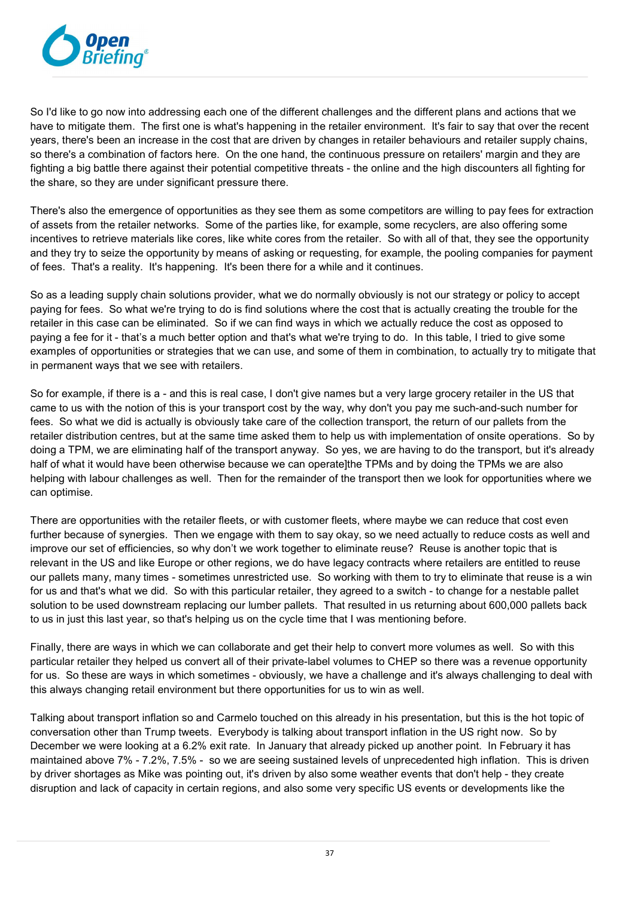

So I'd like to go now into addressing each one of the different challenges and the different plans and actions that we have to mitigate them. The first one is what's happening in the retailer environment. It's fair to say that over the recent years, there's been an increase in the cost that are driven by changes in retailer behaviours and retailer supply chains, so there's a combination of factors here. On the one hand, the continuous pressure on retailers' margin and they are fighting a big battle there against their potential competitive threats - the online and the high discounters all fighting for the share, so they are under significant pressure there.

There's also the emergence of opportunities as they see them as some competitors are willing to pay fees for extraction of assets from the retailer networks. Some of the parties like, for example, some recyclers, are also offering some incentives to retrieve materials like cores, like white cores from the retailer. So with all of that, they see the opportunity and they try to seize the opportunity by means of asking or requesting, for example, the pooling companies for payment of fees. That's a reality. It's happening. It's been there for a while and it continues.

So as a leading supply chain solutions provider, what we do normally obviously is not our strategy or policy to accept paying for fees. So what we're trying to do is find solutions where the cost that is actually creating the trouble for the retailer in this case can be eliminated. So if we can find ways in which we actually reduce the cost as opposed to paying a fee for it - that's a much better option and that's what we're trying to do. In this table, I tried to give some examples of opportunities or strategies that we can use, and some of them in combination, to actually try to mitigate that in permanent ways that we see with retailers.

So for example, if there is a - and this is real case, I don't give names but a very large grocery retailer in the US that came to us with the notion of this is your transport cost by the way, why don't you pay me such-and-such number for fees. So what we did is actually is obviously take care of the collection transport, the return of our pallets from the retailer distribution centres, but at the same time asked them to help us with implementation of onsite operations. So by doing a TPM, we are eliminating half of the transport anyway. So yes, we are having to do the transport, but it's already half of what it would have been otherwise because we can operate]the TPMs and by doing the TPMs we are also helping with labour challenges as well. Then for the remainder of the transport then we look for opportunities where we can optimise.

There are opportunities with the retailer fleets, or with customer fleets, where maybe we can reduce that cost even further because of synergies. Then we engage with them to say okay, so we need actually to reduce costs as well and improve our set of efficiencies, so why don't we work together to eliminate reuse? Reuse is another topic that is relevant in the US and like Europe or other regions, we do have legacy contracts where retailers are entitled to reuse our pallets many, many times - sometimes unrestricted use. So working with them to try to eliminate that reuse is a win for us and that's what we did. So with this particular retailer, they agreed to a switch - to change for a nestable pallet solution to be used downstream replacing our lumber pallets. That resulted in us returning about 600,000 pallets back to us in just this last year, so that's helping us on the cycle time that I was mentioning before.

Finally, there are ways in which we can collaborate and get their help to convert more volumes as well. So with this particular retailer they helped us convert all of their private-label volumes to CHEP so there was a revenue opportunity for us. So these are ways in which sometimes - obviously, we have a challenge and it's always challenging to deal with this always changing retail environment but there opportunities for us to win as well.

Talking about transport inflation so and Carmelo touched on this already in his presentation, but this is the hot topic of conversation other than Trump tweets. Everybody is talking about transport inflation in the US right now. So by December we were looking at a 6.2% exit rate. In January that already picked up another point. In February it has maintained above 7% - 7.2%, 7.5% - so we are seeing sustained levels of unprecedented high inflation. This is driven by driver shortages as Mike was pointing out, it's driven by also some weather events that don't help - they create disruption and lack of capacity in certain regions, and also some very specific US events or developments like the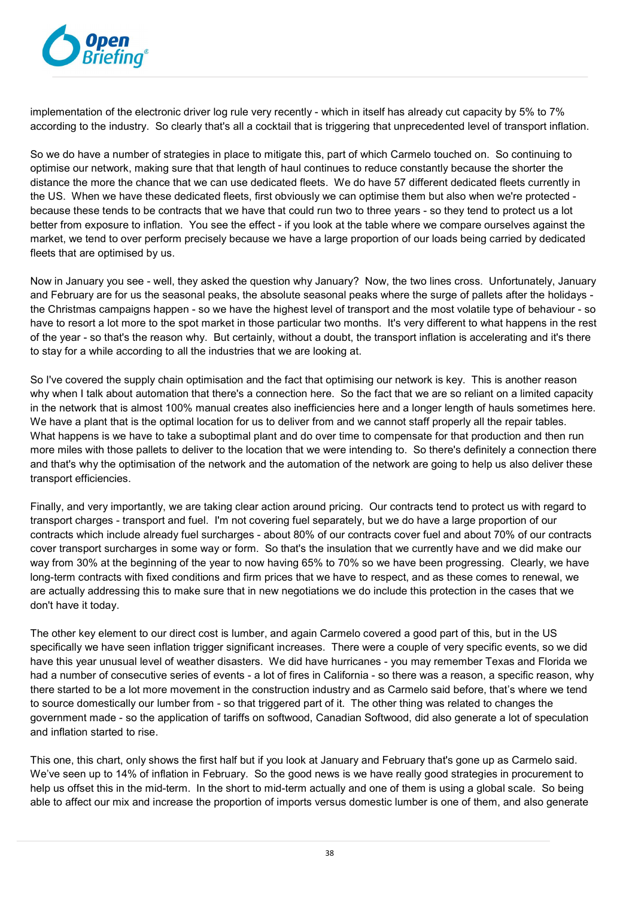

implementation of the electronic driver log rule very recently - which in itself has already cut capacity by 5% to 7% according to the industry. So clearly that's all a cocktail that is triggering that unprecedented level of transport inflation.

So we do have a number of strategies in place to mitigate this, part of which Carmelo touched on. So continuing to optimise our network, making sure that that length of haul continues to reduce constantly because the shorter the distance the more the chance that we can use dedicated fleets. We do have 57 different dedicated fleets currently in the US. When we have these dedicated fleets, first obviously we can optimise them but also when we're protected because these tends to be contracts that we have that could run two to three years - so they tend to protect us a lot better from exposure to inflation. You see the effect - if you look at the table where we compare ourselves against the market, we tend to over perform precisely because we have a large proportion of our loads being carried by dedicated fleets that are optimised by us.

Now in January you see - well, they asked the question why January? Now, the two lines cross. Unfortunately, January and February are for us the seasonal peaks, the absolute seasonal peaks where the surge of pallets after the holidays the Christmas campaigns happen - so we have the highest level of transport and the most volatile type of behaviour - so have to resort a lot more to the spot market in those particular two months. It's very different to what happens in the rest of the year - so that's the reason why. But certainly, without a doubt, the transport inflation is accelerating and it's there to stay for a while according to all the industries that we are looking at.

So I've covered the supply chain optimisation and the fact that optimising our network is key. This is another reason why when I talk about automation that there's a connection here. So the fact that we are so reliant on a limited capacity in the network that is almost 100% manual creates also inefficiencies here and a longer length of hauls sometimes here. We have a plant that is the optimal location for us to deliver from and we cannot staff properly all the repair tables. What happens is we have to take a suboptimal plant and do over time to compensate for that production and then run more miles with those pallets to deliver to the location that we were intending to. So there's definitely a connection there and that's why the optimisation of the network and the automation of the network are going to help us also deliver these transport efficiencies.

Finally, and very importantly, we are taking clear action around pricing. Our contracts tend to protect us with regard to transport charges - transport and fuel. I'm not covering fuel separately, but we do have a large proportion of our contracts which include already fuel surcharges - about 80% of our contracts cover fuel and about 70% of our contracts cover transport surcharges in some way or form. So that's the insulation that we currently have and we did make our way from 30% at the beginning of the year to now having 65% to 70% so we have been progressing. Clearly, we have long-term contracts with fixed conditions and firm prices that we have to respect, and as these comes to renewal, we are actually addressing this to make sure that in new negotiations we do include this protection in the cases that we don't have it today.

The other key element to our direct cost is lumber, and again Carmelo covered a good part of this, but in the US specifically we have seen inflation trigger significant increases. There were a couple of very specific events, so we did have this year unusual level of weather disasters. We did have hurricanes - you may remember Texas and Florida we had a number of consecutive series of events - a lot of fires in California - so there was a reason, a specific reason, why there started to be a lot more movement in the construction industry and as Carmelo said before, that's where we tend to source domestically our lumber from - so that triggered part of it. The other thing was related to changes the government made - so the application of tariffs on softwood, Canadian Softwood, did also generate a lot of speculation and inflation started to rise.

This one, this chart, only shows the first half but if you look at January and February that's gone up as Carmelo said. We've seen up to 14% of inflation in February. So the good news is we have really good strategies in procurement to help us offset this in the mid-term. In the short to mid-term actually and one of them is using a global scale. So being able to affect our mix and increase the proportion of imports versus domestic lumber is one of them, and also generate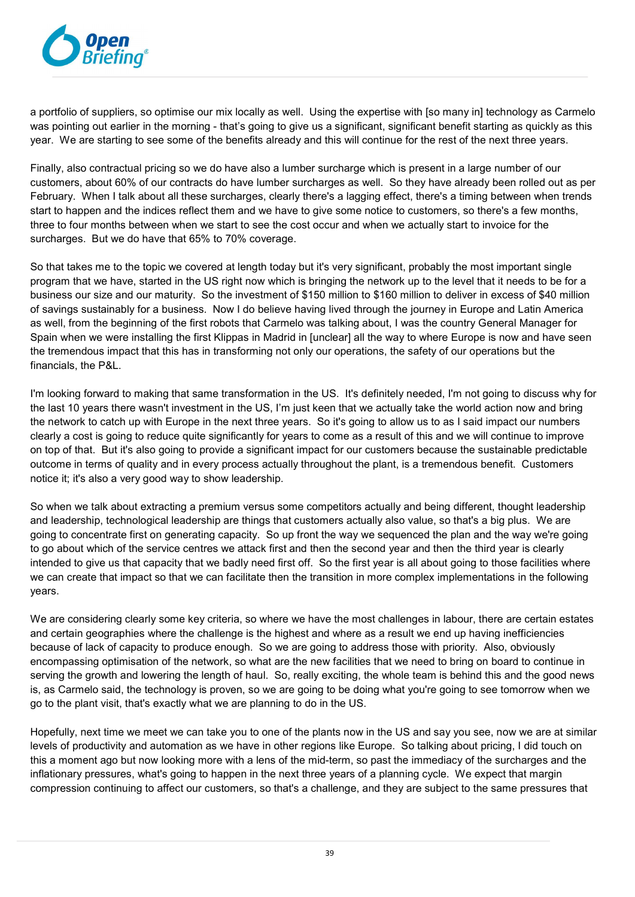

a portfolio of suppliers, so optimise our mix locally as well. Using the expertise with [so many in] technology as Carmelo was pointing out earlier in the morning - that's going to give us a significant, significant benefit starting as quickly as this year. We are starting to see some of the benefits already and this will continue for the rest of the next three years.

Finally, also contractual pricing so we do have also a lumber surcharge which is present in a large number of our customers, about 60% of our contracts do have lumber surcharges as well. So they have already been rolled out as per February. When I talk about all these surcharges, clearly there's a lagging effect, there's a timing between when trends start to happen and the indices reflect them and we have to give some notice to customers, so there's a few months, three to four months between when we start to see the cost occur and when we actually start to invoice for the surcharges. But we do have that 65% to 70% coverage.

So that takes me to the topic we covered at length today but it's very significant, probably the most important single program that we have, started in the US right now which is bringing the network up to the level that it needs to be for a business our size and our maturity. So the investment of \$150 million to \$160 million to deliver in excess of \$40 million of savings sustainably for a business. Now I do believe having lived through the journey in Europe and Latin America as well, from the beginning of the first robots that Carmelo was talking about, I was the country General Manager for Spain when we were installing the first Klippas in Madrid in [unclear] all the way to where Europe is now and have seen the tremendous impact that this has in transforming not only our operations, the safety of our operations but the financials, the P&L.

I'm looking forward to making that same transformation in the US. It's definitely needed, I'm not going to discuss why for the last 10 years there wasn't investment in the US, I'm just keen that we actually take the world action now and bring the network to catch up with Europe in the next three years. So it's going to allow us to as I said impact our numbers clearly a cost is going to reduce quite significantly for years to come as a result of this and we will continue to improve on top of that. But it's also going to provide a significant impact for our customers because the sustainable predictable outcome in terms of quality and in every process actually throughout the plant, is a tremendous benefit. Customers notice it; it's also a very good way to show leadership.

So when we talk about extracting a premium versus some competitors actually and being different, thought leadership and leadership, technological leadership are things that customers actually also value, so that's a big plus. We are going to concentrate first on generating capacity. So up front the way we sequenced the plan and the way we're going to go about which of the service centres we attack first and then the second year and then the third year is clearly intended to give us that capacity that we badly need first off. So the first year is all about going to those facilities where we can create that impact so that we can facilitate then the transition in more complex implementations in the following years.

We are considering clearly some key criteria, so where we have the most challenges in labour, there are certain estates and certain geographies where the challenge is the highest and where as a result we end up having inefficiencies because of lack of capacity to produce enough. So we are going to address those with priority. Also, obviously encompassing optimisation of the network, so what are the new facilities that we need to bring on board to continue in serving the growth and lowering the length of haul. So, really exciting, the whole team is behind this and the good news is, as Carmelo said, the technology is proven, so we are going to be doing what you're going to see tomorrow when we go to the plant visit, that's exactly what we are planning to do in the US.

Hopefully, next time we meet we can take you to one of the plants now in the US and say you see, now we are at similar levels of productivity and automation as we have in other regions like Europe. So talking about pricing, I did touch on this a moment ago but now looking more with a lens of the mid-term, so past the immediacy of the surcharges and the inflationary pressures, what's going to happen in the next three years of a planning cycle. We expect that margin compression continuing to affect our customers, so that's a challenge, and they are subject to the same pressures that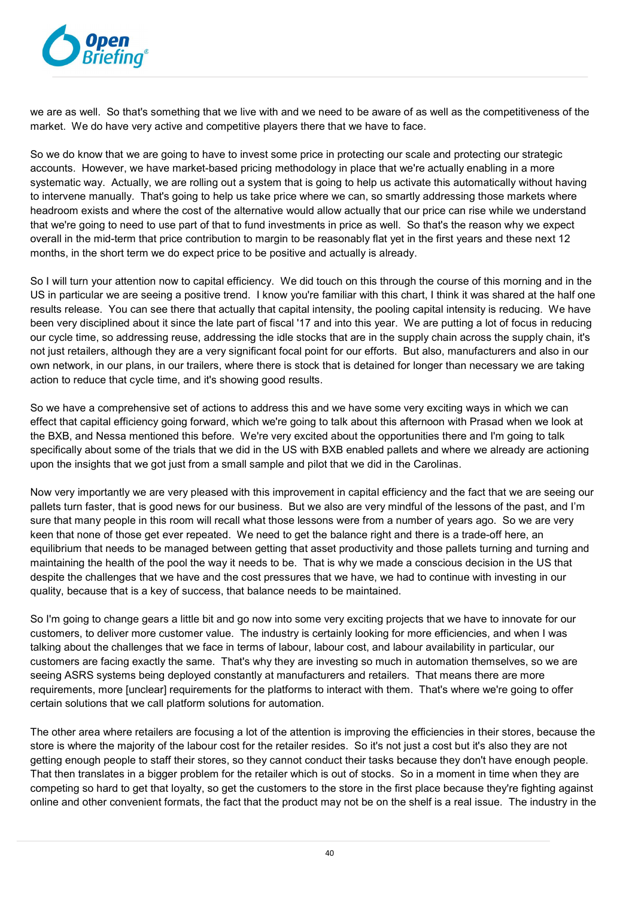

we are as well. So that's something that we live with and we need to be aware of as well as the competitiveness of the market. We do have very active and competitive players there that we have to face.

So we do know that we are going to have to invest some price in protecting our scale and protecting our strategic accounts. However, we have market-based pricing methodology in place that we're actually enabling in a more systematic way. Actually, we are rolling out a system that is going to help us activate this automatically without having to intervene manually. That's going to help us take price where we can, so smartly addressing those markets where headroom exists and where the cost of the alternative would allow actually that our price can rise while we understand that we're going to need to use part of that to fund investments in price as well. So that's the reason why we expect overall in the mid-term that price contribution to margin to be reasonably flat yet in the first years and these next 12 months, in the short term we do expect price to be positive and actually is already.

So I will turn your attention now to capital efficiency. We did touch on this through the course of this morning and in the US in particular we are seeing a positive trend. I know you're familiar with this chart, I think it was shared at the half one results release. You can see there that actually that capital intensity, the pooling capital intensity is reducing. We have been very disciplined about it since the late part of fiscal '17 and into this year. We are putting a lot of focus in reducing our cycle time, so addressing reuse, addressing the idle stocks that are in the supply chain across the supply chain, it's not just retailers, although they are a very significant focal point for our efforts. But also, manufacturers and also in our own network, in our plans, in our trailers, where there is stock that is detained for longer than necessary we are taking action to reduce that cycle time, and it's showing good results.

So we have a comprehensive set of actions to address this and we have some very exciting ways in which we can effect that capital efficiency going forward, which we're going to talk about this afternoon with Prasad when we look at the BXB, and Nessa mentioned this before. We're very excited about the opportunities there and I'm going to talk specifically about some of the trials that we did in the US with BXB enabled pallets and where we already are actioning upon the insights that we got just from a small sample and pilot that we did in the Carolinas.

Now very importantly we are very pleased with this improvement in capital efficiency and the fact that we are seeing our pallets turn faster, that is good news for our business. But we also are very mindful of the lessons of the past, and I'm sure that many people in this room will recall what those lessons were from a number of years ago. So we are very keen that none of those get ever repeated. We need to get the balance right and there is a trade-off here, an equilibrium that needs to be managed between getting that asset productivity and those pallets turning and turning and maintaining the health of the pool the way it needs to be. That is why we made a conscious decision in the US that despite the challenges that we have and the cost pressures that we have, we had to continue with investing in our quality, because that is a key of success, that balance needs to be maintained.

So I'm going to change gears a little bit and go now into some very exciting projects that we have to innovate for our customers, to deliver more customer value. The industry is certainly looking for more efficiencies, and when I was talking about the challenges that we face in terms of labour, labour cost, and labour availability in particular, our customers are facing exactly the same. That's why they are investing so much in automation themselves, so we are seeing ASRS systems being deployed constantly at manufacturers and retailers. That means there are more requirements, more [unclear] requirements for the platforms to interact with them. That's where we're going to offer certain solutions that we call platform solutions for automation.

The other area where retailers are focusing a lot of the attention is improving the efficiencies in their stores, because the store is where the majority of the labour cost for the retailer resides. So it's not just a cost but it's also they are not getting enough people to staff their stores, so they cannot conduct their tasks because they don't have enough people. That then translates in a bigger problem for the retailer which is out of stocks. So in a moment in time when they are competing so hard to get that loyalty, so get the customers to the store in the first place because they're fighting against online and other convenient formats, the fact that the product may not be on the shelf is a real issue. The industry in the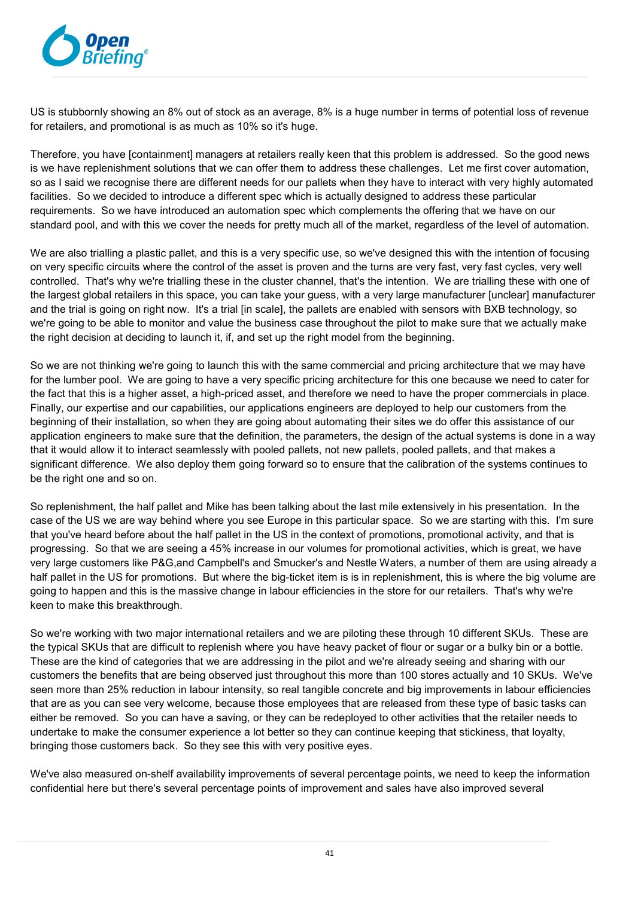

US is stubbornly showing an 8% out of stock as an average, 8% is a huge number in terms of potential loss of revenue for retailers, and promotional is as much as 10% so it's huge.

Therefore, you have [containment] managers at retailers really keen that this problem is addressed. So the good news is we have replenishment solutions that we can offer them to address these challenges. Let me first cover automation, so as I said we recognise there are different needs for our pallets when they have to interact with very highly automated facilities. So we decided to introduce a different spec which is actually designed to address these particular requirements. So we have introduced an automation spec which complements the offering that we have on our standard pool, and with this we cover the needs for pretty much all of the market, regardless of the level of automation.

We are also trialling a plastic pallet, and this is a very specific use, so we've designed this with the intention of focusing on very specific circuits where the control of the asset is proven and the turns are very fast, very fast cycles, very well controlled. That's why we're trialling these in the cluster channel, that's the intention. We are trialling these with one of the largest global retailers in this space, you can take your guess, with a very large manufacturer [unclear] manufacturer and the trial is going on right now. It's a trial [in scale], the pallets are enabled with sensors with BXB technology, so we're going to be able to monitor and value the business case throughout the pilot to make sure that we actually make the right decision at deciding to launch it, if, and set up the right model from the beginning.

So we are not thinking we're going to launch this with the same commercial and pricing architecture that we may have for the lumber pool. We are going to have a very specific pricing architecture for this one because we need to cater for the fact that this is a higher asset, a high-priced asset, and therefore we need to have the proper commercials in place. Finally, our expertise and our capabilities, our applications engineers are deployed to help our customers from the beginning of their installation, so when they are going about automating their sites we do offer this assistance of our application engineers to make sure that the definition, the parameters, the design of the actual systems is done in a way that it would allow it to interact seamlessly with pooled pallets, not new pallets, pooled pallets, and that makes a significant difference. We also deploy them going forward so to ensure that the calibration of the systems continues to be the right one and so on.

So replenishment, the half pallet and Mike has been talking about the last mile extensively in his presentation. In the case of the US we are way behind where you see Europe in this particular space. So we are starting with this. I'm sure that you've heard before about the half pallet in the US in the context of promotions, promotional activity, and that is progressing. So that we are seeing a 45% increase in our volumes for promotional activities, which is great, we have very large customers like P&G,and Campbell's and Smucker's and Nestle Waters, a number of them are using already a half pallet in the US for promotions. But where the big-ticket item is is in replenishment, this is where the big volume are going to happen and this is the massive change in labour efficiencies in the store for our retailers. That's why we're keen to make this breakthrough.

So we're working with two major international retailers and we are piloting these through 10 different SKUs. These are the typical SKUs that are difficult to replenish where you have heavy packet of flour or sugar or a bulky bin or a bottle. These are the kind of categories that we are addressing in the pilot and we're already seeing and sharing with our customers the benefits that are being observed just throughout this more than 100 stores actually and 10 SKUs. We've seen more than 25% reduction in labour intensity, so real tangible concrete and big improvements in labour efficiencies that are as you can see very welcome, because those employees that are released from these type of basic tasks can either be removed. So you can have a saving, or they can be redeployed to other activities that the retailer needs to undertake to make the consumer experience a lot better so they can continue keeping that stickiness, that loyalty, bringing those customers back. So they see this with very positive eyes.

We've also measured on-shelf availability improvements of several percentage points, we need to keep the information confidential here but there's several percentage points of improvement and sales have also improved several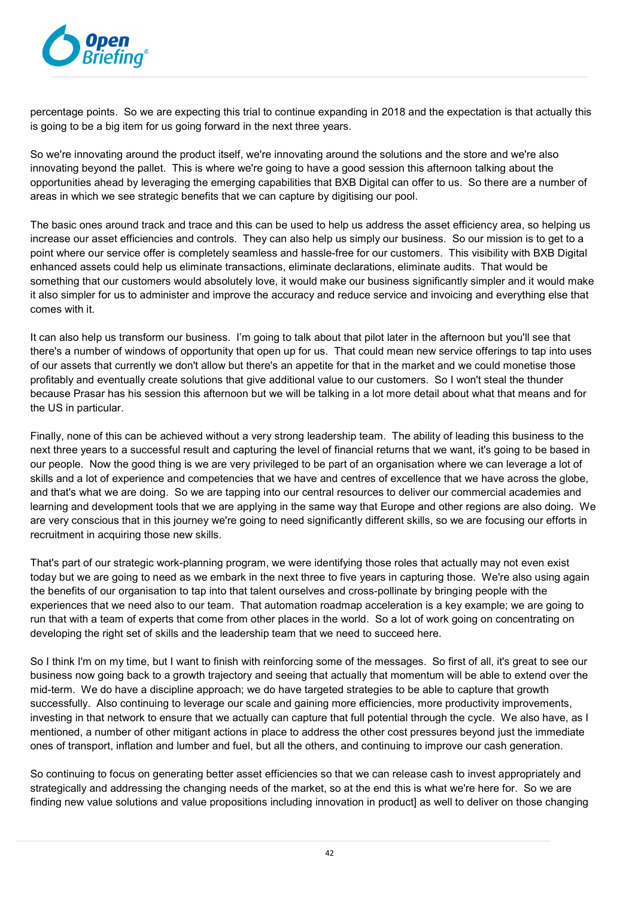

percentage points. So we are expecting this trial to continue expanding in 2018 and the expectation is that actually this is going to be a big item for us going forward in the next three years.

So we're innovating around the product itself, we're innovating around the solutions and the store and we're also innovating beyond the pallet. This is where we're going to have a good session this afternoon talking about the opportunities ahead by leveraging the emerging capabilities that BXB Digital can offer to us. So there are a number of areas in which we see strategic benefits that we can capture by digitising our pool.

The basic ones around track and trace and this can be used to help us address the asset efficiency area, so helping us increase our asset efficiencies and controls. They can also help us simply our business. So our mission is to get to a point where our service offer is completely seamless and hassle-free for our customers. This visibility with BXB Digital enhanced assets could help us eliminate transactions, eliminate declarations, eliminate audits. That would be something that our customers would absolutely love, it would make our business significantly simpler and it would make it also simpler for us to administer and improve the accuracy and reduce service and invoicing and everything else that comes with it.

It can also help us transform our business. I'm going to talk about that pilot later in the afternoon but you'll see that there's a number of windows of opportunity that open up for us. That could mean new service offerings to tap into uses of our assets that currently we don't allow but there's an appetite for that in the market and we could monetise those profitably and eventually create solutions that give additional value to our customers. So I won't steal the thunder because Prasar has his session this afternoon but we will be talking in a lot more detail about what that means and for the US in particular.

Finally, none of this can be achieved without a very strong leadership team. The ability of leading this business to the next three years to a successful result and capturing the level of financial returns that we want, it's going to be based in our people. Now the good thing is we are very privileged to be part of an organisation where we can leverage a lot of skills and a lot of experience and competencies that we have and centres of excellence that we have across the globe, and that's what we are doing. So we are tapping into our central resources to deliver our commercial academies and learning and development tools that we are applying in the same way that Europe and other regions are also doing. We are very conscious that in this journey we're going to need significantly different skills, so we are focusing our efforts in recruitment in acquiring those new skills.

That's part of our strategic work-planning program, we were identifying those roles that actually may not even exist today but we are going to need as we embark in the next three to five years in capturing those. We're also using again the benefits of our organisation to tap into that talent ourselves and cross-pollinate by bringing people with the experiences that we need also to our team. That automation roadmap acceleration is a key example; we are going to run that with a team of experts that come from other places in the world. So a lot of work going on concentrating on developing the right set of skills and the leadership team that we need to succeed here.

So I think I'm on my time, but I want to finish with reinforcing some of the messages. So first of all, it's great to see our business now going back to a growth trajectory and seeing that actually that momentum will be able to extend over the mid-term. We do have a discipline approach; we do have targeted strategies to be able to capture that growth successfully. Also continuing to leverage our scale and gaining more efficiencies, more productivity improvements, investing in that network to ensure that we actually can capture that full potential through the cycle. We also have, as I mentioned, a number of other mitigant actions in place to address the other cost pressures beyond just the immediate ones of transport, inflation and lumber and fuel, but all the others, and continuing to improve our cash generation.

So continuing to focus on generating better asset efficiencies so that we can release cash to invest appropriately and strategically and addressing the changing needs of the market, so at the end this is what we're here for. So we are finding new value solutions and value propositions including innovation in product] as well to deliver on those changing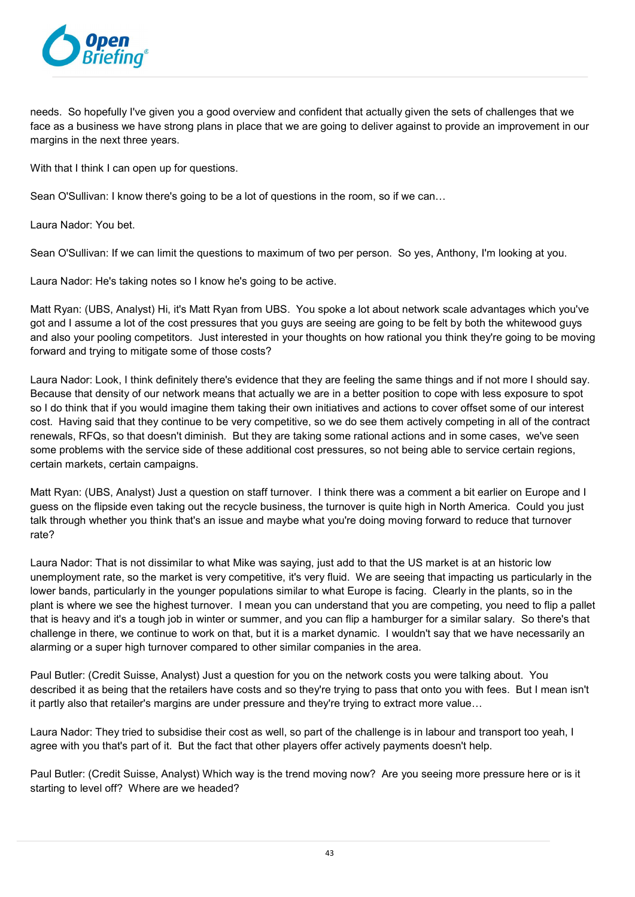

needs. So hopefully I've given you a good overview and confident that actually given the sets of challenges that we face as a business we have strong plans in place that we are going to deliver against to provide an improvement in our margins in the next three years.

With that I think I can open up for questions.

Sean O'Sullivan: I know there's going to be a lot of questions in the room, so if we can…

Laura Nador: You bet.

Sean O'Sullivan: If we can limit the questions to maximum of two per person. So yes, Anthony, I'm looking at you.

Laura Nador: He's taking notes so I know he's going to be active.

Matt Ryan: (UBS, Analyst) Hi, it's Matt Ryan from UBS. You spoke a lot about network scale advantages which you've got and I assume a lot of the cost pressures that you guys are seeing are going to be felt by both the whitewood guys and also your pooling competitors. Just interested in your thoughts on how rational you think they're going to be moving forward and trying to mitigate some of those costs?

Laura Nador: Look, I think definitely there's evidence that they are feeling the same things and if not more I should say. Because that density of our network means that actually we are in a better position to cope with less exposure to spot so I do think that if you would imagine them taking their own initiatives and actions to cover offset some of our interest cost. Having said that they continue to be very competitive, so we do see them actively competing in all of the contract renewals, RFQs, so that doesn't diminish. But they are taking some rational actions and in some cases, we've seen some problems with the service side of these additional cost pressures, so not being able to service certain regions, certain markets, certain campaigns.

Matt Ryan: (UBS, Analyst) Just a question on staff turnover. I think there was a comment a bit earlier on Europe and I guess on the flipside even taking out the recycle business, the turnover is quite high in North America. Could you just talk through whether you think that's an issue and maybe what you're doing moving forward to reduce that turnover rate?

Laura Nador: That is not dissimilar to what Mike was saying, just add to that the US market is at an historic low unemployment rate, so the market is very competitive, it's very fluid. We are seeing that impacting us particularly in the lower bands, particularly in the younger populations similar to what Europe is facing. Clearly in the plants, so in the plant is where we see the highest turnover. I mean you can understand that you are competing, you need to flip a pallet that is heavy and it's a tough job in winter or summer, and you can flip a hamburger for a similar salary. So there's that challenge in there, we continue to work on that, but it is a market dynamic. I wouldn't say that we have necessarily an alarming or a super high turnover compared to other similar companies in the area.

Paul Butler: (Credit Suisse, Analyst) Just a question for you on the network costs you were talking about. You described it as being that the retailers have costs and so they're trying to pass that onto you with fees. But I mean isn't it partly also that retailer's margins are under pressure and they're trying to extract more value…

Laura Nador: They tried to subsidise their cost as well, so part of the challenge is in labour and transport too yeah, I agree with you that's part of it. But the fact that other players offer actively payments doesn't help.

Paul Butler: (Credit Suisse, Analyst) Which way is the trend moving now? Are you seeing more pressure here or is it starting to level off? Where are we headed?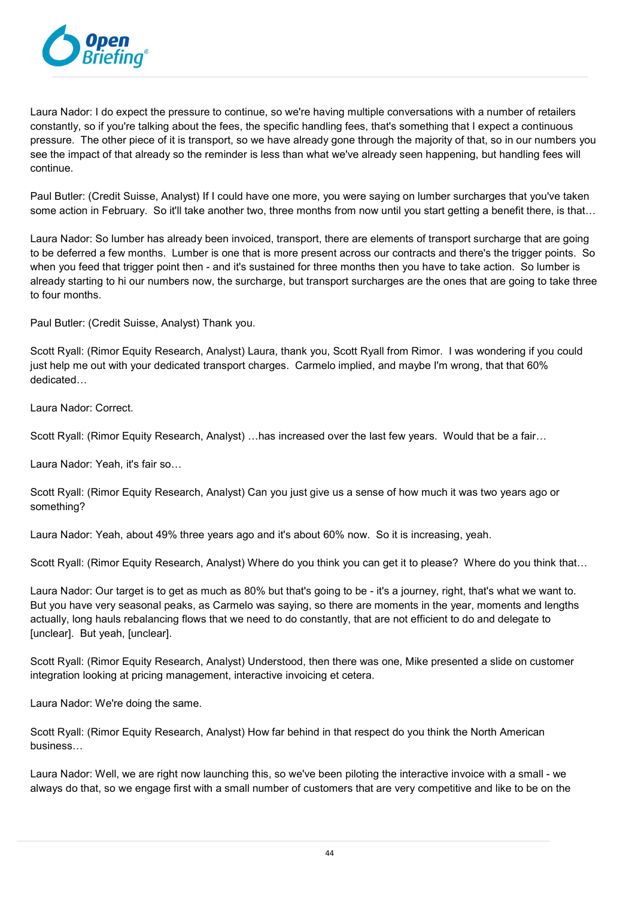

Laura Nador: I do expect the pressure to continue, so we're having multiple conversations with a number of retailers constantly, so if you're talking about the fees, the specific handling fees, that's something that I expect a continuous pressure. The other piece of it is transport, so we have already gone through the majority of that, so in our numbers you see the impact of that already so the reminder is less than what we've already seen happening, but handling fees will continue.

Paul Butler: (Credit Suisse, Analyst) If I could have one more, you were saying on lumber surcharges that you've taken some action in February. So it'll take another two, three months from now until you start getting a benefit there, is that...

Laura Nador: So lumber has already been invoiced, transport, there are elements of transport surcharge that are going to be deferred a few months. Lumber is one that is more present across our contracts and there's the trigger points. So when you feed that trigger point then - and it's sustained for three months then you have to take action. So lumber is already starting to hi our numbers now, the surcharge, but transport surcharges are the ones that are going to take three to four months.

Paul Butler: (Credit Suisse, Analyst) Thank you.

Scott Ryall: (Rimor Equity Research, Analyst) Laura, thank you, Scott Ryall from Rimor. I was wondering if you could just help me out with your dedicated transport charges. Carmelo implied, and maybe I'm wrong, that that 60% dedicated…

Laura Nador: Correct.

Scott Ryall: (Rimor Equity Research, Analyst) …has increased over the last few years. Would that be a fair…

Laura Nador: Yeah, it's fair so…

Scott Ryall: (Rimor Equity Research, Analyst) Can you just give us a sense of how much it was two years ago or something?

Laura Nador: Yeah, about 49% three years ago and it's about 60% now. So it is increasing, yeah.

Scott Ryall: (Rimor Equity Research, Analyst) Where do you think you can get it to please? Where do you think that…

Laura Nador: Our target is to get as much as 80% but that's going to be - it's a journey, right, that's what we want to. But you have very seasonal peaks, as Carmelo was saying, so there are moments in the year, moments and lengths actually, long hauls rebalancing flows that we need to do constantly, that are not efficient to do and delegate to [unclear]. But yeah, [unclear].

Scott Ryall: (Rimor Equity Research, Analyst) Understood, then there was one, Mike presented a slide on customer integration looking at pricing management, interactive invoicing et cetera.

Laura Nador: We're doing the same.

Scott Ryall: (Rimor Equity Research, Analyst) How far behind in that respect do you think the North American business…

Laura Nador: Well, we are right now launching this, so we've been piloting the interactive invoice with a small - we always do that, so we engage first with a small number of customers that are very competitive and like to be on the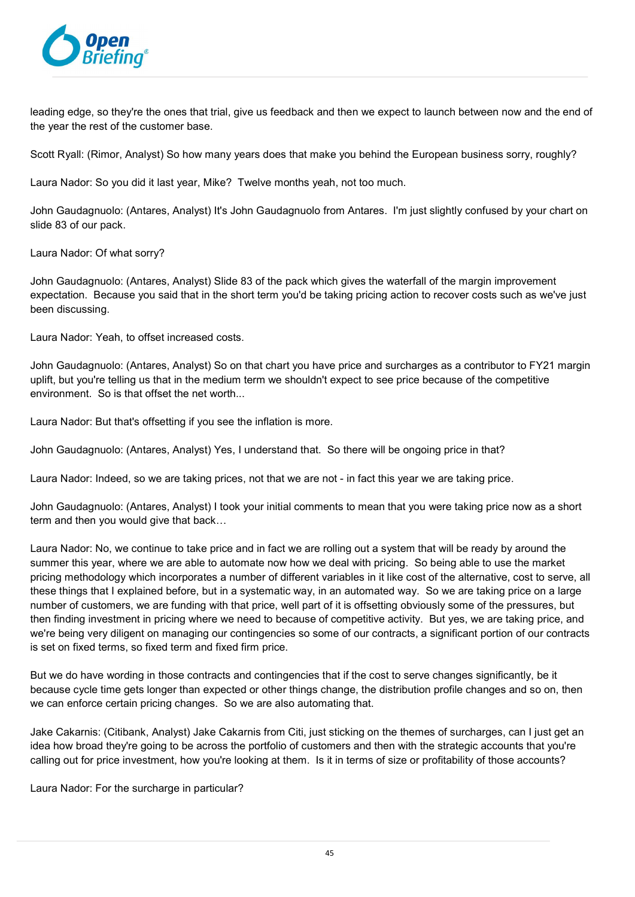

leading edge, so they're the ones that trial, give us feedback and then we expect to launch between now and the end of the year the rest of the customer base.

Scott Ryall: (Rimor, Analyst) So how many years does that make you behind the European business sorry, roughly?

Laura Nador: So you did it last year, Mike? Twelve months yeah, not too much.

John Gaudagnuolo: (Antares, Analyst) It's John Gaudagnuolo from Antares. I'm just slightly confused by your chart on slide 83 of our pack.

Laura Nador: Of what sorry?

John Gaudagnuolo: (Antares, Analyst) Slide 83 of the pack which gives the waterfall of the margin improvement expectation. Because you said that in the short term you'd be taking pricing action to recover costs such as we've just been discussing.

Laura Nador: Yeah, to offset increased costs.

John Gaudagnuolo: (Antares, Analyst) So on that chart you have price and surcharges as a contributor to FY21 margin uplift, but you're telling us that in the medium term we shouldn't expect to see price because of the competitive environment. So is that offset the net worth...

Laura Nador: But that's offsetting if you see the inflation is more.

John Gaudagnuolo: (Antares, Analyst) Yes, I understand that. So there will be ongoing price in that?

Laura Nador: Indeed, so we are taking prices, not that we are not - in fact this year we are taking price.

John Gaudagnuolo: (Antares, Analyst) I took your initial comments to mean that you were taking price now as a short term and then you would give that back…

Laura Nador: No, we continue to take price and in fact we are rolling out a system that will be ready by around the summer this year, where we are able to automate now how we deal with pricing. So being able to use the market pricing methodology which incorporates a number of different variables in it like cost of the alternative, cost to serve, all these things that I explained before, but in a systematic way, in an automated way. So we are taking price on a large number of customers, we are funding with that price, well part of it is offsetting obviously some of the pressures, but then finding investment in pricing where we need to because of competitive activity. But yes, we are taking price, and we're being very diligent on managing our contingencies so some of our contracts, a significant portion of our contracts is set on fixed terms, so fixed term and fixed firm price.

But we do have wording in those contracts and contingencies that if the cost to serve changes significantly, be it because cycle time gets longer than expected or other things change, the distribution profile changes and so on, then we can enforce certain pricing changes. So we are also automating that.

Jake Cakarnis: (Citibank, Analyst) Jake Cakarnis from Citi, just sticking on the themes of surcharges, can I just get an idea how broad they're going to be across the portfolio of customers and then with the strategic accounts that you're calling out for price investment, how you're looking at them. Is it in terms of size or profitability of those accounts?

Laura Nador: For the surcharge in particular?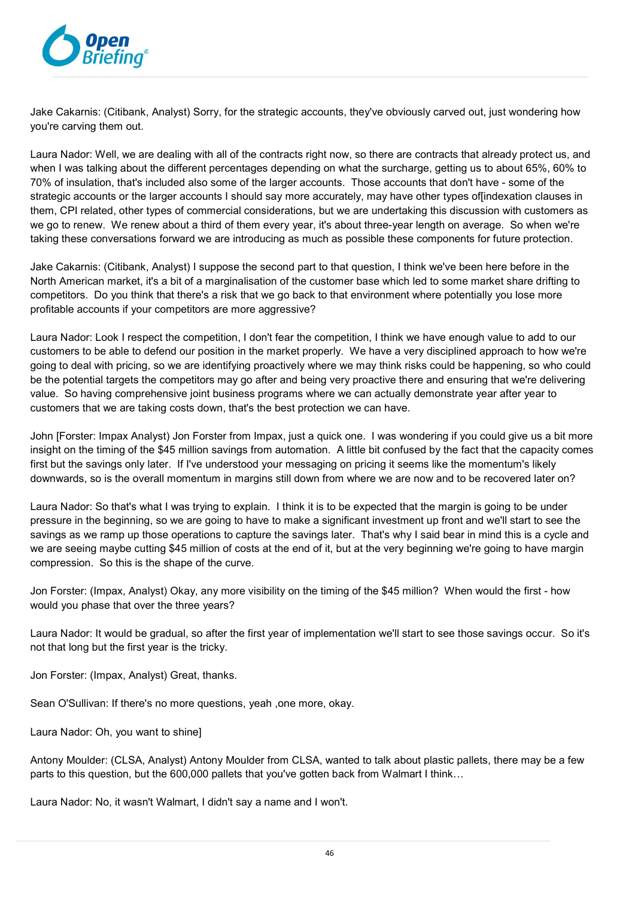

Jake Cakarnis: (Citibank, Analyst) Sorry, for the strategic accounts, they've obviously carved out, just wondering how you're carving them out.

Laura Nador: Well, we are dealing with all of the contracts right now, so there are contracts that already protect us, and when I was talking about the different percentages depending on what the surcharge, getting us to about 65%, 60% to 70% of insulation, that's included also some of the larger accounts. Those accounts that don't have - some of the strategic accounts or the larger accounts I should say more accurately, may have other types of[indexation clauses in them, CPI related, other types of commercial considerations, but we are undertaking this discussion with customers as we go to renew. We renew about a third of them every year, it's about three-year length on average. So when we're taking these conversations forward we are introducing as much as possible these components for future protection.

Jake Cakarnis: (Citibank, Analyst) I suppose the second part to that question, I think we've been here before in the North American market, it's a bit of a marginalisation of the customer base which led to some market share drifting to competitors. Do you think that there's a risk that we go back to that environment where potentially you lose more profitable accounts if your competitors are more aggressive?

Laura Nador: Look I respect the competition, I don't fear the competition, I think we have enough value to add to our customers to be able to defend our position in the market properly. We have a very disciplined approach to how we're going to deal with pricing, so we are identifying proactively where we may think risks could be happening, so who could be the potential targets the competitors may go after and being very proactive there and ensuring that we're delivering value. So having comprehensive joint business programs where we can actually demonstrate year after year to customers that we are taking costs down, that's the best protection we can have.

John [Forster: Impax Analyst) Jon Forster from Impax, just a quick one. I was wondering if you could give us a bit more insight on the timing of the \$45 million savings from automation. A little bit confused by the fact that the capacity comes first but the savings only later. If I've understood your messaging on pricing it seems like the momentum's likely downwards, so is the overall momentum in margins still down from where we are now and to be recovered later on?

Laura Nador: So that's what I was trying to explain. I think it is to be expected that the margin is going to be under pressure in the beginning, so we are going to have to make a significant investment up front and we'll start to see the savings as we ramp up those operations to capture the savings later. That's why I said bear in mind this is a cycle and we are seeing maybe cutting \$45 million of costs at the end of it, but at the very beginning we're going to have margin compression. So this is the shape of the curve.

Jon Forster: (Impax, Analyst) Okay, any more visibility on the timing of the \$45 million? When would the first - how would you phase that over the three years?

Laura Nador: It would be gradual, so after the first year of implementation we'll start to see those savings occur. So it's not that long but the first year is the tricky.

Jon Forster: (Impax, Analyst) Great, thanks.

Sean O'Sullivan: If there's no more questions, yeah ,one more, okay.

Laura Nador: Oh, you want to shine]

Antony Moulder: (CLSA, Analyst) Antony Moulder from CLSA, wanted to talk about plastic pallets, there may be a few parts to this question, but the 600,000 pallets that you've gotten back from Walmart I think...

Laura Nador: No, it wasn't Walmart, I didn't say a name and I won't.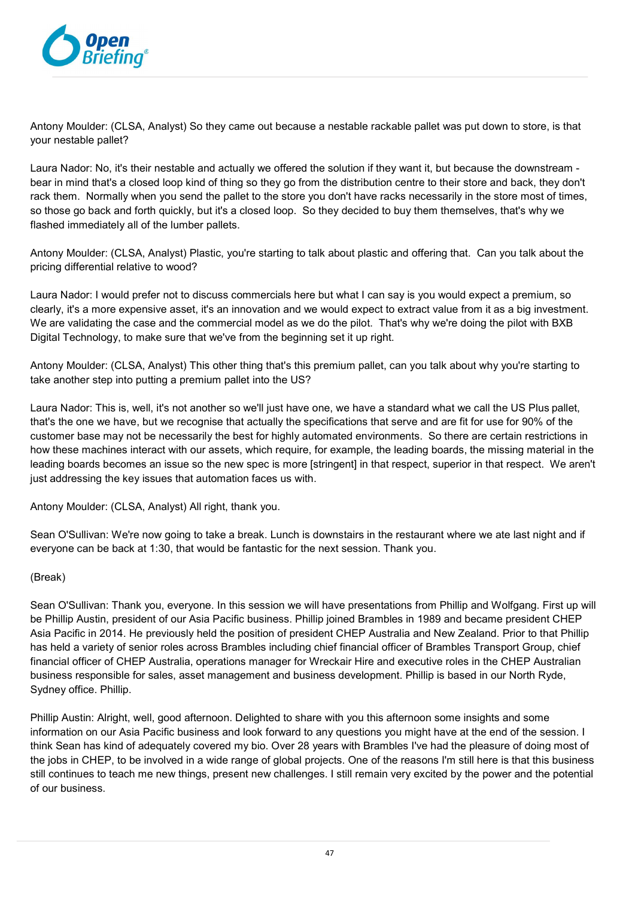

Antony Moulder: (CLSA, Analyst) So they came out because a nestable rackable pallet was put down to store, is that your nestable pallet?

Laura Nador: No, it's their nestable and actually we offered the solution if they want it, but because the downstream bear in mind that's a closed loop kind of thing so they go from the distribution centre to their store and back, they don't rack them. Normally when you send the pallet to the store you don't have racks necessarily in the store most of times, so those go back and forth quickly, but it's a closed loop. So they decided to buy them themselves, that's why we flashed immediately all of the lumber pallets.

Antony Moulder: (CLSA, Analyst) Plastic, you're starting to talk about plastic and offering that. Can you talk about the pricing differential relative to wood?

Laura Nador: I would prefer not to discuss commercials here but what I can say is you would expect a premium, so clearly, it's a more expensive asset, it's an innovation and we would expect to extract value from it as a big investment. We are validating the case and the commercial model as we do the pilot. That's why we're doing the pilot with BXB Digital Technology, to make sure that we've from the beginning set it up right.

Antony Moulder: (CLSA, Analyst) This other thing that's this premium pallet, can you talk about why you're starting to take another step into putting a premium pallet into the US?

Laura Nador: This is, well, it's not another so we'll just have one, we have a standard what we call the US Plus pallet, that's the one we have, but we recognise that actually the specifications that serve and are fit for use for 90% of the customer base may not be necessarily the best for highly automated environments. So there are certain restrictions in how these machines interact with our assets, which require, for example, the leading boards, the missing material in the leading boards becomes an issue so the new spec is more [stringent] in that respect, superior in that respect. We aren't just addressing the key issues that automation faces us with.

Antony Moulder: (CLSA, Analyst) All right, thank you.

Sean O'Sullivan: We're now going to take a break. Lunch is downstairs in the restaurant where we ate last night and if everyone can be back at 1:30, that would be fantastic for the next session. Thank you.

## (Break)

Sean O'Sullivan: Thank you, everyone. In this session we will have presentations from Phillip and Wolfgang. First up will be Phillip Austin, president of our Asia Pacific business. Phillip joined Brambles in 1989 and became president CHEP Asia Pacific in 2014. He previously held the position of president CHEP Australia and New Zealand. Prior to that Phillip has held a variety of senior roles across Brambles including chief financial officer of Brambles Transport Group, chief financial officer of CHEP Australia, operations manager for Wreckair Hire and executive roles in the CHEP Australian business responsible for sales, asset management and business development. Phillip is based in our North Ryde, Sydney office. Phillip.

Phillip Austin: Alright, well, good afternoon. Delighted to share with you this afternoon some insights and some information on our Asia Pacific business and look forward to any questions you might have at the end of the session. I think Sean has kind of adequately covered my bio. Over 28 years with Brambles I've had the pleasure of doing most of the jobs in CHEP, to be involved in a wide range of global projects. One of the reasons I'm still here is that this business still continues to teach me new things, present new challenges. I still remain very excited by the power and the potential of our business.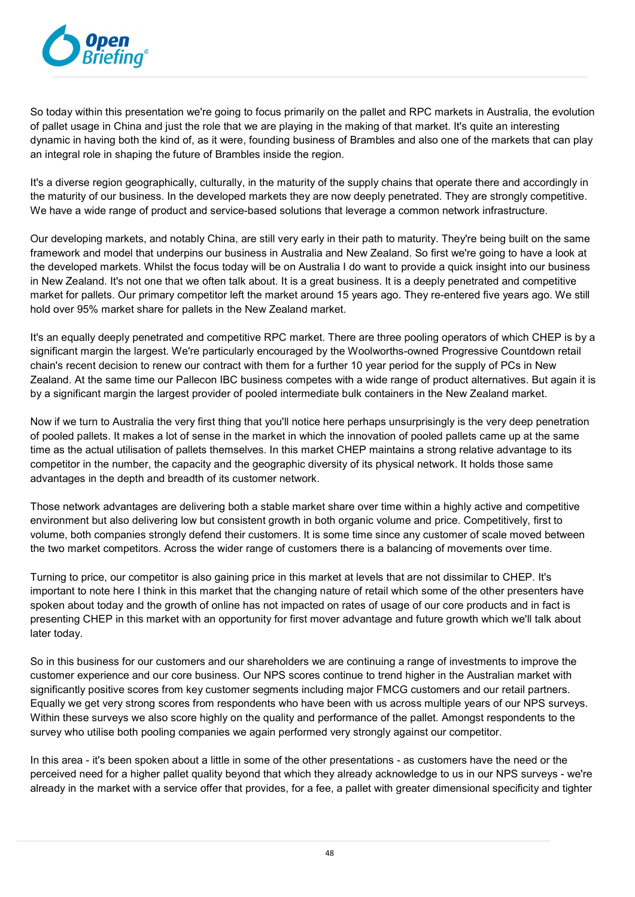

So today within this presentation we're going to focus primarily on the pallet and RPC markets in Australia, the evolution of pallet usage in China and just the role that we are playing in the making of that market. It's quite an interesting dynamic in having both the kind of, as it were, founding business of Brambles and also one of the markets that can play an integral role in shaping the future of Brambles inside the region.

It's a diverse region geographically, culturally, in the maturity of the supply chains that operate there and accordingly in the maturity of our business. In the developed markets they are now deeply penetrated. They are strongly competitive. We have a wide range of product and service-based solutions that leverage a common network infrastructure.

Our developing markets, and notably China, are still very early in their path to maturity. They're being built on the same framework and model that underpins our business in Australia and New Zealand. So first we're going to have a look at the developed markets. Whilst the focus today will be on Australia I do want to provide a quick insight into our business in New Zealand. It's not one that we often talk about. It is a great business. It is a deeply penetrated and competitive market for pallets. Our primary competitor left the market around 15 years ago. They re-entered five years ago. We still hold over 95% market share for pallets in the New Zealand market.

It's an equally deeply penetrated and competitive RPC market. There are three pooling operators of which CHEP is by a significant margin the largest. We're particularly encouraged by the Woolworths-owned Progressive Countdown retail chain's recent decision to renew our contract with them for a further 10 year period for the supply of PCs in New Zealand. At the same time our Pallecon IBC business competes with a wide range of product alternatives. But again it is by a significant margin the largest provider of pooled intermediate bulk containers in the New Zealand market.

Now if we turn to Australia the very first thing that you'll notice here perhaps unsurprisingly is the very deep penetration of pooled pallets. It makes a lot of sense in the market in which the innovation of pooled pallets came up at the same time as the actual utilisation of pallets themselves. In this market CHEP maintains a strong relative advantage to its competitor in the number, the capacity and the geographic diversity of its physical network. It holds those same advantages in the depth and breadth of its customer network.

Those network advantages are delivering both a stable market share over time within a highly active and competitive environment but also delivering low but consistent growth in both organic volume and price. Competitively, first to volume, both companies strongly defend their customers. It is some time since any customer of scale moved between the two market competitors. Across the wider range of customers there is a balancing of movements over time.

Turning to price, our competitor is also gaining price in this market at levels that are not dissimilar to CHEP. It's important to note here I think in this market that the changing nature of retail which some of the other presenters have spoken about today and the growth of online has not impacted on rates of usage of our core products and in fact is presenting CHEP in this market with an opportunity for first mover advantage and future growth which we'll talk about later today.

So in this business for our customers and our shareholders we are continuing a range of investments to improve the customer experience and our core business. Our NPS scores continue to trend higher in the Australian market with significantly positive scores from key customer segments including major FMCG customers and our retail partners. Equally we get very strong scores from respondents who have been with us across multiple years of our NPS surveys. Within these surveys we also score highly on the quality and performance of the pallet. Amongst respondents to the survey who utilise both pooling companies we again performed very strongly against our competitor.

In this area - it's been spoken about a little in some of the other presentations - as customers have the need or the perceived need for a higher pallet quality beyond that which they already acknowledge to us in our NPS surveys - we're already in the market with a service offer that provides, for a fee, a pallet with greater dimensional specificity and tighter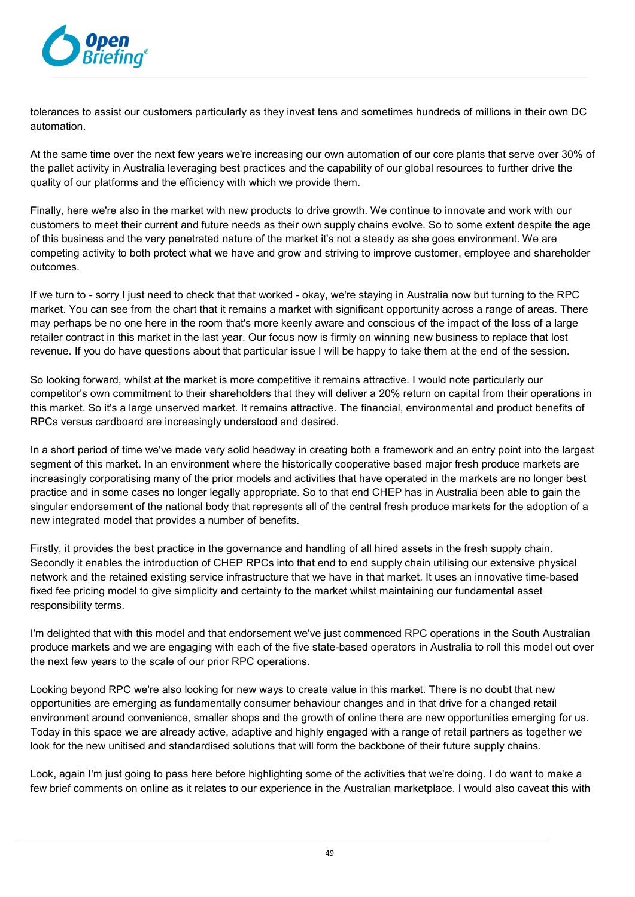

tolerances to assist our customers particularly as they invest tens and sometimes hundreds of millions in their own DC automation.

At the same time over the next few years we're increasing our own automation of our core plants that serve over 30% of the pallet activity in Australia leveraging best practices and the capability of our global resources to further drive the quality of our platforms and the efficiency with which we provide them.

Finally, here we're also in the market with new products to drive growth. We continue to innovate and work with our customers to meet their current and future needs as their own supply chains evolve. So to some extent despite the age of this business and the very penetrated nature of the market it's not a steady as she goes environment. We are competing activity to both protect what we have and grow and striving to improve customer, employee and shareholder outcomes.

If we turn to - sorry I just need to check that that worked - okay, we're staying in Australia now but turning to the RPC market. You can see from the chart that it remains a market with significant opportunity across a range of areas. There may perhaps be no one here in the room that's more keenly aware and conscious of the impact of the loss of a large retailer contract in this market in the last year. Our focus now is firmly on winning new business to replace that lost revenue. If you do have questions about that particular issue I will be happy to take them at the end of the session.

So looking forward, whilst at the market is more competitive it remains attractive. I would note particularly our competitor's own commitment to their shareholders that they will deliver a 20% return on capital from their operations in this market. So it's a large unserved market. It remains attractive. The financial, environmental and product benefits of RPCs versus cardboard are increasingly understood and desired.

In a short period of time we've made very solid headway in creating both a framework and an entry point into the largest segment of this market. In an environment where the historically cooperative based major fresh produce markets are increasingly corporatising many of the prior models and activities that have operated in the markets are no longer best practice and in some cases no longer legally appropriate. So to that end CHEP has in Australia been able to gain the singular endorsement of the national body that represents all of the central fresh produce markets for the adoption of a new integrated model that provides a number of benefits.

Firstly, it provides the best practice in the governance and handling of all hired assets in the fresh supply chain. Secondly it enables the introduction of CHEP RPCs into that end to end supply chain utilising our extensive physical network and the retained existing service infrastructure that we have in that market. It uses an innovative time-based fixed fee pricing model to give simplicity and certainty to the market whilst maintaining our fundamental asset responsibility terms.

I'm delighted that with this model and that endorsement we've just commenced RPC operations in the South Australian produce markets and we are engaging with each of the five state-based operators in Australia to roll this model out over the next few years to the scale of our prior RPC operations.

Looking beyond RPC we're also looking for new ways to create value in this market. There is no doubt that new opportunities are emerging as fundamentally consumer behaviour changes and in that drive for a changed retail environment around convenience, smaller shops and the growth of online there are new opportunities emerging for us. Today in this space we are already active, adaptive and highly engaged with a range of retail partners as together we look for the new unitised and standardised solutions that will form the backbone of their future supply chains.

Look, again I'm just going to pass here before highlighting some of the activities that we're doing. I do want to make a few brief comments on online as it relates to our experience in the Australian marketplace. I would also caveat this with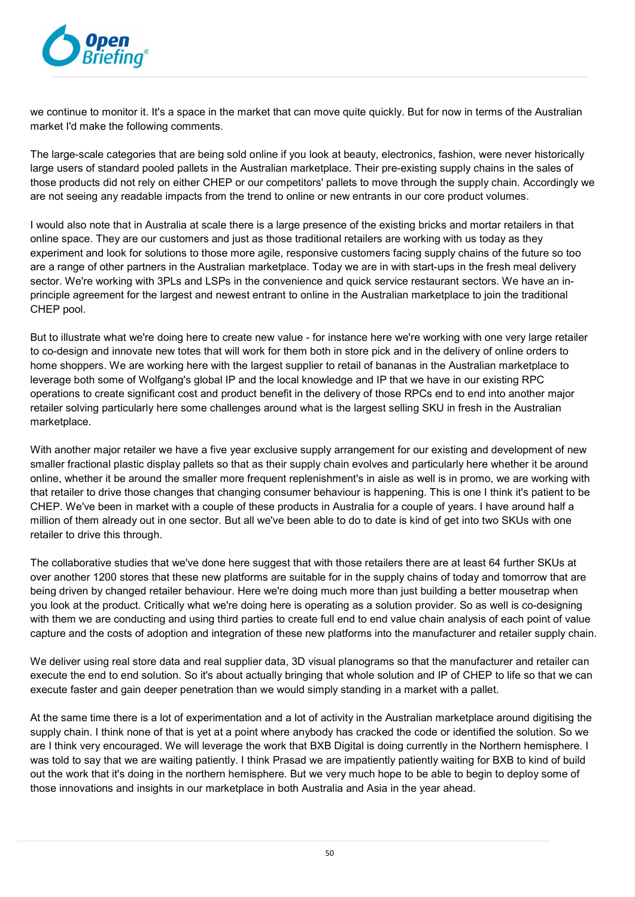

we continue to monitor it. It's a space in the market that can move quite quickly. But for now in terms of the Australian market I'd make the following comments.

The large-scale categories that are being sold online if you look at beauty, electronics, fashion, were never historically large users of standard pooled pallets in the Australian marketplace. Their pre-existing supply chains in the sales of those products did not rely on either CHEP or our competitors' pallets to move through the supply chain. Accordingly we are not seeing any readable impacts from the trend to online or new entrants in our core product volumes.

I would also note that in Australia at scale there is a large presence of the existing bricks and mortar retailers in that online space. They are our customers and just as those traditional retailers are working with us today as they experiment and look for solutions to those more agile, responsive customers facing supply chains of the future so too are a range of other partners in the Australian marketplace. Today we are in with start-ups in the fresh meal delivery sector. We're working with 3PLs and LSPs in the convenience and quick service restaurant sectors. We have an inprinciple agreement for the largest and newest entrant to online in the Australian marketplace to join the traditional CHEP pool.

But to illustrate what we're doing here to create new value - for instance here we're working with one very large retailer to co-design and innovate new totes that will work for them both in store pick and in the delivery of online orders to home shoppers. We are working here with the largest supplier to retail of bananas in the Australian marketplace to leverage both some of Wolfgang's global IP and the local knowledge and IP that we have in our existing RPC operations to create significant cost and product benefit in the delivery of those RPCs end to end into another major retailer solving particularly here some challenges around what is the largest selling SKU in fresh in the Australian marketplace.

With another major retailer we have a five year exclusive supply arrangement for our existing and development of new smaller fractional plastic display pallets so that as their supply chain evolves and particularly here whether it be around online, whether it be around the smaller more frequent replenishment's in aisle as well is in promo, we are working with that retailer to drive those changes that changing consumer behaviour is happening. This is one I think it's patient to be CHEP. We've been in market with a couple of these products in Australia for a couple of years. I have around half a million of them already out in one sector. But all we've been able to do to date is kind of get into two SKUs with one retailer to drive this through.

The collaborative studies that we've done here suggest that with those retailers there are at least 64 further SKUs at over another 1200 stores that these new platforms are suitable for in the supply chains of today and tomorrow that are being driven by changed retailer behaviour. Here we're doing much more than just building a better mousetrap when you look at the product. Critically what we're doing here is operating as a solution provider. So as well is co-designing with them we are conducting and using third parties to create full end to end value chain analysis of each point of value capture and the costs of adoption and integration of these new platforms into the manufacturer and retailer supply chain.

We deliver using real store data and real supplier data, 3D visual planograms so that the manufacturer and retailer can execute the end to end solution. So it's about actually bringing that whole solution and IP of CHEP to life so that we can execute faster and gain deeper penetration than we would simply standing in a market with a pallet.

At the same time there is a lot of experimentation and a lot of activity in the Australian marketplace around digitising the supply chain. I think none of that is yet at a point where anybody has cracked the code or identified the solution. So we are I think very encouraged. We will leverage the work that BXB Digital is doing currently in the Northern hemisphere. I was told to say that we are waiting patiently. I think Prasad we are impatiently patiently waiting for BXB to kind of build out the work that it's doing in the northern hemisphere. But we very much hope to be able to begin to deploy some of those innovations and insights in our marketplace in both Australia and Asia in the year ahead.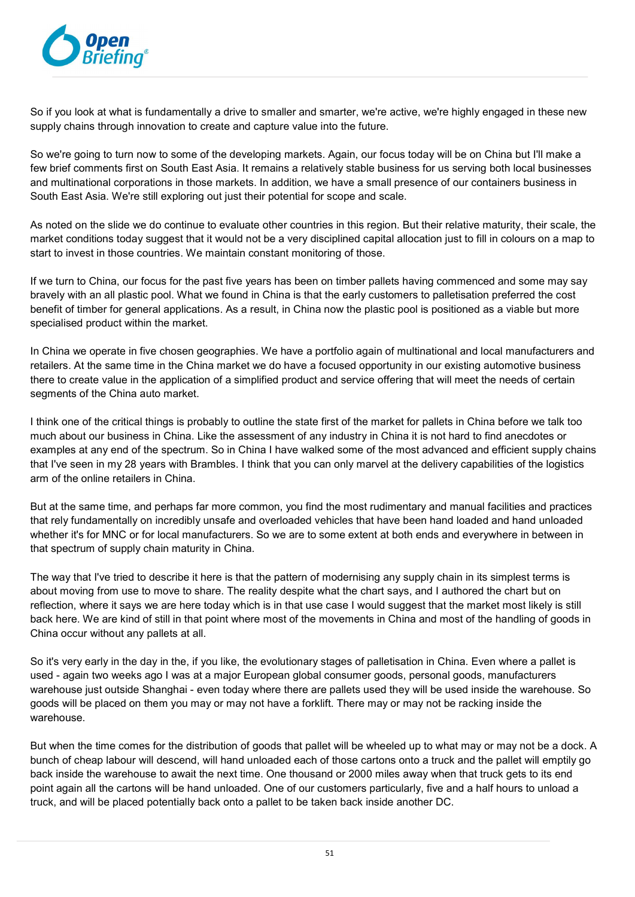

So if you look at what is fundamentally a drive to smaller and smarter, we're active, we're highly engaged in these new supply chains through innovation to create and capture value into the future.

So we're going to turn now to some of the developing markets. Again, our focus today will be on China but I'll make a few brief comments first on South East Asia. It remains a relatively stable business for us serving both local businesses and multinational corporations in those markets. In addition, we have a small presence of our containers business in South East Asia. We're still exploring out just their potential for scope and scale.

As noted on the slide we do continue to evaluate other countries in this region. But their relative maturity, their scale, the market conditions today suggest that it would not be a very disciplined capital allocation just to fill in colours on a map to start to invest in those countries. We maintain constant monitoring of those.

If we turn to China, our focus for the past five years has been on timber pallets having commenced and some may say bravely with an all plastic pool. What we found in China is that the early customers to palletisation preferred the cost benefit of timber for general applications. As a result, in China now the plastic pool is positioned as a viable but more specialised product within the market.

In China we operate in five chosen geographies. We have a portfolio again of multinational and local manufacturers and retailers. At the same time in the China market we do have a focused opportunity in our existing automotive business there to create value in the application of a simplified product and service offering that will meet the needs of certain segments of the China auto market.

I think one of the critical things is probably to outline the state first of the market for pallets in China before we talk too much about our business in China. Like the assessment of any industry in China it is not hard to find anecdotes or examples at any end of the spectrum. So in China I have walked some of the most advanced and efficient supply chains that I've seen in my 28 years with Brambles. I think that you can only marvel at the delivery capabilities of the logistics arm of the online retailers in China.

But at the same time, and perhaps far more common, you find the most rudimentary and manual facilities and practices that rely fundamentally on incredibly unsafe and overloaded vehicles that have been hand loaded and hand unloaded whether it's for MNC or for local manufacturers. So we are to some extent at both ends and everywhere in between in that spectrum of supply chain maturity in China.

The way that I've tried to describe it here is that the pattern of modernising any supply chain in its simplest terms is about moving from use to move to share. The reality despite what the chart says, and I authored the chart but on reflection, where it says we are here today which is in that use case I would suggest that the market most likely is still back here. We are kind of still in that point where most of the movements in China and most of the handling of goods in China occur without any pallets at all.

So it's very early in the day in the, if you like, the evolutionary stages of palletisation in China. Even where a pallet is used - again two weeks ago I was at a major European global consumer goods, personal goods, manufacturers warehouse just outside Shanghai - even today where there are pallets used they will be used inside the warehouse. So goods will be placed on them you may or may not have a forklift. There may or may not be racking inside the warehouse.

But when the time comes for the distribution of goods that pallet will be wheeled up to what may or may not be a dock. A bunch of cheap labour will descend, will hand unloaded each of those cartons onto a truck and the pallet will emptily go back inside the warehouse to await the next time. One thousand or 2000 miles away when that truck gets to its end point again all the cartons will be hand unloaded. One of our customers particularly, five and a half hours to unload a truck, and will be placed potentially back onto a pallet to be taken back inside another DC.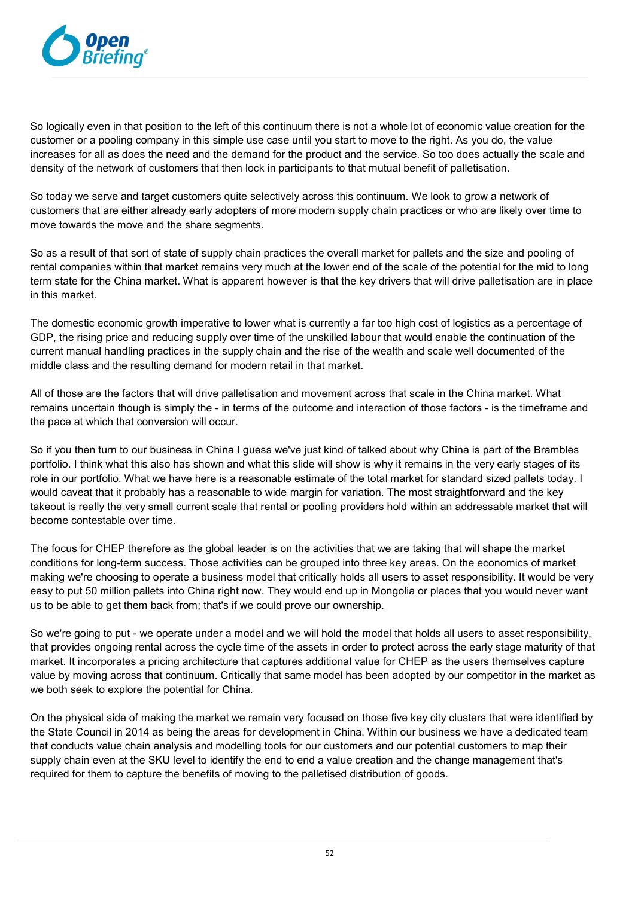

So logically even in that position to the left of this continuum there is not a whole lot of economic value creation for the customer or a pooling company in this simple use case until you start to move to the right. As you do, the value increases for all as does the need and the demand for the product and the service. So too does actually the scale and density of the network of customers that then lock in participants to that mutual benefit of palletisation.

So today we serve and target customers quite selectively across this continuum. We look to grow a network of customers that are either already early adopters of more modern supply chain practices or who are likely over time to move towards the move and the share segments.

So as a result of that sort of state of supply chain practices the overall market for pallets and the size and pooling of rental companies within that market remains very much at the lower end of the scale of the potential for the mid to long term state for the China market. What is apparent however is that the key drivers that will drive palletisation are in place in this market.

The domestic economic growth imperative to lower what is currently a far too high cost of logistics as a percentage of GDP, the rising price and reducing supply over time of the unskilled labour that would enable the continuation of the current manual handling practices in the supply chain and the rise of the wealth and scale well documented of the middle class and the resulting demand for modern retail in that market.

All of those are the factors that will drive palletisation and movement across that scale in the China market. What remains uncertain though is simply the - in terms of the outcome and interaction of those factors - is the timeframe and the pace at which that conversion will occur.

So if you then turn to our business in China I guess we've just kind of talked about why China is part of the Brambles portfolio. I think what this also has shown and what this slide will show is why it remains in the very early stages of its role in our portfolio. What we have here is a reasonable estimate of the total market for standard sized pallets today. I would caveat that it probably has a reasonable to wide margin for variation. The most straightforward and the key takeout is really the very small current scale that rental or pooling providers hold within an addressable market that will become contestable over time.

The focus for CHEP therefore as the global leader is on the activities that we are taking that will shape the market conditions for long-term success. Those activities can be grouped into three key areas. On the economics of market making we're choosing to operate a business model that critically holds all users to asset responsibility. It would be very easy to put 50 million pallets into China right now. They would end up in Mongolia or places that you would never want us to be able to get them back from; that's if we could prove our ownership.

So we're going to put - we operate under a model and we will hold the model that holds all users to asset responsibility, that provides ongoing rental across the cycle time of the assets in order to protect across the early stage maturity of that market. It incorporates a pricing architecture that captures additional value for CHEP as the users themselves capture value by moving across that continuum. Critically that same model has been adopted by our competitor in the market as we both seek to explore the potential for China.

On the physical side of making the market we remain very focused on those five key city clusters that were identified by the State Council in 2014 as being the areas for development in China. Within our business we have a dedicated team that conducts value chain analysis and modelling tools for our customers and our potential customers to map their supply chain even at the SKU level to identify the end to end a value creation and the change management that's required for them to capture the benefits of moving to the palletised distribution of goods.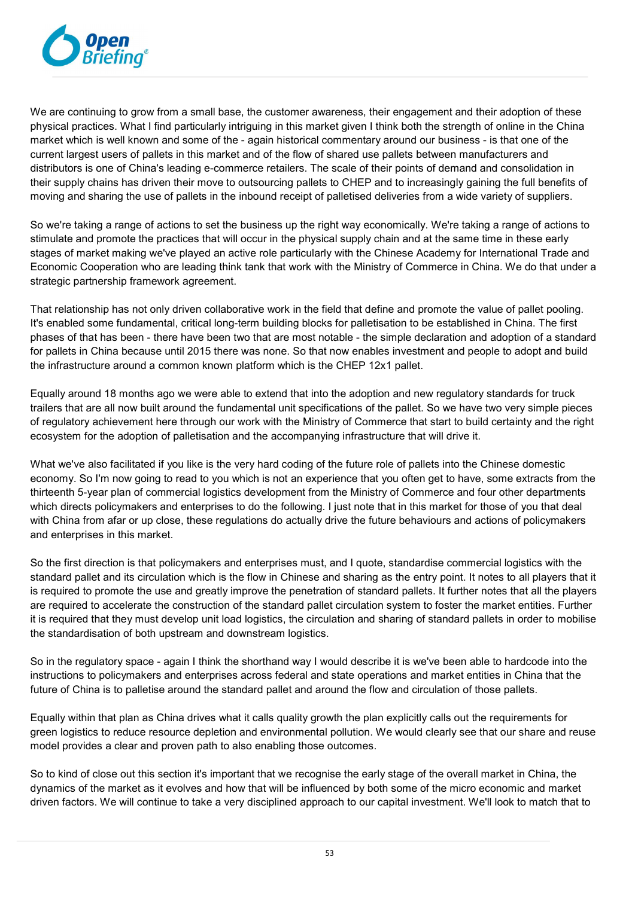

We are continuing to grow from a small base, the customer awareness, their engagement and their adoption of these physical practices. What I find particularly intriguing in this market given I think both the strength of online in the China market which is well known and some of the - again historical commentary around our business - is that one of the current largest users of pallets in this market and of the flow of shared use pallets between manufacturers and distributors is one of China's leading e-commerce retailers. The scale of their points of demand and consolidation in their supply chains has driven their move to outsourcing pallets to CHEP and to increasingly gaining the full benefits of moving and sharing the use of pallets in the inbound receipt of palletised deliveries from a wide variety of suppliers.

So we're taking a range of actions to set the business up the right way economically. We're taking a range of actions to stimulate and promote the practices that will occur in the physical supply chain and at the same time in these early stages of market making we've played an active role particularly with the Chinese Academy for International Trade and Economic Cooperation who are leading think tank that work with the Ministry of Commerce in China. We do that under a strategic partnership framework agreement.

That relationship has not only driven collaborative work in the field that define and promote the value of pallet pooling. It's enabled some fundamental, critical long-term building blocks for palletisation to be established in China. The first phases of that has been - there have been two that are most notable - the simple declaration and adoption of a standard for pallets in China because until 2015 there was none. So that now enables investment and people to adopt and build the infrastructure around a common known platform which is the CHEP 12x1 pallet.

Equally around 18 months ago we were able to extend that into the adoption and new regulatory standards for truck trailers that are all now built around the fundamental unit specifications of the pallet. So we have two very simple pieces of regulatory achievement here through our work with the Ministry of Commerce that start to build certainty and the right ecosystem for the adoption of palletisation and the accompanying infrastructure that will drive it.

What we've also facilitated if you like is the very hard coding of the future role of pallets into the Chinese domestic economy. So I'm now going to read to you which is not an experience that you often get to have, some extracts from the thirteenth 5-year plan of commercial logistics development from the Ministry of Commerce and four other departments which directs policymakers and enterprises to do the following. I just note that in this market for those of you that deal with China from afar or up close, these regulations do actually drive the future behaviours and actions of policymakers and enterprises in this market.

So the first direction is that policymakers and enterprises must, and I quote, standardise commercial logistics with the standard pallet and its circulation which is the flow in Chinese and sharing as the entry point. It notes to all players that it is required to promote the use and greatly improve the penetration of standard pallets. It further notes that all the players are required to accelerate the construction of the standard pallet circulation system to foster the market entities. Further it is required that they must develop unit load logistics, the circulation and sharing of standard pallets in order to mobilise the standardisation of both upstream and downstream logistics.

So in the regulatory space - again I think the shorthand way I would describe it is we've been able to hardcode into the instructions to policymakers and enterprises across federal and state operations and market entities in China that the future of China is to palletise around the standard pallet and around the flow and circulation of those pallets.

Equally within that plan as China drives what it calls quality growth the plan explicitly calls out the requirements for green logistics to reduce resource depletion and environmental pollution. We would clearly see that our share and reuse model provides a clear and proven path to also enabling those outcomes.

So to kind of close out this section it's important that we recognise the early stage of the overall market in China, the dynamics of the market as it evolves and how that will be influenced by both some of the micro economic and market driven factors. We will continue to take a very disciplined approach to our capital investment. We'll look to match that to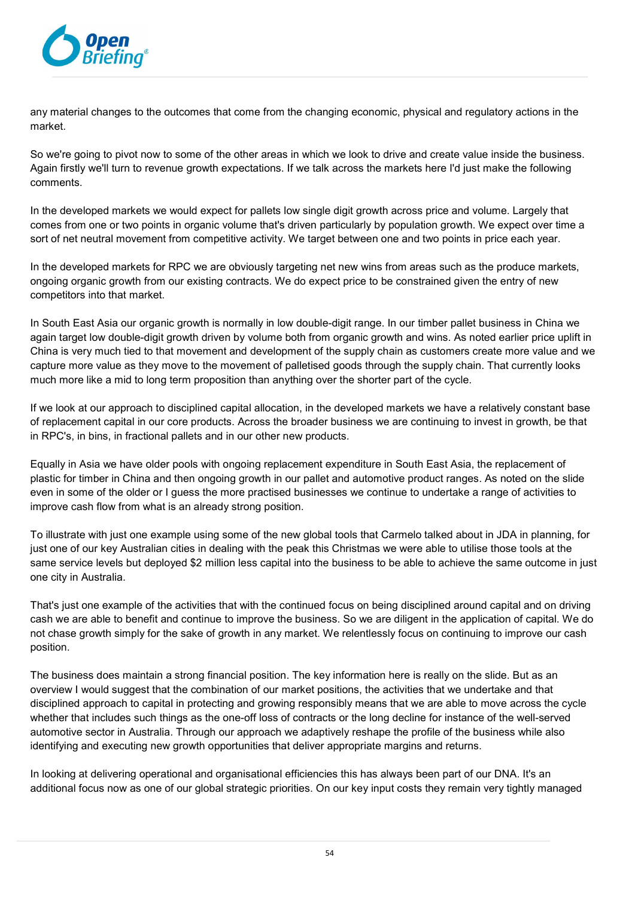

any material changes to the outcomes that come from the changing economic, physical and regulatory actions in the market.

So we're going to pivot now to some of the other areas in which we look to drive and create value inside the business. Again firstly we'll turn to revenue growth expectations. If we talk across the markets here I'd just make the following comments.

In the developed markets we would expect for pallets low single digit growth across price and volume. Largely that comes from one or two points in organic volume that's driven particularly by population growth. We expect over time a sort of net neutral movement from competitive activity. We target between one and two points in price each year.

In the developed markets for RPC we are obviously targeting net new wins from areas such as the produce markets, ongoing organic growth from our existing contracts. We do expect price to be constrained given the entry of new competitors into that market.

In South East Asia our organic growth is normally in low double-digit range. In our timber pallet business in China we again target low double-digit growth driven by volume both from organic growth and wins. As noted earlier price uplift in China is very much tied to that movement and development of the supply chain as customers create more value and we capture more value as they move to the movement of palletised goods through the supply chain. That currently looks much more like a mid to long term proposition than anything over the shorter part of the cycle.

If we look at our approach to disciplined capital allocation, in the developed markets we have a relatively constant base of replacement capital in our core products. Across the broader business we are continuing to invest in growth, be that in RPC's, in bins, in fractional pallets and in our other new products.

Equally in Asia we have older pools with ongoing replacement expenditure in South East Asia, the replacement of plastic for timber in China and then ongoing growth in our pallet and automotive product ranges. As noted on the slide even in some of the older or I guess the more practised businesses we continue to undertake a range of activities to improve cash flow from what is an already strong position.

To illustrate with just one example using some of the new global tools that Carmelo talked about in JDA in planning, for just one of our key Australian cities in dealing with the peak this Christmas we were able to utilise those tools at the same service levels but deployed \$2 million less capital into the business to be able to achieve the same outcome in just one city in Australia.

That's just one example of the activities that with the continued focus on being disciplined around capital and on driving cash we are able to benefit and continue to improve the business. So we are diligent in the application of capital. We do not chase growth simply for the sake of growth in any market. We relentlessly focus on continuing to improve our cash position.

The business does maintain a strong financial position. The key information here is really on the slide. But as an overview I would suggest that the combination of our market positions, the activities that we undertake and that disciplined approach to capital in protecting and growing responsibly means that we are able to move across the cycle whether that includes such things as the one-off loss of contracts or the long decline for instance of the well-served automotive sector in Australia. Through our approach we adaptively reshape the profile of the business while also identifying and executing new growth opportunities that deliver appropriate margins and returns.

In looking at delivering operational and organisational efficiencies this has always been part of our DNA. It's an additional focus now as one of our global strategic priorities. On our key input costs they remain very tightly managed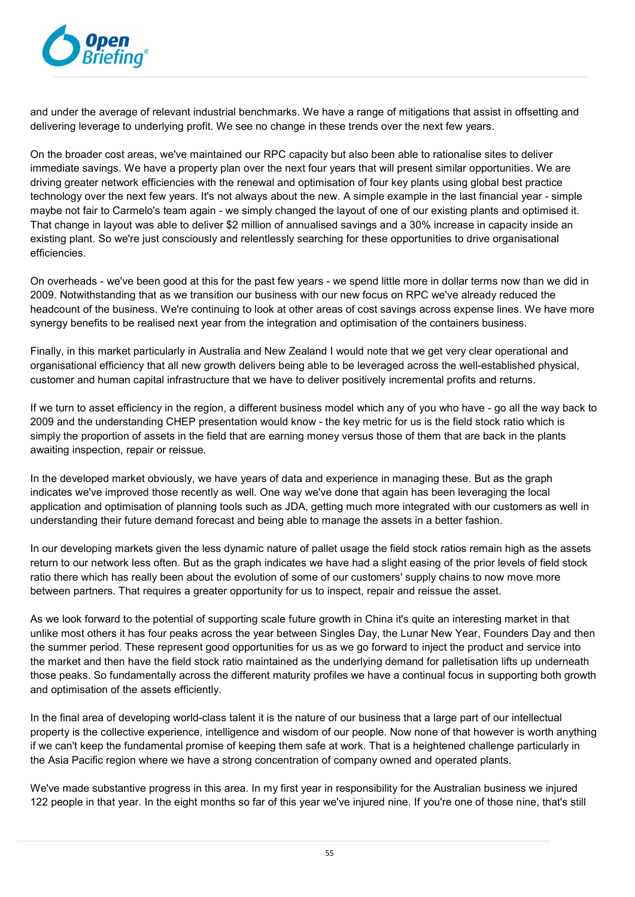

and under the average of relevant industrial benchmarks. We have a range of mitigations that assist in offsetting and delivering leverage to underlying profit. We see no change in these trends over the next few years.

On the broader cost areas, we've maintained our RPC capacity but also been able to rationalise sites to deliver immediate savings. We have a property plan over the next four years that will present similar opportunities. We are driving greater network efficiencies with the renewal and optimisation of four key plants using global best practice technology over the next few years. It's not always about the new. A simple example in the last financial year - simple maybe not fair to Carmelo's team again - we simply changed the layout of one of our existing plants and optimised it. That change in layout was able to deliver \$2 million of annualised savings and a 30% increase in capacity inside an existing plant. So we're just consciously and relentlessly searching for these opportunities to drive organisational efficiencies.

On overheads - we've been good at this for the past few years - we spend little more in dollar terms now than we did in 2009. Notwithstanding that as we transition our business with our new focus on RPC we've already reduced the headcount of the business. We're continuing to look at other areas of cost savings across expense lines. We have more synergy benefits to be realised next year from the integration and optimisation of the containers business.

Finally, in this market particularly in Australia and New Zealand I would note that we get very clear operational and organisational efficiency that all new growth delivers being able to be leveraged across the well-established physical, customer and human capital infrastructure that we have to deliver positively incremental profits and returns.

If we turn to asset efficiency in the region, a different business model which any of you who have - go all the way back to 2009 and the understanding CHEP presentation would know - the key metric for us is the field stock ratio which is simply the proportion of assets in the field that are earning money versus those of them that are back in the plants awaiting inspection, repair or reissue.

In the developed market obviously, we have years of data and experience in managing these. But as the graph indicates we've improved those recently as well. One way we've done that again has been leveraging the local application and optimisation of planning tools such as JDA, getting much more integrated with our customers as well in understanding their future demand forecast and being able to manage the assets in a better fashion.

In our developing markets given the less dynamic nature of pallet usage the field stock ratios remain high as the assets return to our network less often. But as the graph indicates we have had a slight easing of the prior levels of field stock ratio there which has really been about the evolution of some of our customers' supply chains to now move more between partners. That requires a greater opportunity for us to inspect, repair and reissue the asset.

As we look forward to the potential of supporting scale future growth in China it's quite an interesting market in that unlike most others it has four peaks across the year between Singles Day, the Lunar New Year, Founders Day and then the summer period. These represent good opportunities for us as we go forward to inject the product and service into the market and then have the field stock ratio maintained as the underlying demand for palletisation lifts up underneath those peaks. So fundamentally across the different maturity profiles we have a continual focus in supporting both growth and optimisation of the assets efficiently.

In the final area of developing world-class talent it is the nature of our business that a large part of our intellectual property is the collective experience, intelligence and wisdom of our people. Now none of that however is worth anything if we can't keep the fundamental promise of keeping them safe at work. That is a heightened challenge particularly in the Asia Pacific region where we have a strong concentration of company owned and operated plants.

We've made substantive progress in this area. In my first year in responsibility for the Australian business we injured 122 people in that year. In the eight months so far of this year we've injured nine. If you're one of those nine, that's still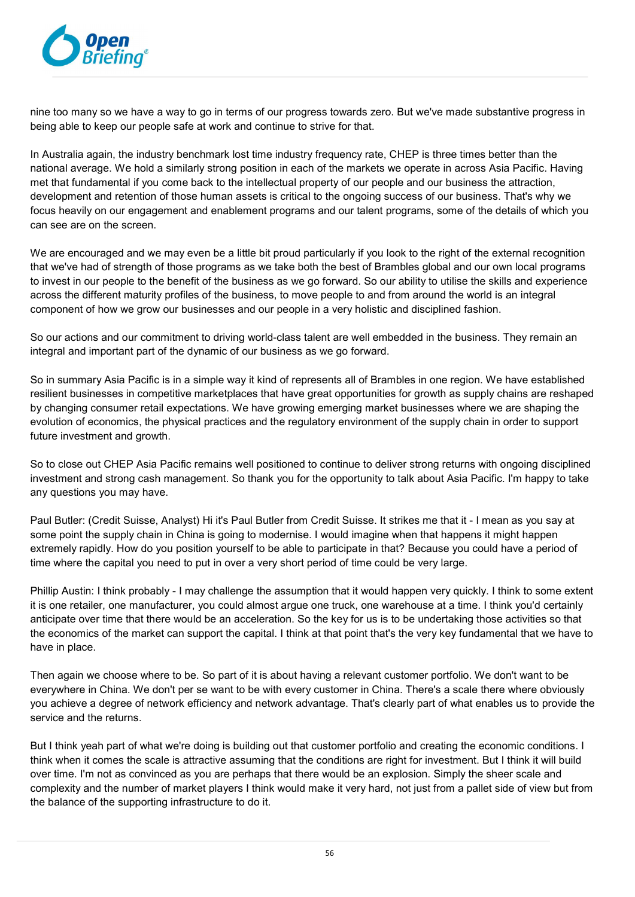

nine too many so we have a way to go in terms of our progress towards zero. But we've made substantive progress in being able to keep our people safe at work and continue to strive for that.

In Australia again, the industry benchmark lost time industry frequency rate, CHEP is three times better than the national average. We hold a similarly strong position in each of the markets we operate in across Asia Pacific. Having met that fundamental if you come back to the intellectual property of our people and our business the attraction, development and retention of those human assets is critical to the ongoing success of our business. That's why we focus heavily on our engagement and enablement programs and our talent programs, some of the details of which you can see are on the screen.

We are encouraged and we may even be a little bit proud particularly if you look to the right of the external recognition that we've had of strength of those programs as we take both the best of Brambles global and our own local programs to invest in our people to the benefit of the business as we go forward. So our ability to utilise the skills and experience across the different maturity profiles of the business, to move people to and from around the world is an integral component of how we grow our businesses and our people in a very holistic and disciplined fashion.

So our actions and our commitment to driving world-class talent are well embedded in the business. They remain an integral and important part of the dynamic of our business as we go forward.

So in summary Asia Pacific is in a simple way it kind of represents all of Brambles in one region. We have established resilient businesses in competitive marketplaces that have great opportunities for growth as supply chains are reshaped by changing consumer retail expectations. We have growing emerging market businesses where we are shaping the evolution of economics, the physical practices and the regulatory environment of the supply chain in order to support future investment and growth.

So to close out CHEP Asia Pacific remains well positioned to continue to deliver strong returns with ongoing disciplined investment and strong cash management. So thank you for the opportunity to talk about Asia Pacific. I'm happy to take any questions you may have.

Paul Butler: (Credit Suisse, Analyst) Hi it's Paul Butler from Credit Suisse. It strikes me that it - I mean as you say at some point the supply chain in China is going to modernise. I would imagine when that happens it might happen extremely rapidly. How do you position yourself to be able to participate in that? Because you could have a period of time where the capital you need to put in over a very short period of time could be very large.

Phillip Austin: I think probably - I may challenge the assumption that it would happen very quickly. I think to some extent it is one retailer, one manufacturer, you could almost argue one truck, one warehouse at a time. I think you'd certainly anticipate over time that there would be an acceleration. So the key for us is to be undertaking those activities so that the economics of the market can support the capital. I think at that point that's the very key fundamental that we have to have in place.

Then again we choose where to be. So part of it is about having a relevant customer portfolio. We don't want to be everywhere in China. We don't per se want to be with every customer in China. There's a scale there where obviously you achieve a degree of network efficiency and network advantage. That's clearly part of what enables us to provide the service and the returns.

But I think yeah part of what we're doing is building out that customer portfolio and creating the economic conditions. I think when it comes the scale is attractive assuming that the conditions are right for investment. But I think it will build over time. I'm not as convinced as you are perhaps that there would be an explosion. Simply the sheer scale and complexity and the number of market players I think would make it very hard, not just from a pallet side of view but from the balance of the supporting infrastructure to do it.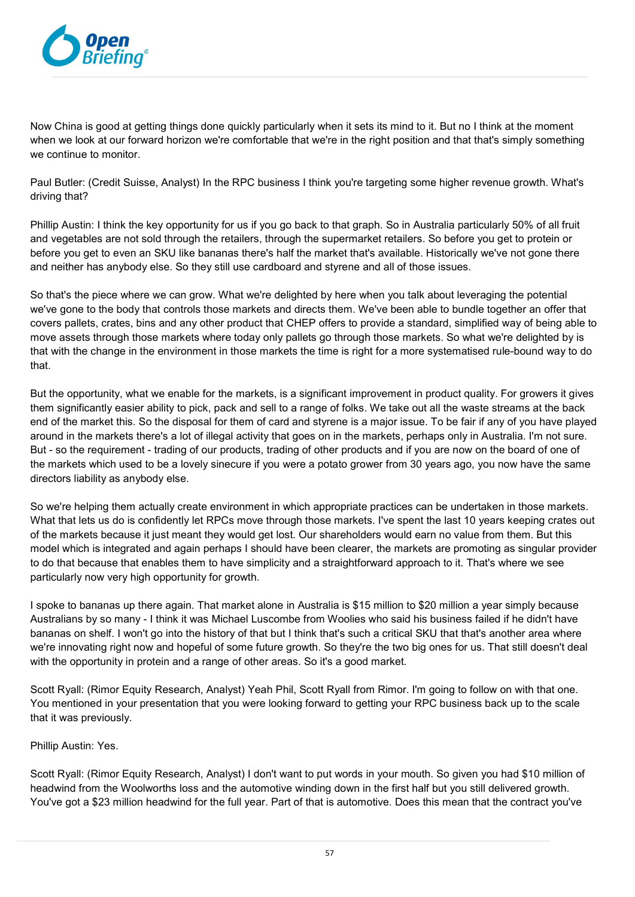

Now China is good at getting things done quickly particularly when it sets its mind to it. But no I think at the moment when we look at our forward horizon we're comfortable that we're in the right position and that that's simply something we continue to monitor.

Paul Butler: (Credit Suisse, Analyst) In the RPC business I think you're targeting some higher revenue growth. What's driving that?

Phillip Austin: I think the key opportunity for us if you go back to that graph. So in Australia particularly 50% of all fruit and vegetables are not sold through the retailers, through the supermarket retailers. So before you get to protein or before you get to even an SKU like bananas there's half the market that's available. Historically we've not gone there and neither has anybody else. So they still use cardboard and styrene and all of those issues.

So that's the piece where we can grow. What we're delighted by here when you talk about leveraging the potential we've gone to the body that controls those markets and directs them. We've been able to bundle together an offer that covers pallets, crates, bins and any other product that CHEP offers to provide a standard, simplified way of being able to move assets through those markets where today only pallets go through those markets. So what we're delighted by is that with the change in the environment in those markets the time is right for a more systematised rule-bound way to do that.

But the opportunity, what we enable for the markets, is a significant improvement in product quality. For growers it gives them significantly easier ability to pick, pack and sell to a range of folks. We take out all the waste streams at the back end of the market this. So the disposal for them of card and styrene is a major issue. To be fair if any of you have played around in the markets there's a lot of illegal activity that goes on in the markets, perhaps only in Australia. I'm not sure. But - so the requirement - trading of our products, trading of other products and if you are now on the board of one of the markets which used to be a lovely sinecure if you were a potato grower from 30 years ago, you now have the same directors liability as anybody else.

So we're helping them actually create environment in which appropriate practices can be undertaken in those markets. What that lets us do is confidently let RPCs move through those markets. I've spent the last 10 years keeping crates out of the markets because it just meant they would get lost. Our shareholders would earn no value from them. But this model which is integrated and again perhaps I should have been clearer, the markets are promoting as singular provider to do that because that enables them to have simplicity and a straightforward approach to it. That's where we see particularly now very high opportunity for growth.

I spoke to bananas up there again. That market alone in Australia is \$15 million to \$20 million a year simply because Australians by so many - I think it was Michael Luscombe from Woolies who said his business failed if he didn't have bananas on shelf. I won't go into the history of that but I think that's such a critical SKU that that's another area where we're innovating right now and hopeful of some future growth. So they're the two big ones for us. That still doesn't deal with the opportunity in protein and a range of other areas. So it's a good market.

Scott Ryall: (Rimor Equity Research, Analyst) Yeah Phil, Scott Ryall from Rimor. I'm going to follow on with that one. You mentioned in your presentation that you were looking forward to getting your RPC business back up to the scale that it was previously.

## Phillip Austin: Yes.

Scott Ryall: (Rimor Equity Research, Analyst) I don't want to put words in your mouth. So given you had \$10 million of headwind from the Woolworths loss and the automotive winding down in the first half but you still delivered growth. You've got a \$23 million headwind for the full year. Part of that is automotive. Does this mean that the contract you've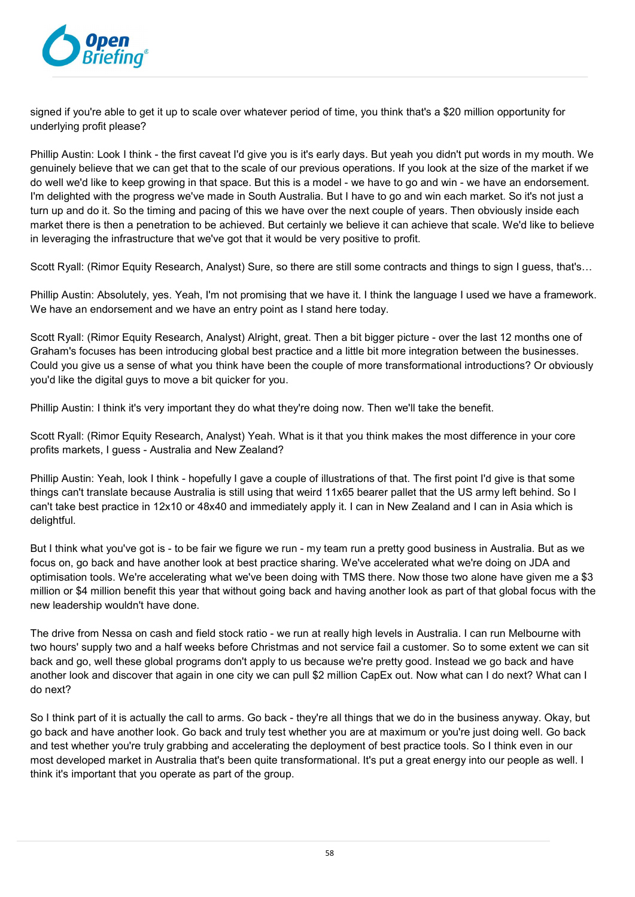

signed if you're able to get it up to scale over whatever period of time, you think that's a \$20 million opportunity for underlying profit please?

Phillip Austin: Look I think - the first caveat I'd give you is it's early days. But yeah you didn't put words in my mouth. We genuinely believe that we can get that to the scale of our previous operations. If you look at the size of the market if we do well we'd like to keep growing in that space. But this is a model - we have to go and win - we have an endorsement. I'm delighted with the progress we've made in South Australia. But I have to go and win each market. So it's not just a turn up and do it. So the timing and pacing of this we have over the next couple of years. Then obviously inside each market there is then a penetration to be achieved. But certainly we believe it can achieve that scale. We'd like to believe in leveraging the infrastructure that we've got that it would be very positive to profit.

Scott Ryall: (Rimor Equity Research, Analyst) Sure, so there are still some contracts and things to sign I guess, that's…

Phillip Austin: Absolutely, yes. Yeah, I'm not promising that we have it. I think the language I used we have a framework. We have an endorsement and we have an entry point as I stand here today.

Scott Ryall: (Rimor Equity Research, Analyst) Alright, great. Then a bit bigger picture - over the last 12 months one of Graham's focuses has been introducing global best practice and a little bit more integration between the businesses. Could you give us a sense of what you think have been the couple of more transformational introductions? Or obviously you'd like the digital guys to move a bit quicker for you.

Phillip Austin: I think it's very important they do what they're doing now. Then we'll take the benefit.

Scott Ryall: (Rimor Equity Research, Analyst) Yeah. What is it that you think makes the most difference in your core profits markets, I guess - Australia and New Zealand?

Phillip Austin: Yeah, look I think - hopefully I gave a couple of illustrations of that. The first point I'd give is that some things can't translate because Australia is still using that weird 11x65 bearer pallet that the US army left behind. So I can't take best practice in 12x10 or 48x40 and immediately apply it. I can in New Zealand and I can in Asia which is delightful.

But I think what you've got is - to be fair we figure we run - my team run a pretty good business in Australia. But as we focus on, go back and have another look at best practice sharing. We've accelerated what we're doing on JDA and optimisation tools. We're accelerating what we've been doing with TMS there. Now those two alone have given me a \$3 million or \$4 million benefit this year that without going back and having another look as part of that global focus with the new leadership wouldn't have done.

The drive from Nessa on cash and field stock ratio - we run at really high levels in Australia. I can run Melbourne with two hours' supply two and a half weeks before Christmas and not service fail a customer. So to some extent we can sit back and go, well these global programs don't apply to us because we're pretty good. Instead we go back and have another look and discover that again in one city we can pull \$2 million CapEx out. Now what can I do next? What can I do next?

So I think part of it is actually the call to arms. Go back - they're all things that we do in the business anyway. Okay, but go back and have another look. Go back and truly test whether you are at maximum or you're just doing well. Go back and test whether you're truly grabbing and accelerating the deployment of best practice tools. So I think even in our most developed market in Australia that's been quite transformational. It's put a great energy into our people as well. I think it's important that you operate as part of the group.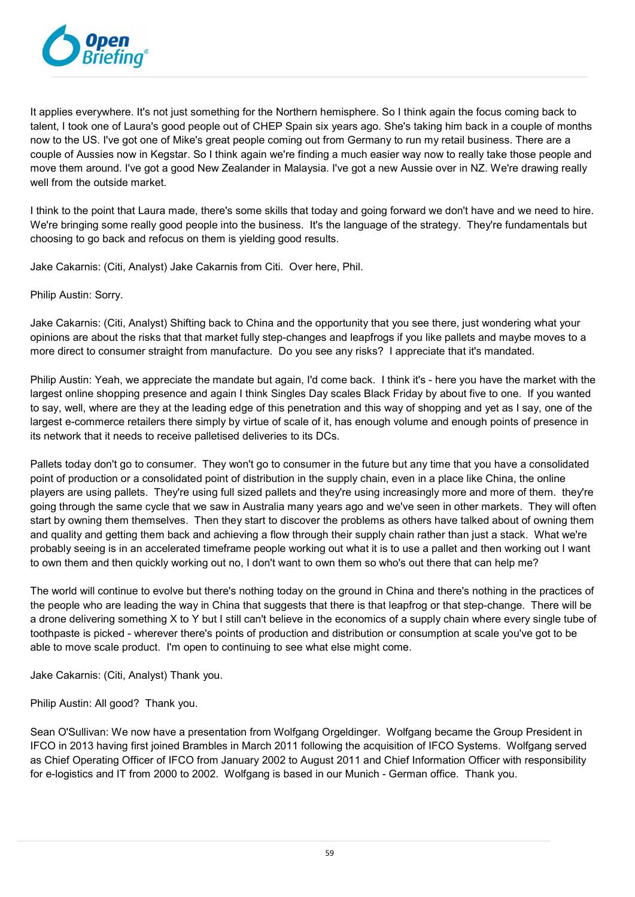

It applies everywhere. It's not just something for the Northern hemisphere. So I think again the focus coming back to talent, I took one of Laura's good people out of CHEP Spain six years ago. She's taking him back in a couple of months now to the US. I've got one of Mike's great people coming out from Germany to run my retail business. There are a couple of Aussies now in Kegstar. So I think again we're finding a much easier way now to really take those people and move them around. I've got a good New Zealander in Malaysia. I've got a new Aussie over in NZ. We're drawing really well from the outside market.

I think to the point that Laura made, there's some skills that today and going forward we don't have and we need to hire. We're bringing some really good people into the business. It's the language of the strategy. They're fundamentals but choosing to go back and refocus on them is yielding good results.

Jake Cakarnis: (Citi, Analyst) Jake Cakarnis from Citi. Over here, Phil.

Philip Austin: Sorry.

Jake Cakarnis: (Citi, Analyst) Shifting back to China and the opportunity that you see there, just wondering what your opinions are about the risks that that market fully step-changes and leapfrogs if you like pallets and maybe moves to a more direct to consumer straight from manufacture. Do you see any risks? I appreciate that it's mandated.

Philip Austin: Yeah, we appreciate the mandate but again, I'd come back. I think it's - here you have the market with the largest online shopping presence and again I think Singles Day scales Black Friday by about five to one. If you wanted to say, well, where are they at the leading edge of this penetration and this way of shopping and yet as I say, one of the largest e-commerce retailers there simply by virtue of scale of it, has enough volume and enough points of presence in its network that it needs to receive palletised deliveries to its DCs.

Pallets today don't go to consumer. They won't go to consumer in the future but any time that you have a consolidated point of production or a consolidated point of distribution in the supply chain, even in a place like China, the online players are using pallets. They're using full sized pallets and they're using increasingly more and more of them. they're going through the same cycle that we saw in Australia many years ago and we've seen in other markets. They will often start by owning them themselves. Then they start to discover the problems as others have talked about of owning them and quality and getting them back and achieving a flow through their supply chain rather than just a stack. What we're probably seeing is in an accelerated timeframe people working out what it is to use a pallet and then working out I want to own them and then quickly working out no, I don't want to own them so who's out there that can help me?

The world will continue to evolve but there's nothing today on the ground in China and there's nothing in the practices of the people who are leading the way in China that suggests that there is that leapfrog or that step-change. There will be a drone delivering something X to Y but I still can't believe in the economics of a supply chain where every single tube of toothpaste is picked - wherever there's points of production and distribution or consumption at scale you've got to be able to move scale product. I'm open to continuing to see what else might come.

Jake Cakarnis: (Citi, Analyst) Thank you.

Philip Austin: All good? Thank you.

Sean O'Sullivan: We now have a presentation from Wolfgang Orgeldinger. Wolfgang became the Group President in IFCO in 2013 having first joined Brambles in March 2011 following the acquisition of IFCO Systems. Wolfgang served as Chief Operating Officer of IFCO from January 2002 to August 2011 and Chief Information Officer with responsibility for e-logistics and IT from 2000 to 2002. Wolfgang is based in our Munich - German office. Thank you.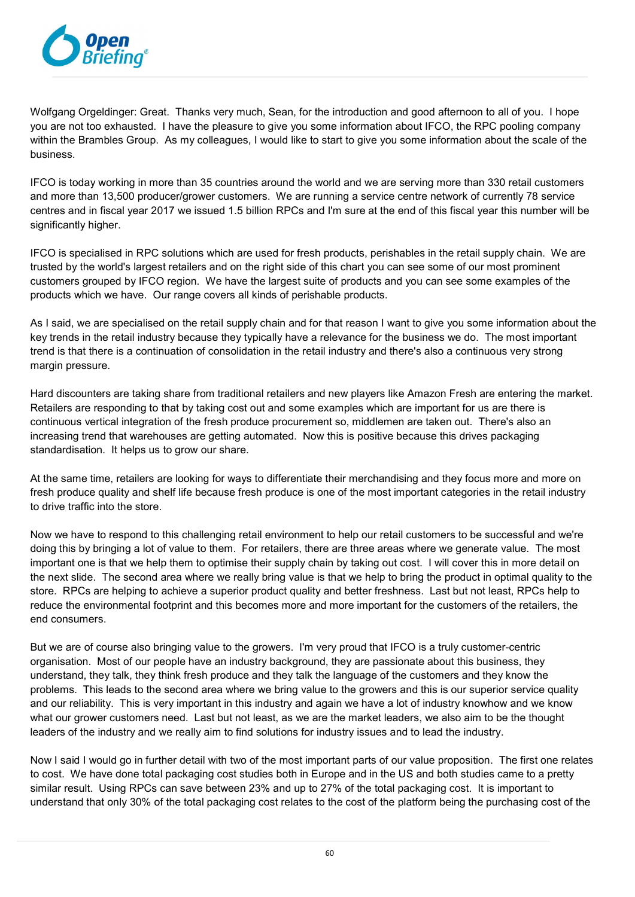

Wolfgang Orgeldinger: Great. Thanks very much, Sean, for the introduction and good afternoon to all of you. I hope you are not too exhausted. I have the pleasure to give you some information about IFCO, the RPC pooling company within the Brambles Group. As my colleagues, I would like to start to give you some information about the scale of the business.

IFCO is today working in more than 35 countries around the world and we are serving more than 330 retail customers and more than 13,500 producer/grower customers. We are running a service centre network of currently 78 service centres and in fiscal year 2017 we issued 1.5 billion RPCs and I'm sure at the end of this fiscal year this number will be significantly higher.

IFCO is specialised in RPC solutions which are used for fresh products, perishables in the retail supply chain. We are trusted by the world's largest retailers and on the right side of this chart you can see some of our most prominent customers grouped by IFCO region. We have the largest suite of products and you can see some examples of the products which we have. Our range covers all kinds of perishable products.

As I said, we are specialised on the retail supply chain and for that reason I want to give you some information about the key trends in the retail industry because they typically have a relevance for the business we do. The most important trend is that there is a continuation of consolidation in the retail industry and there's also a continuous very strong margin pressure.

Hard discounters are taking share from traditional retailers and new players like Amazon Fresh are entering the market. Retailers are responding to that by taking cost out and some examples which are important for us are there is continuous vertical integration of the fresh produce procurement so, middlemen are taken out. There's also an increasing trend that warehouses are getting automated. Now this is positive because this drives packaging standardisation. It helps us to grow our share.

At the same time, retailers are looking for ways to differentiate their merchandising and they focus more and more on fresh produce quality and shelf life because fresh produce is one of the most important categories in the retail industry to drive traffic into the store.

Now we have to respond to this challenging retail environment to help our retail customers to be successful and we're doing this by bringing a lot of value to them. For retailers, there are three areas where we generate value. The most important one is that we help them to optimise their supply chain by taking out cost. I will cover this in more detail on the next slide. The second area where we really bring value is that we help to bring the product in optimal quality to the store. RPCs are helping to achieve a superior product quality and better freshness. Last but not least, RPCs help to reduce the environmental footprint and this becomes more and more important for the customers of the retailers, the end consumers.

But we are of course also bringing value to the growers. I'm very proud that IFCO is a truly customer-centric organisation. Most of our people have an industry background, they are passionate about this business, they understand, they talk, they think fresh produce and they talk the language of the customers and they know the problems. This leads to the second area where we bring value to the growers and this is our superior service quality and our reliability. This is very important in this industry and again we have a lot of industry knowhow and we know what our grower customers need. Last but not least, as we are the market leaders, we also aim to be the thought leaders of the industry and we really aim to find solutions for industry issues and to lead the industry.

Now I said I would go in further detail with two of the most important parts of our value proposition. The first one relates to cost. We have done total packaging cost studies both in Europe and in the US and both studies came to a pretty similar result. Using RPCs can save between 23% and up to 27% of the total packaging cost. It is important to understand that only 30% of the total packaging cost relates to the cost of the platform being the purchasing cost of the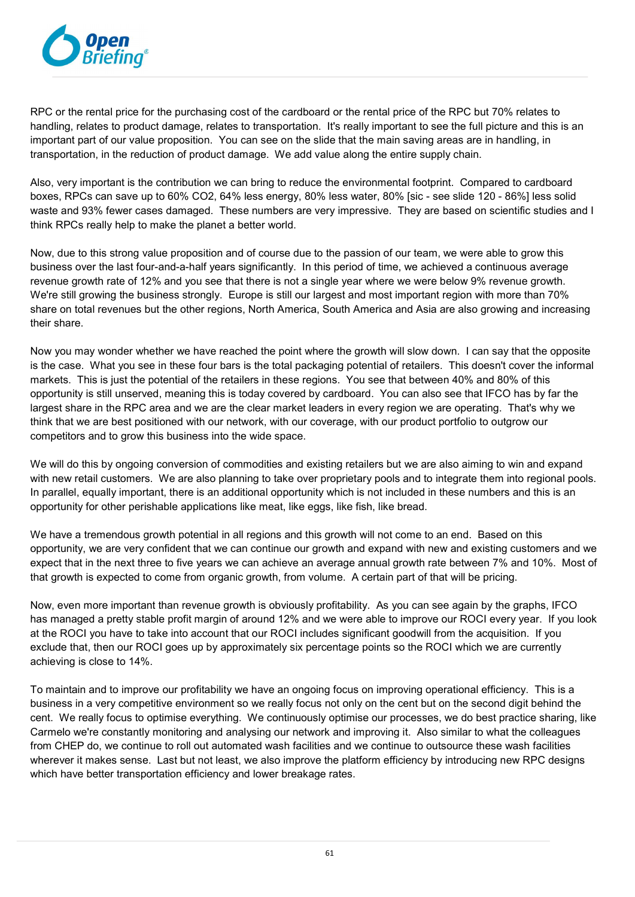

RPC or the rental price for the purchasing cost of the cardboard or the rental price of the RPC but 70% relates to handling, relates to product damage, relates to transportation. It's really important to see the full picture and this is an important part of our value proposition. You can see on the slide that the main saving areas are in handling, in transportation, in the reduction of product damage. We add value along the entire supply chain.

Also, very important is the contribution we can bring to reduce the environmental footprint. Compared to cardboard boxes, RPCs can save up to 60% CO2, 64% less energy, 80% less water, 80% [sic - see slide 120 - 86%] less solid waste and 93% fewer cases damaged. These numbers are very impressive. They are based on scientific studies and I think RPCs really help to make the planet a better world.

Now, due to this strong value proposition and of course due to the passion of our team, we were able to grow this business over the last four-and-a-half years significantly. In this period of time, we achieved a continuous average revenue growth rate of 12% and you see that there is not a single year where we were below 9% revenue growth. We're still growing the business strongly. Europe is still our largest and most important region with more than 70% share on total revenues but the other regions, North America, South America and Asia are also growing and increasing their share.

Now you may wonder whether we have reached the point where the growth will slow down. I can say that the opposite is the case. What you see in these four bars is the total packaging potential of retailers. This doesn't cover the informal markets. This is just the potential of the retailers in these regions. You see that between 40% and 80% of this opportunity is still unserved, meaning this is today covered by cardboard. You can also see that IFCO has by far the largest share in the RPC area and we are the clear market leaders in every region we are operating. That's why we think that we are best positioned with our network, with our coverage, with our product portfolio to outgrow our competitors and to grow this business into the wide space.

We will do this by ongoing conversion of commodities and existing retailers but we are also aiming to win and expand with new retail customers. We are also planning to take over proprietary pools and to integrate them into regional pools. In parallel, equally important, there is an additional opportunity which is not included in these numbers and this is an opportunity for other perishable applications like meat, like eggs, like fish, like bread.

We have a tremendous growth potential in all regions and this growth will not come to an end. Based on this opportunity, we are very confident that we can continue our growth and expand with new and existing customers and we expect that in the next three to five years we can achieve an average annual growth rate between 7% and 10%. Most of that growth is expected to come from organic growth, from volume. A certain part of that will be pricing.

Now, even more important than revenue growth is obviously profitability. As you can see again by the graphs, IFCO has managed a pretty stable profit margin of around 12% and we were able to improve our ROCI every year. If you look at the ROCI you have to take into account that our ROCI includes significant goodwill from the acquisition. If you exclude that, then our ROCI goes up by approximately six percentage points so the ROCI which we are currently achieving is close to 14%.

To maintain and to improve our profitability we have an ongoing focus on improving operational efficiency. This is a business in a very competitive environment so we really focus not only on the cent but on the second digit behind the cent. We really focus to optimise everything. We continuously optimise our processes, we do best practice sharing, like Carmelo we're constantly monitoring and analysing our network and improving it. Also similar to what the colleagues from CHEP do, we continue to roll out automated wash facilities and we continue to outsource these wash facilities wherever it makes sense. Last but not least, we also improve the platform efficiency by introducing new RPC designs which have better transportation efficiency and lower breakage rates.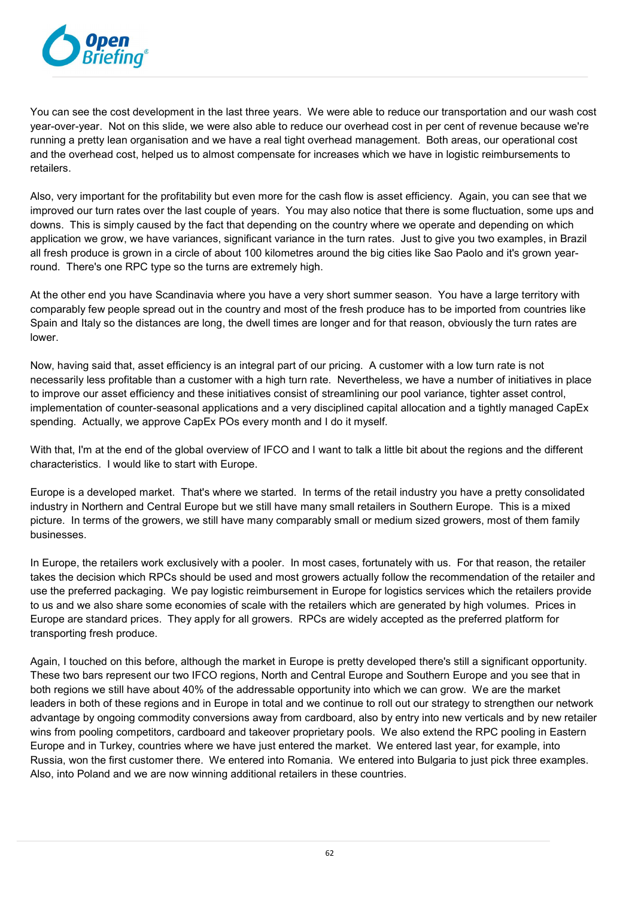

You can see the cost development in the last three years. We were able to reduce our transportation and our wash cost year-over-year. Not on this slide, we were also able to reduce our overhead cost in per cent of revenue because we're running a pretty lean organisation and we have a real tight overhead management. Both areas, our operational cost and the overhead cost, helped us to almost compensate for increases which we have in logistic reimbursements to retailers.

Also, very important for the profitability but even more for the cash flow is asset efficiency. Again, you can see that we improved our turn rates over the last couple of years. You may also notice that there is some fluctuation, some ups and downs. This is simply caused by the fact that depending on the country where we operate and depending on which application we grow, we have variances, significant variance in the turn rates. Just to give you two examples, in Brazil all fresh produce is grown in a circle of about 100 kilometres around the big cities like Sao Paolo and it's grown yearround. There's one RPC type so the turns are extremely high.

At the other end you have Scandinavia where you have a very short summer season. You have a large territory with comparably few people spread out in the country and most of the fresh produce has to be imported from countries like Spain and Italy so the distances are long, the dwell times are longer and for that reason, obviously the turn rates are lower.

Now, having said that, asset efficiency is an integral part of our pricing. A customer with a low turn rate is not necessarily less profitable than a customer with a high turn rate. Nevertheless, we have a number of initiatives in place to improve our asset efficiency and these initiatives consist of streamlining our pool variance, tighter asset control, implementation of counter-seasonal applications and a very disciplined capital allocation and a tightly managed CapEx spending. Actually, we approve CapEx POs every month and I do it myself.

With that, I'm at the end of the global overview of IFCO and I want to talk a little bit about the regions and the different characteristics. I would like to start with Europe.

Europe is a developed market. That's where we started. In terms of the retail industry you have a pretty consolidated industry in Northern and Central Europe but we still have many small retailers in Southern Europe. This is a mixed picture. In terms of the growers, we still have many comparably small or medium sized growers, most of them family businesses.

In Europe, the retailers work exclusively with a pooler. In most cases, fortunately with us. For that reason, the retailer takes the decision which RPCs should be used and most growers actually follow the recommendation of the retailer and use the preferred packaging. We pay logistic reimbursement in Europe for logistics services which the retailers provide to us and we also share some economies of scale with the retailers which are generated by high volumes. Prices in Europe are standard prices. They apply for all growers. RPCs are widely accepted as the preferred platform for transporting fresh produce.

Again, I touched on this before, although the market in Europe is pretty developed there's still a significant opportunity. These two bars represent our two IFCO regions, North and Central Europe and Southern Europe and you see that in both regions we still have about 40% of the addressable opportunity into which we can grow. We are the market leaders in both of these regions and in Europe in total and we continue to roll out our strategy to strengthen our network advantage by ongoing commodity conversions away from cardboard, also by entry into new verticals and by new retailer wins from pooling competitors, cardboard and takeover proprietary pools. We also extend the RPC pooling in Eastern Europe and in Turkey, countries where we have just entered the market. We entered last year, for example, into Russia, won the first customer there. We entered into Romania. We entered into Bulgaria to just pick three examples. Also, into Poland and we are now winning additional retailers in these countries.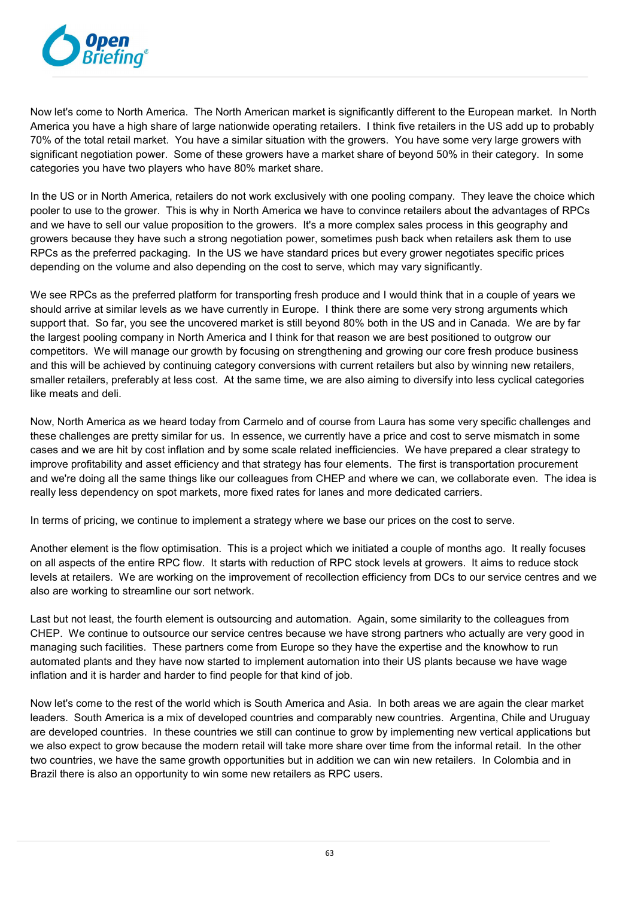

Now let's come to North America. The North American market is significantly different to the European market. In North America you have a high share of large nationwide operating retailers. I think five retailers in the US add up to probably 70% of the total retail market. You have a similar situation with the growers. You have some very large growers with significant negotiation power. Some of these growers have a market share of beyond 50% in their category. In some categories you have two players who have 80% market share.

In the US or in North America, retailers do not work exclusively with one pooling company. They leave the choice which pooler to use to the grower. This is why in North America we have to convince retailers about the advantages of RPCs and we have to sell our value proposition to the growers. It's a more complex sales process in this geography and growers because they have such a strong negotiation power, sometimes push back when retailers ask them to use RPCs as the preferred packaging. In the US we have standard prices but every grower negotiates specific prices depending on the volume and also depending on the cost to serve, which may vary significantly.

We see RPCs as the preferred platform for transporting fresh produce and I would think that in a couple of years we should arrive at similar levels as we have currently in Europe. I think there are some very strong arguments which support that. So far, you see the uncovered market is still beyond 80% both in the US and in Canada. We are by far the largest pooling company in North America and I think for that reason we are best positioned to outgrow our competitors. We will manage our growth by focusing on strengthening and growing our core fresh produce business and this will be achieved by continuing category conversions with current retailers but also by winning new retailers, smaller retailers, preferably at less cost. At the same time, we are also aiming to diversify into less cyclical categories like meats and deli.

Now, North America as we heard today from Carmelo and of course from Laura has some very specific challenges and these challenges are pretty similar for us. In essence, we currently have a price and cost to serve mismatch in some cases and we are hit by cost inflation and by some scale related inefficiencies. We have prepared a clear strategy to improve profitability and asset efficiency and that strategy has four elements. The first is transportation procurement and we're doing all the same things like our colleagues from CHEP and where we can, we collaborate even. The idea is really less dependency on spot markets, more fixed rates for lanes and more dedicated carriers.

In terms of pricing, we continue to implement a strategy where we base our prices on the cost to serve.

Another element is the flow optimisation. This is a project which we initiated a couple of months ago. It really focuses on all aspects of the entire RPC flow. It starts with reduction of RPC stock levels at growers. It aims to reduce stock levels at retailers. We are working on the improvement of recollection efficiency from DCs to our service centres and we also are working to streamline our sort network.

Last but not least, the fourth element is outsourcing and automation. Again, some similarity to the colleagues from CHEP. We continue to outsource our service centres because we have strong partners who actually are very good in managing such facilities. These partners come from Europe so they have the expertise and the knowhow to run automated plants and they have now started to implement automation into their US plants because we have wage inflation and it is harder and harder to find people for that kind of job.

Now let's come to the rest of the world which is South America and Asia. In both areas we are again the clear market leaders. South America is a mix of developed countries and comparably new countries. Argentina, Chile and Uruguay are developed countries. In these countries we still can continue to grow by implementing new vertical applications but we also expect to grow because the modern retail will take more share over time from the informal retail. In the other two countries, we have the same growth opportunities but in addition we can win new retailers. In Colombia and in Brazil there is also an opportunity to win some new retailers as RPC users.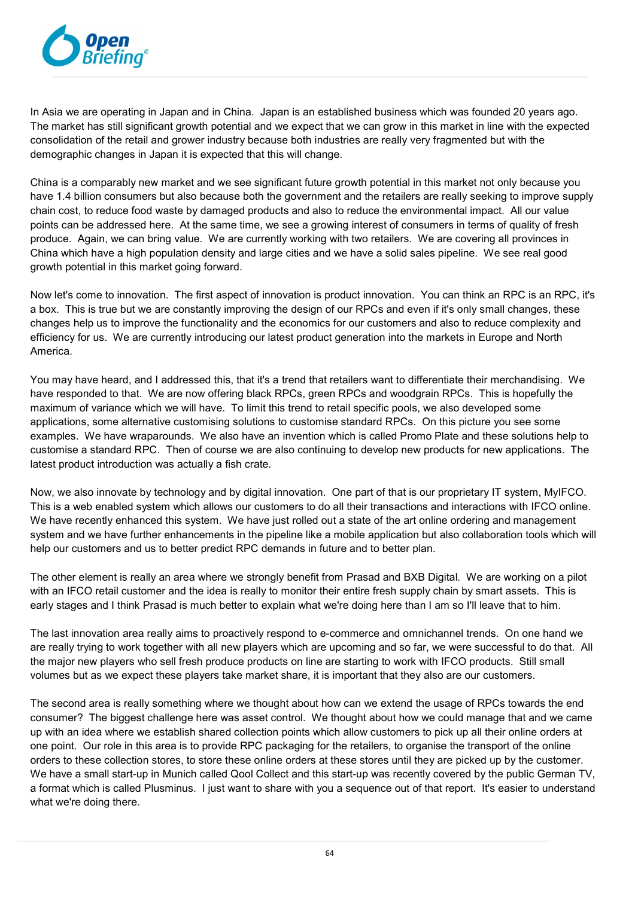

In Asia we are operating in Japan and in China. Japan is an established business which was founded 20 years ago. The market has still significant growth potential and we expect that we can grow in this market in line with the expected consolidation of the retail and grower industry because both industries are really very fragmented but with the demographic changes in Japan it is expected that this will change.

China is a comparably new market and we see significant future growth potential in this market not only because you have 1.4 billion consumers but also because both the government and the retailers are really seeking to improve supply chain cost, to reduce food waste by damaged products and also to reduce the environmental impact. All our value points can be addressed here. At the same time, we see a growing interest of consumers in terms of quality of fresh produce. Again, we can bring value. We are currently working with two retailers. We are covering all provinces in China which have a high population density and large cities and we have a solid sales pipeline. We see real good growth potential in this market going forward.

Now let's come to innovation. The first aspect of innovation is product innovation. You can think an RPC is an RPC, it's a box. This is true but we are constantly improving the design of our RPCs and even if it's only small changes, these changes help us to improve the functionality and the economics for our customers and also to reduce complexity and efficiency for us. We are currently introducing our latest product generation into the markets in Europe and North America.

You may have heard, and I addressed this, that it's a trend that retailers want to differentiate their merchandising. We have responded to that. We are now offering black RPCs, green RPCs and woodgrain RPCs. This is hopefully the maximum of variance which we will have. To limit this trend to retail specific pools, we also developed some applications, some alternative customising solutions to customise standard RPCs. On this picture you see some examples. We have wraparounds. We also have an invention which is called Promo Plate and these solutions help to customise a standard RPC. Then of course we are also continuing to develop new products for new applications. The latest product introduction was actually a fish crate.

Now, we also innovate by technology and by digital innovation. One part of that is our proprietary IT system, MyIFCO. This is a web enabled system which allows our customers to do all their transactions and interactions with IFCO online. We have recently enhanced this system. We have just rolled out a state of the art online ordering and management system and we have further enhancements in the pipeline like a mobile application but also collaboration tools which will help our customers and us to better predict RPC demands in future and to better plan.

The other element is really an area where we strongly benefit from Prasad and BXB Digital. We are working on a pilot with an IFCO retail customer and the idea is really to monitor their entire fresh supply chain by smart assets. This is early stages and I think Prasad is much better to explain what we're doing here than I am so I'll leave that to him.

The last innovation area really aims to proactively respond to e-commerce and omnichannel trends. On one hand we are really trying to work together with all new players which are upcoming and so far, we were successful to do that. All the major new players who sell fresh produce products on line are starting to work with IFCO products. Still small volumes but as we expect these players take market share, it is important that they also are our customers.

The second area is really something where we thought about how can we extend the usage of RPCs towards the end consumer? The biggest challenge here was asset control. We thought about how we could manage that and we came up with an idea where we establish shared collection points which allow customers to pick up all their online orders at one point. Our role in this area is to provide RPC packaging for the retailers, to organise the transport of the online orders to these collection stores, to store these online orders at these stores until they are picked up by the customer. We have a small start-up in Munich called Qool Collect and this start-up was recently covered by the public German TV, a format which is called Plusminus. I just want to share with you a sequence out of that report. It's easier to understand what we're doing there.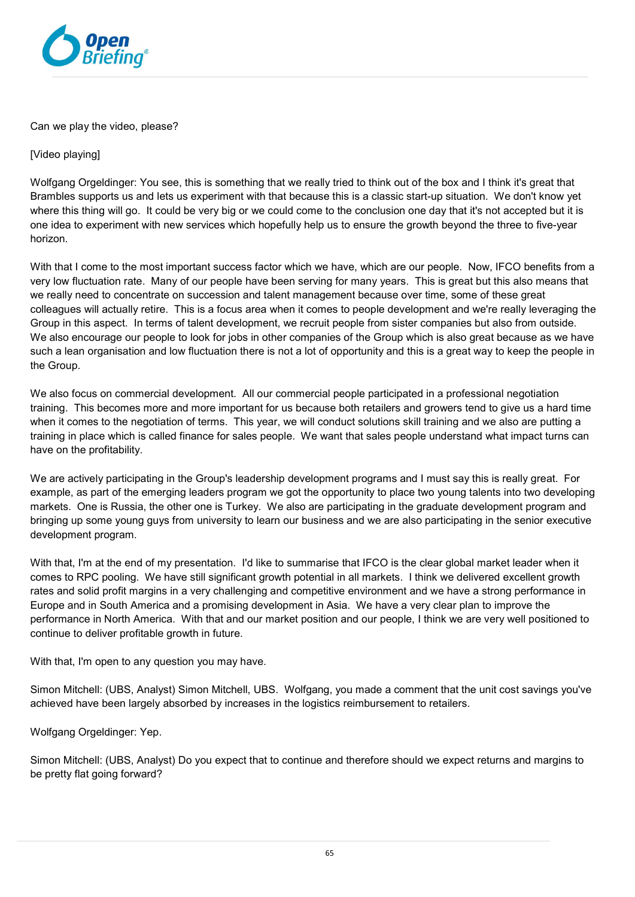

Can we play the video, please?

[Video playing]

Wolfgang Orgeldinger: You see, this is something that we really tried to think out of the box and I think it's great that Brambles supports us and lets us experiment with that because this is a classic start-up situation. We don't know yet where this thing will go. It could be very big or we could come to the conclusion one day that it's not accepted but it is one idea to experiment with new services which hopefully help us to ensure the growth beyond the three to five-year horizon.

With that I come to the most important success factor which we have, which are our people. Now, IFCO benefits from a very low fluctuation rate. Many of our people have been serving for many years. This is great but this also means that we really need to concentrate on succession and talent management because over time, some of these great colleagues will actually retire. This is a focus area when it comes to people development and we're really leveraging the Group in this aspect. In terms of talent development, we recruit people from sister companies but also from outside. We also encourage our people to look for jobs in other companies of the Group which is also great because as we have such a lean organisation and low fluctuation there is not a lot of opportunity and this is a great way to keep the people in the Group.

We also focus on commercial development. All our commercial people participated in a professional negotiation training. This becomes more and more important for us because both retailers and growers tend to give us a hard time when it comes to the negotiation of terms. This year, we will conduct solutions skill training and we also are putting a training in place which is called finance for sales people. We want that sales people understand what impact turns can have on the profitability.

We are actively participating in the Group's leadership development programs and I must say this is really great. For example, as part of the emerging leaders program we got the opportunity to place two young talents into two developing markets. One is Russia, the other one is Turkey. We also are participating in the graduate development program and bringing up some young guys from university to learn our business and we are also participating in the senior executive development program.

With that, I'm at the end of my presentation. I'd like to summarise that IFCO is the clear global market leader when it comes to RPC pooling. We have still significant growth potential in all markets. I think we delivered excellent growth rates and solid profit margins in a very challenging and competitive environment and we have a strong performance in Europe and in South America and a promising development in Asia. We have a very clear plan to improve the performance in North America. With that and our market position and our people, I think we are very well positioned to continue to deliver profitable growth in future.

With that, I'm open to any question you may have.

Simon Mitchell: (UBS, Analyst) Simon Mitchell, UBS. Wolfgang, you made a comment that the unit cost savings you've achieved have been largely absorbed by increases in the logistics reimbursement to retailers.

Wolfgang Orgeldinger: Yep.

Simon Mitchell: (UBS, Analyst) Do you expect that to continue and therefore should we expect returns and margins to be pretty flat going forward?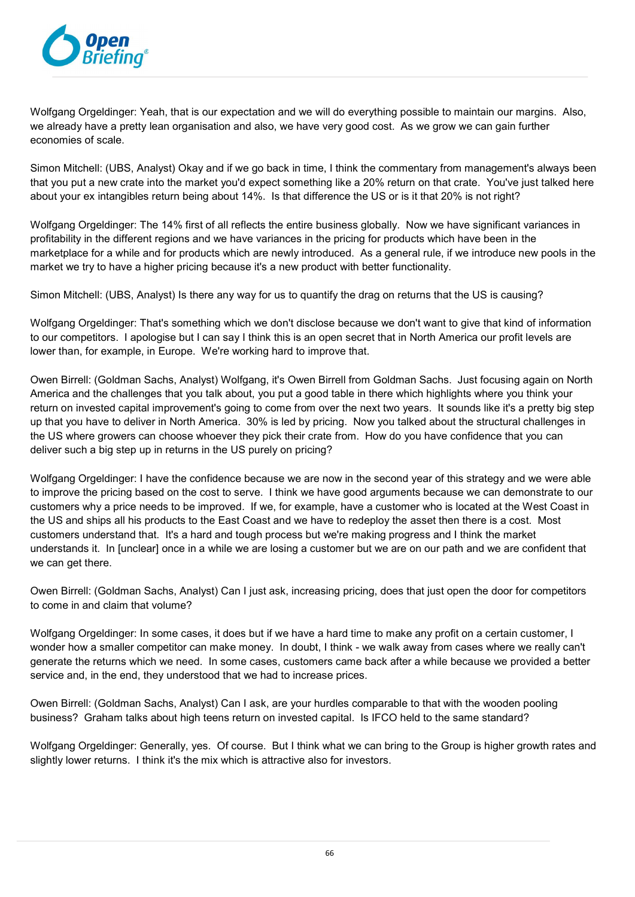

Wolfgang Orgeldinger: Yeah, that is our expectation and we will do everything possible to maintain our margins. Also, we already have a pretty lean organisation and also, we have very good cost. As we grow we can gain further economies of scale.

Simon Mitchell: (UBS, Analyst) Okay and if we go back in time, I think the commentary from management's always been that you put a new crate into the market you'd expect something like a 20% return on that crate. You've just talked here about your ex intangibles return being about 14%. Is that difference the US or is it that 20% is not right?

Wolfgang Orgeldinger: The 14% first of all reflects the entire business globally. Now we have significant variances in profitability in the different regions and we have variances in the pricing for products which have been in the marketplace for a while and for products which are newly introduced. As a general rule, if we introduce new pools in the market we try to have a higher pricing because it's a new product with better functionality.

Simon Mitchell: (UBS, Analyst) Is there any way for us to quantify the drag on returns that the US is causing?

Wolfgang Orgeldinger: That's something which we don't disclose because we don't want to give that kind of information to our competitors. I apologise but I can say I think this is an open secret that in North America our profit levels are lower than, for example, in Europe. We're working hard to improve that.

Owen Birrell: (Goldman Sachs, Analyst) Wolfgang, it's Owen Birrell from Goldman Sachs. Just focusing again on North America and the challenges that you talk about, you put a good table in there which highlights where you think your return on invested capital improvement's going to come from over the next two years. It sounds like it's a pretty big step up that you have to deliver in North America. 30% is led by pricing. Now you talked about the structural challenges in the US where growers can choose whoever they pick their crate from. How do you have confidence that you can deliver such a big step up in returns in the US purely on pricing?

Wolfgang Orgeldinger: I have the confidence because we are now in the second year of this strategy and we were able to improve the pricing based on the cost to serve. I think we have good arguments because we can demonstrate to our customers why a price needs to be improved. If we, for example, have a customer who is located at the West Coast in the US and ships all his products to the East Coast and we have to redeploy the asset then there is a cost. Most customers understand that. It's a hard and tough process but we're making progress and I think the market understands it. In [unclear] once in a while we are losing a customer but we are on our path and we are confident that we can get there.

Owen Birrell: (Goldman Sachs, Analyst) Can I just ask, increasing pricing, does that just open the door for competitors to come in and claim that volume?

Wolfgang Orgeldinger: In some cases, it does but if we have a hard time to make any profit on a certain customer, I wonder how a smaller competitor can make money. In doubt, I think - we walk away from cases where we really can't generate the returns which we need. In some cases, customers came back after a while because we provided a better service and, in the end, they understood that we had to increase prices.

Owen Birrell: (Goldman Sachs, Analyst) Can I ask, are your hurdles comparable to that with the wooden pooling business? Graham talks about high teens return on invested capital. Is IFCO held to the same standard?

Wolfgang Orgeldinger: Generally, yes. Of course. But I think what we can bring to the Group is higher growth rates and slightly lower returns. I think it's the mix which is attractive also for investors.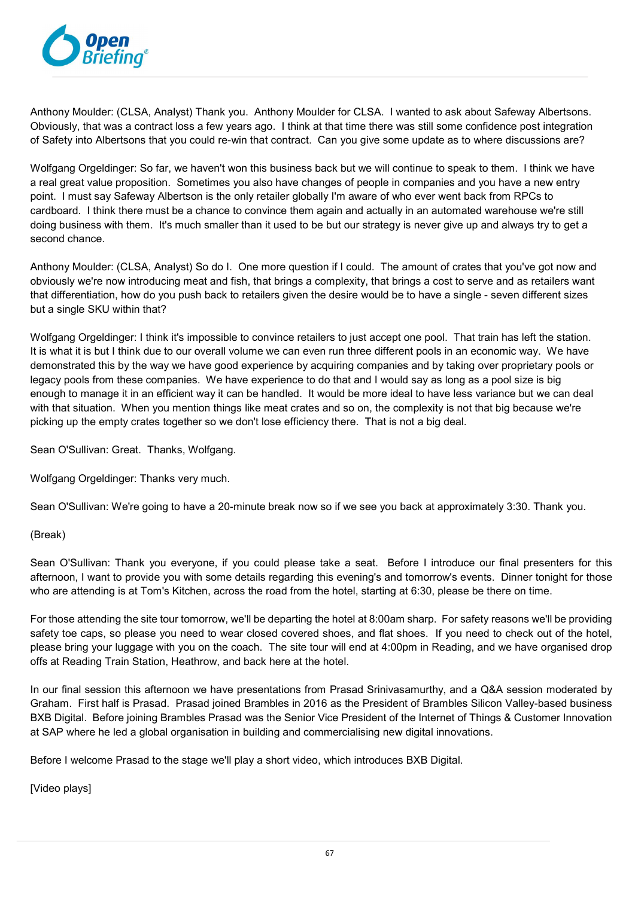

Anthony Moulder: (CLSA, Analyst) Thank you. Anthony Moulder for CLSA. I wanted to ask about Safeway Albertsons. Obviously, that was a contract loss a few years ago. I think at that time there was still some confidence post integration of Safety into Albertsons that you could re-win that contract. Can you give some update as to where discussions are?

Wolfgang Orgeldinger: So far, we haven't won this business back but we will continue to speak to them. I think we have a real great value proposition. Sometimes you also have changes of people in companies and you have a new entry point. I must say Safeway Albertson is the only retailer globally I'm aware of who ever went back from RPCs to cardboard. I think there must be a chance to convince them again and actually in an automated warehouse we're still doing business with them. It's much smaller than it used to be but our strategy is never give up and always try to get a second chance.

Anthony Moulder: (CLSA, Analyst) So do I. One more question if I could. The amount of crates that you've got now and obviously we're now introducing meat and fish, that brings a complexity, that brings a cost to serve and as retailers want that differentiation, how do you push back to retailers given the desire would be to have a single - seven different sizes but a single SKU within that?

Wolfgang Orgeldinger: I think it's impossible to convince retailers to just accept one pool. That train has left the station. It is what it is but I think due to our overall volume we can even run three different pools in an economic way. We have demonstrated this by the way we have good experience by acquiring companies and by taking over proprietary pools or legacy pools from these companies. We have experience to do that and I would say as long as a pool size is big enough to manage it in an efficient way it can be handled. It would be more ideal to have less variance but we can deal with that situation. When you mention things like meat crates and so on, the complexity is not that big because we're picking up the empty crates together so we don't lose efficiency there. That is not a big deal.

Sean O'Sullivan: Great. Thanks, Wolfgang.

Wolfgang Orgeldinger: Thanks very much.

Sean O'Sullivan: We're going to have a 20-minute break now so if we see you back at approximately 3:30. Thank you.

## (Break)

Sean O'Sullivan: Thank you everyone, if you could please take a seat. Before I introduce our final presenters for this afternoon, I want to provide you with some details regarding this evening's and tomorrow's events. Dinner tonight for those who are attending is at Tom's Kitchen, across the road from the hotel, starting at 6:30, please be there on time.

For those attending the site tour tomorrow, we'll be departing the hotel at 8:00am sharp. For safety reasons we'll be providing safety toe caps, so please you need to wear closed covered shoes, and flat shoes. If you need to check out of the hotel, please bring your luggage with you on the coach. The site tour will end at 4:00pm in Reading, and we have organised drop offs at Reading Train Station, Heathrow, and back here at the hotel.

In our final session this afternoon we have presentations from Prasad Srinivasamurthy, and a Q&A session moderated by Graham. First half is Prasad. Prasad joined Brambles in 2016 as the President of Brambles Silicon Valley-based business BXB Digital. Before joining Brambles Prasad was the Senior Vice President of the Internet of Things & Customer Innovation at SAP where he led a global organisation in building and commercialising new digital innovations.

Before I welcome Prasad to the stage we'll play a short video, which introduces BXB Digital.

[Video plays]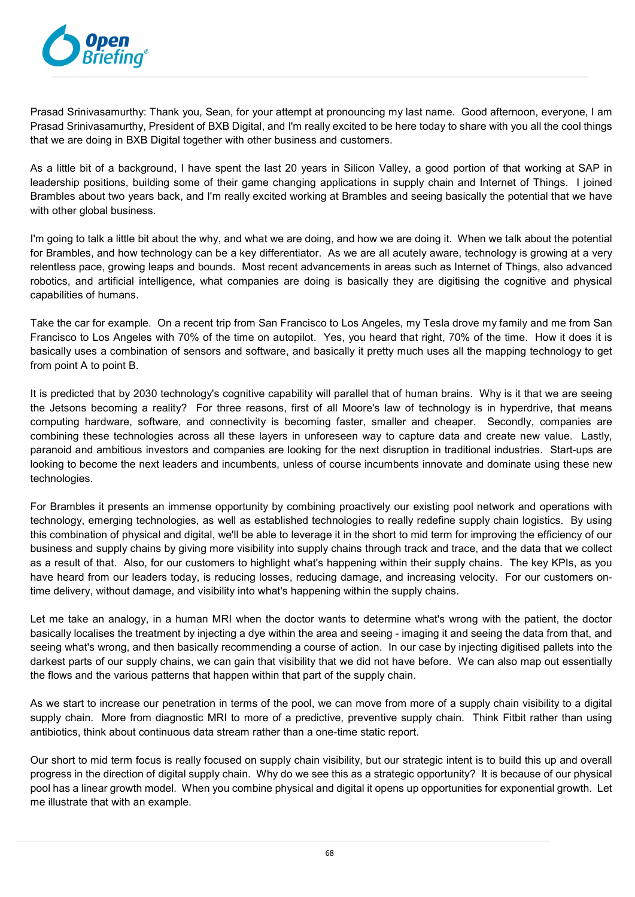

Prasad Srinivasamurthy: Thank you, Sean, for your attempt at pronouncing my last name. Good afternoon, everyone, I am Prasad Srinivasamurthy, President of BXB Digital, and I'm really excited to be here today to share with you all the cool things that we are doing in BXB Digital together with other business and customers.

As a little bit of a background, I have spent the last 20 years in Silicon Valley, a good portion of that working at SAP in leadership positions, building some of their game changing applications in supply chain and Internet of Things. I joined Brambles about two years back, and I'm really excited working at Brambles and seeing basically the potential that we have with other global business.

I'm going to talk a little bit about the why, and what we are doing, and how we are doing it. When we talk about the potential for Brambles, and how technology can be a key differentiator. As we are all acutely aware, technology is growing at a very relentless pace, growing leaps and bounds. Most recent advancements in areas such as Internet of Things, also advanced robotics, and artificial intelligence, what companies are doing is basically they are digitising the cognitive and physical capabilities of humans.

Take the car for example. On a recent trip from San Francisco to Los Angeles, my Tesla drove my family and me from San Francisco to Los Angeles with 70% of the time on autopilot. Yes, you heard that right, 70% of the time. How it does it is basically uses a combination of sensors and software, and basically it pretty much uses all the mapping technology to get from point A to point B.

It is predicted that by 2030 technology's cognitive capability will parallel that of human brains. Why is it that we are seeing the Jetsons becoming a reality? For three reasons, first of all Moore's law of technology is in hyperdrive, that means computing hardware, software, and connectivity is becoming faster, smaller and cheaper. Secondly, companies are combining these technologies across all these layers in unforeseen way to capture data and create new value. Lastly, paranoid and ambitious investors and companies are looking for the next disruption in traditional industries. Start-ups are looking to become the next leaders and incumbents, unless of course incumbents innovate and dominate using these new technologies.

For Brambles it presents an immense opportunity by combining proactively our existing pool network and operations with technology, emerging technologies, as well as established technologies to really redefine supply chain logistics. By using this combination of physical and digital, we'll be able to leverage it in the short to mid term for improving the efficiency of our business and supply chains by giving more visibility into supply chains through track and trace, and the data that we collect as a result of that. Also, for our customers to highlight what's happening within their supply chains. The key KPIs, as you have heard from our leaders today, is reducing losses, reducing damage, and increasing velocity. For our customers ontime delivery, without damage, and visibility into what's happening within the supply chains.

Let me take an analogy, in a human MRI when the doctor wants to determine what's wrong with the patient, the doctor basically localises the treatment by injecting a dye within the area and seeing - imaging it and seeing the data from that, and seeing what's wrong, and then basically recommending a course of action. In our case by injecting digitised pallets into the darkest parts of our supply chains, we can gain that visibility that we did not have before. We can also map out essentially the flows and the various patterns that happen within that part of the supply chain.

As we start to increase our penetration in terms of the pool, we can move from more of a supply chain visibility to a digital supply chain. More from diagnostic MRI to more of a predictive, preventive supply chain. Think Fitbit rather than using antibiotics, think about continuous data stream rather than a one-time static report.

Our short to mid term focus is really focused on supply chain visibility, but our strategic intent is to build this up and overall progress in the direction of digital supply chain. Why do we see this as a strategic opportunity? It is because of our physical pool has a linear growth model. When you combine physical and digital it opens up opportunities for exponential growth. Let me illustrate that with an example.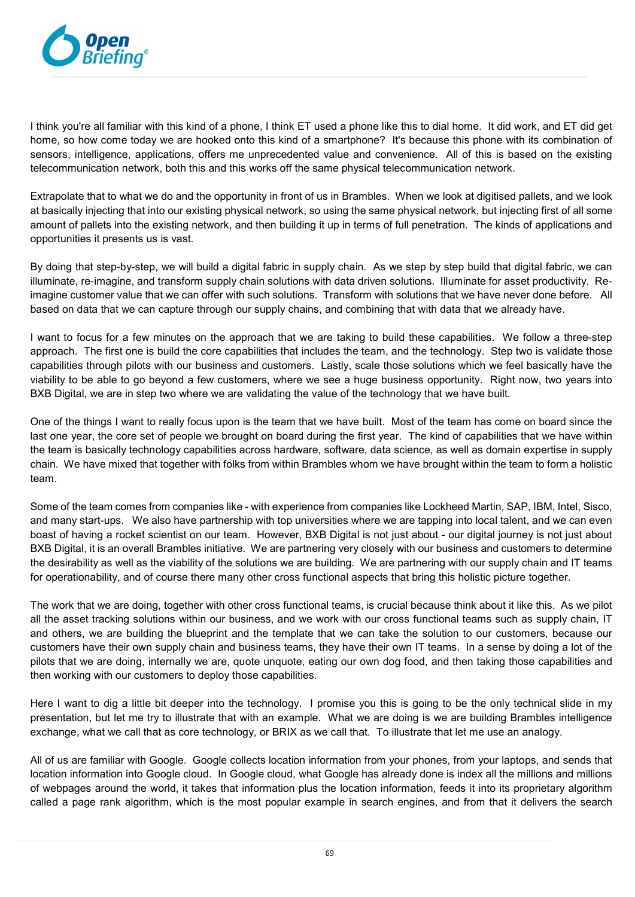

I think you're all familiar with this kind of a phone, I think ET used a phone like this to dial home. It did work, and ET did get home, so how come today we are hooked onto this kind of a smartphone? It's because this phone with its combination of sensors, intelligence, applications, offers me unprecedented value and convenience. All of this is based on the existing telecommunication network, both this and this works off the same physical telecommunication network.

Extrapolate that to what we do and the opportunity in front of us in Brambles. When we look at digitised pallets, and we look at basically injecting that into our existing physical network, so using the same physical network, but injecting first of all some amount of pallets into the existing network, and then building it up in terms of full penetration. The kinds of applications and opportunities it presents us is vast.

By doing that step-by-step, we will build a digital fabric in supply chain. As we step by step build that digital fabric, we can illuminate, re-imagine, and transform supply chain solutions with data driven solutions. Illuminate for asset productivity. Reimagine customer value that we can offer with such solutions. Transform with solutions that we have never done before. All based on data that we can capture through our supply chains, and combining that with data that we already have.

I want to focus for a few minutes on the approach that we are taking to build these capabilities. We follow a three-step approach. The first one is build the core capabilities that includes the team, and the technology. Step two is validate those capabilities through pilots with our business and customers. Lastly, scale those solutions which we feel basically have the viability to be able to go beyond a few customers, where we see a huge business opportunity. Right now, two years into BXB Digital, we are in step two where we are validating the value of the technology that we have built.

One of the things I want to really focus upon is the team that we have built. Most of the team has come on board since the last one year, the core set of people we brought on board during the first year. The kind of capabilities that we have within the team is basically technology capabilities across hardware, software, data science, as well as domain expertise in supply chain. We have mixed that together with folks from within Brambles whom we have brought within the team to form a holistic team.

Some of the team comes from companies like - with experience from companies like Lockheed Martin, SAP, IBM, Intel, Sisco, and many start-ups. We also have partnership with top universities where we are tapping into local talent, and we can even boast of having a rocket scientist on our team. However, BXB Digital is not just about - our digital journey is not just about BXB Digital, it is an overall Brambles initiative. We are partnering very closely with our business and customers to determine the desirability as well as the viability of the solutions we are building. We are partnering with our supply chain and IT teams for operationability, and of course there many other cross functional aspects that bring this holistic picture together.

The work that we are doing, together with other cross functional teams, is crucial because think about it like this. As we pilot all the asset tracking solutions within our business, and we work with our cross functional teams such as supply chain, IT and others, we are building the blueprint and the template that we can take the solution to our customers, because our customers have their own supply chain and business teams, they have their own IT teams. In a sense by doing a lot of the pilots that we are doing, internally we are, quote unquote, eating our own dog food, and then taking those capabilities and then working with our customers to deploy those capabilities.

Here I want to dig a little bit deeper into the technology. I promise you this is going to be the only technical slide in my presentation, but let me try to illustrate that with an example. What we are doing is we are building Brambles intelligence exchange, what we call that as core technology, or BRIX as we call that. To illustrate that let me use an analogy.

All of us are familiar with Google. Google collects location information from your phones, from your laptops, and sends that location information into Google cloud. In Google cloud, what Google has already done is index all the millions and millions of webpages around the world, it takes that information plus the location information, feeds it into its proprietary algorithm called a page rank algorithm, which is the most popular example in search engines, and from that it delivers the search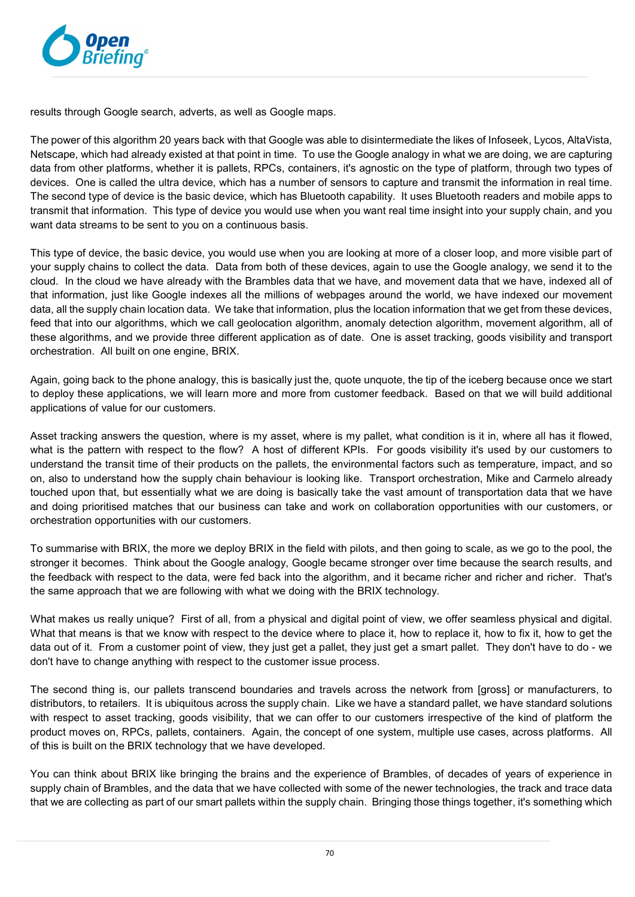

results through Google search, adverts, as well as Google maps.

The power of this algorithm 20 years back with that Google was able to disintermediate the likes of Infoseek, Lycos, AltaVista, Netscape, which had already existed at that point in time. To use the Google analogy in what we are doing, we are capturing data from other platforms, whether it is pallets, RPCs, containers, it's agnostic on the type of platform, through two types of devices. One is called the ultra device, which has a number of sensors to capture and transmit the information in real time. The second type of device is the basic device, which has Bluetooth capability. It uses Bluetooth readers and mobile apps to transmit that information. This type of device you would use when you want real time insight into your supply chain, and you want data streams to be sent to you on a continuous basis.

This type of device, the basic device, you would use when you are looking at more of a closer loop, and more visible part of your supply chains to collect the data. Data from both of these devices, again to use the Google analogy, we send it to the cloud. In the cloud we have already with the Brambles data that we have, and movement data that we have, indexed all of that information, just like Google indexes all the millions of webpages around the world, we have indexed our movement data, all the supply chain location data. We take that information, plus the location information that we get from these devices, feed that into our algorithms, which we call geolocation algorithm, anomaly detection algorithm, movement algorithm, all of these algorithms, and we provide three different application as of date. One is asset tracking, goods visibility and transport orchestration. All built on one engine, BRIX.

Again, going back to the phone analogy, this is basically just the, quote unquote, the tip of the iceberg because once we start to deploy these applications, we will learn more and more from customer feedback. Based on that we will build additional applications of value for our customers.

Asset tracking answers the question, where is my asset, where is my pallet, what condition is it in, where all has it flowed, what is the pattern with respect to the flow? A host of different KPIs. For goods visibility it's used by our customers to understand the transit time of their products on the pallets, the environmental factors such as temperature, impact, and so on, also to understand how the supply chain behaviour is looking like. Transport orchestration, Mike and Carmelo already touched upon that, but essentially what we are doing is basically take the vast amount of transportation data that we have and doing prioritised matches that our business can take and work on collaboration opportunities with our customers, or orchestration opportunities with our customers.

To summarise with BRIX, the more we deploy BRIX in the field with pilots, and then going to scale, as we go to the pool, the stronger it becomes. Think about the Google analogy, Google became stronger over time because the search results, and the feedback with respect to the data, were fed back into the algorithm, and it became richer and richer and richer. That's the same approach that we are following with what we doing with the BRIX technology.

What makes us really unique? First of all, from a physical and digital point of view, we offer seamless physical and digital. What that means is that we know with respect to the device where to place it, how to replace it, how to fix it, how to get the data out of it. From a customer point of view, they just get a pallet, they just get a smart pallet. They don't have to do - we don't have to change anything with respect to the customer issue process.

The second thing is, our pallets transcend boundaries and travels across the network from [gross] or manufacturers, to distributors, to retailers. It is ubiquitous across the supply chain. Like we have a standard pallet, we have standard solutions with respect to asset tracking, goods visibility, that we can offer to our customers irrespective of the kind of platform the product moves on, RPCs, pallets, containers. Again, the concept of one system, multiple use cases, across platforms. All of this is built on the BRIX technology that we have developed.

You can think about BRIX like bringing the brains and the experience of Brambles, of decades of years of experience in supply chain of Brambles, and the data that we have collected with some of the newer technologies, the track and trace data that we are collecting as part of our smart pallets within the supply chain. Bringing those things together, it's something which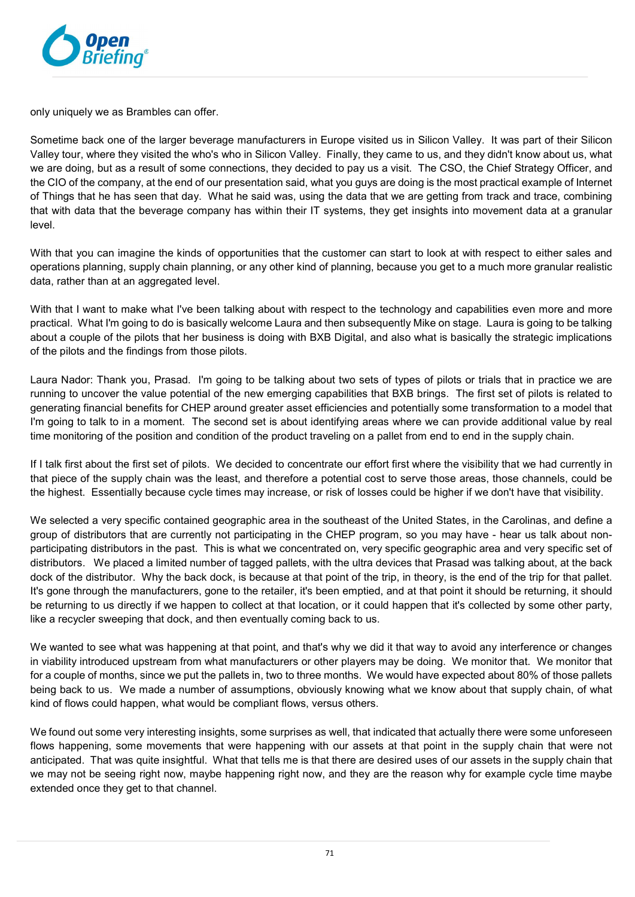

only uniquely we as Brambles can offer.

Sometime back one of the larger beverage manufacturers in Europe visited us in Silicon Valley. It was part of their Silicon Valley tour, where they visited the who's who in Silicon Valley. Finally, they came to us, and they didn't know about us, what we are doing, but as a result of some connections, they decided to pay us a visit. The CSO, the Chief Strategy Officer, and the CIO of the company, at the end of our presentation said, what you guys are doing is the most practical example of Internet of Things that he has seen that day. What he said was, using the data that we are getting from track and trace, combining that with data that the beverage company has within their IT systems, they get insights into movement data at a granular level.

With that you can imagine the kinds of opportunities that the customer can start to look at with respect to either sales and operations planning, supply chain planning, or any other kind of planning, because you get to a much more granular realistic data, rather than at an aggregated level.

With that I want to make what I've been talking about with respect to the technology and capabilities even more and more practical. What I'm going to do is basically welcome Laura and then subsequently Mike on stage. Laura is going to be talking about a couple of the pilots that her business is doing with BXB Digital, and also what is basically the strategic implications of the pilots and the findings from those pilots.

Laura Nador: Thank you, Prasad. I'm going to be talking about two sets of types of pilots or trials that in practice we are running to uncover the value potential of the new emerging capabilities that BXB brings. The first set of pilots is related to generating financial benefits for CHEP around greater asset efficiencies and potentially some transformation to a model that I'm going to talk to in a moment. The second set is about identifying areas where we can provide additional value by real time monitoring of the position and condition of the product traveling on a pallet from end to end in the supply chain.

If I talk first about the first set of pilots. We decided to concentrate our effort first where the visibility that we had currently in that piece of the supply chain was the least, and therefore a potential cost to serve those areas, those channels, could be the highest. Essentially because cycle times may increase, or risk of losses could be higher if we don't have that visibility.

We selected a very specific contained geographic area in the southeast of the United States, in the Carolinas, and define a group of distributors that are currently not participating in the CHEP program, so you may have - hear us talk about nonparticipating distributors in the past. This is what we concentrated on, very specific geographic area and very specific set of distributors. We placed a limited number of tagged pallets, with the ultra devices that Prasad was talking about, at the back dock of the distributor. Why the back dock, is because at that point of the trip, in theory, is the end of the trip for that pallet. It's gone through the manufacturers, gone to the retailer, it's been emptied, and at that point it should be returning, it should be returning to us directly if we happen to collect at that location, or it could happen that it's collected by some other party, like a recycler sweeping that dock, and then eventually coming back to us.

We wanted to see what was happening at that point, and that's why we did it that way to avoid any interference or changes in viability introduced upstream from what manufacturers or other players may be doing. We monitor that. We monitor that for a couple of months, since we put the pallets in, two to three months. We would have expected about 80% of those pallets being back to us. We made a number of assumptions, obviously knowing what we know about that supply chain, of what kind of flows could happen, what would be compliant flows, versus others.

We found out some very interesting insights, some surprises as well, that indicated that actually there were some unforeseen flows happening, some movements that were happening with our assets at that point in the supply chain that were not anticipated. That was quite insightful. What that tells me is that there are desired uses of our assets in the supply chain that we may not be seeing right now, maybe happening right now, and they are the reason why for example cycle time maybe extended once they get to that channel.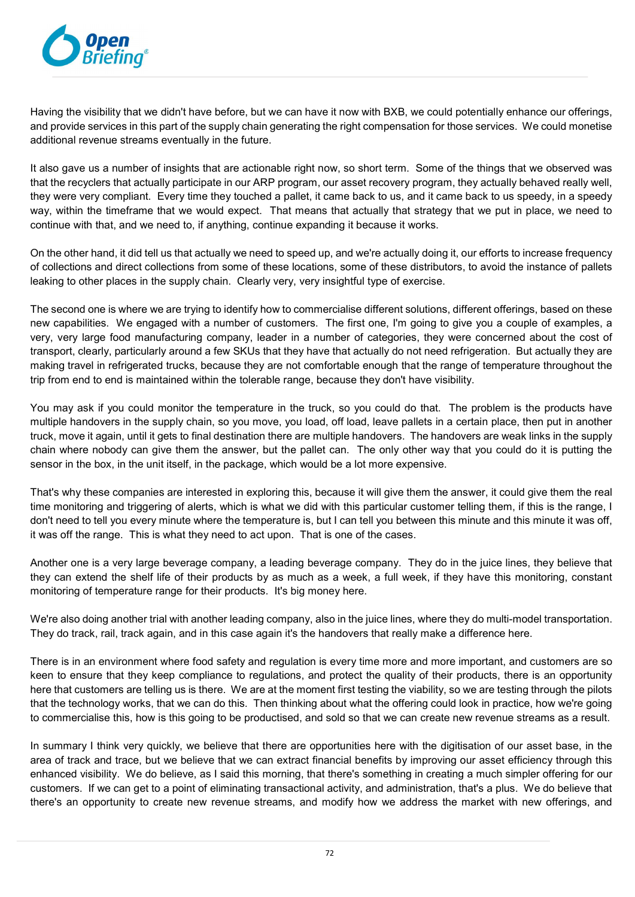

Having the visibility that we didn't have before, but we can have it now with BXB, we could potentially enhance our offerings, and provide services in this part of the supply chain generating the right compensation for those services. We could monetise additional revenue streams eventually in the future.

It also gave us a number of insights that are actionable right now, so short term. Some of the things that we observed was that the recyclers that actually participate in our ARP program, our asset recovery program, they actually behaved really well, they were very compliant. Every time they touched a pallet, it came back to us, and it came back to us speedy, in a speedy way, within the timeframe that we would expect. That means that actually that strategy that we put in place, we need to continue with that, and we need to, if anything, continue expanding it because it works.

On the other hand, it did tell us that actually we need to speed up, and we're actually doing it, our efforts to increase frequency of collections and direct collections from some of these locations, some of these distributors, to avoid the instance of pallets leaking to other places in the supply chain. Clearly very, very insightful type of exercise.

The second one is where we are trying to identify how to commercialise different solutions, different offerings, based on these new capabilities. We engaged with a number of customers. The first one, I'm going to give you a couple of examples, a very, very large food manufacturing company, leader in a number of categories, they were concerned about the cost of transport, clearly, particularly around a few SKUs that they have that actually do not need refrigeration. But actually they are making travel in refrigerated trucks, because they are not comfortable enough that the range of temperature throughout the trip from end to end is maintained within the tolerable range, because they don't have visibility.

You may ask if you could monitor the temperature in the truck, so you could do that. The problem is the products have multiple handovers in the supply chain, so you move, you load, off load, leave pallets in a certain place, then put in another truck, move it again, until it gets to final destination there are multiple handovers. The handovers are weak links in the supply chain where nobody can give them the answer, but the pallet can. The only other way that you could do it is putting the sensor in the box, in the unit itself, in the package, which would be a lot more expensive.

That's why these companies are interested in exploring this, because it will give them the answer, it could give them the real time monitoring and triggering of alerts, which is what we did with this particular customer telling them, if this is the range, I don't need to tell you every minute where the temperature is, but I can tell you between this minute and this minute it was off, it was off the range. This is what they need to act upon. That is one of the cases.

Another one is a very large beverage company, a leading beverage company. They do in the juice lines, they believe that they can extend the shelf life of their products by as much as a week, a full week, if they have this monitoring, constant monitoring of temperature range for their products. It's big money here.

We're also doing another trial with another leading company, also in the juice lines, where they do multi-model transportation. They do track, rail, track again, and in this case again it's the handovers that really make a difference here.

There is in an environment where food safety and regulation is every time more and more important, and customers are so keen to ensure that they keep compliance to regulations, and protect the quality of their products, there is an opportunity here that customers are telling us is there. We are at the moment first testing the viability, so we are testing through the pilots that the technology works, that we can do this. Then thinking about what the offering could look in practice, how we're going to commercialise this, how is this going to be productised, and sold so that we can create new revenue streams as a result.

In summary I think very quickly, we believe that there are opportunities here with the digitisation of our asset base, in the area of track and trace, but we believe that we can extract financial benefits by improving our asset efficiency through this enhanced visibility. We do believe, as I said this morning, that there's something in creating a much simpler offering for our customers. If we can get to a point of eliminating transactional activity, and administration, that's a plus. We do believe that there's an opportunity to create new revenue streams, and modify how we address the market with new offerings, and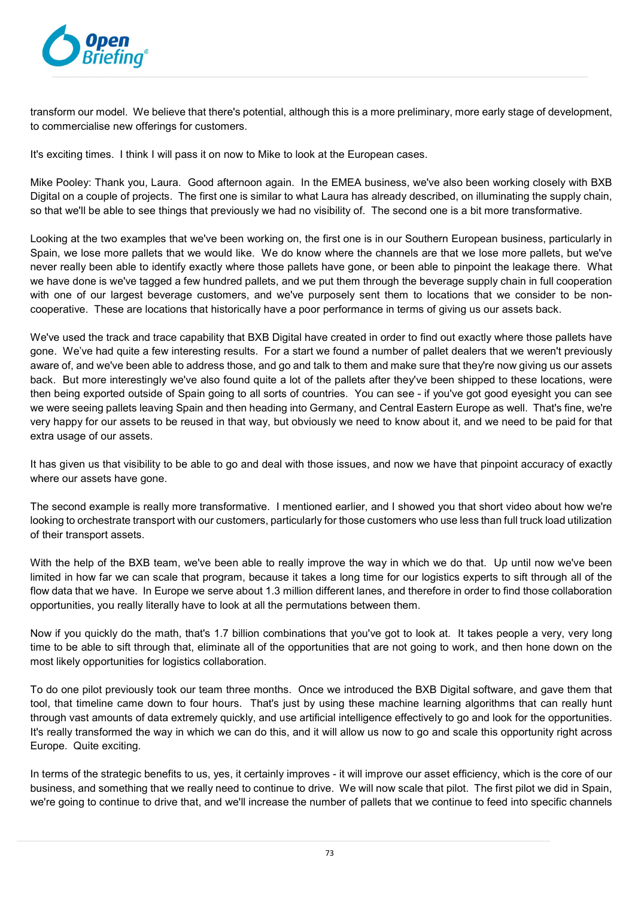

transform our model. We believe that there's potential, although this is a more preliminary, more early stage of development, to commercialise new offerings for customers.

It's exciting times. I think I will pass it on now to Mike to look at the European cases.

Mike Pooley: Thank you, Laura. Good afternoon again. In the EMEA business, we've also been working closely with BXB Digital on a couple of projects. The first one is similar to what Laura has already described, on illuminating the supply chain, so that we'll be able to see things that previously we had no visibility of. The second one is a bit more transformative.

Looking at the two examples that we've been working on, the first one is in our Southern European business, particularly in Spain, we lose more pallets that we would like. We do know where the channels are that we lose more pallets, but we've never really been able to identify exactly where those pallets have gone, or been able to pinpoint the leakage there. What we have done is we've tagged a few hundred pallets, and we put them through the beverage supply chain in full cooperation with one of our largest beverage customers, and we've purposely sent them to locations that we consider to be noncooperative. These are locations that historically have a poor performance in terms of giving us our assets back.

We've used the track and trace capability that BXB Digital have created in order to find out exactly where those pallets have gone. We've had quite a few interesting results. For a start we found a number of pallet dealers that we weren't previously aware of, and we've been able to address those, and go and talk to them and make sure that they're now giving us our assets back. But more interestingly we've also found quite a lot of the pallets after they've been shipped to these locations, were then being exported outside of Spain going to all sorts of countries. You can see - if you've got good eyesight you can see we were seeing pallets leaving Spain and then heading into Germany, and Central Eastern Europe as well. That's fine, we're very happy for our assets to be reused in that way, but obviously we need to know about it, and we need to be paid for that extra usage of our assets.

It has given us that visibility to be able to go and deal with those issues, and now we have that pinpoint accuracy of exactly where our assets have gone.

The second example is really more transformative. I mentioned earlier, and I showed you that short video about how we're looking to orchestrate transport with our customers, particularly for those customers who use less than full truck load utilization of their transport assets.

With the help of the BXB team, we've been able to really improve the way in which we do that. Up until now we've been limited in how far we can scale that program, because it takes a long time for our logistics experts to sift through all of the flow data that we have. In Europe we serve about 1.3 million different lanes, and therefore in order to find those collaboration opportunities, you really literally have to look at all the permutations between them.

Now if you quickly do the math, that's 1.7 billion combinations that you've got to look at. It takes people a very, very long time to be able to sift through that, eliminate all of the opportunities that are not going to work, and then hone down on the most likely opportunities for logistics collaboration.

To do one pilot previously took our team three months. Once we introduced the BXB Digital software, and gave them that tool, that timeline came down to four hours. That's just by using these machine learning algorithms that can really hunt through vast amounts of data extremely quickly, and use artificial intelligence effectively to go and look for the opportunities. It's really transformed the way in which we can do this, and it will allow us now to go and scale this opportunity right across Europe. Quite exciting.

In terms of the strategic benefits to us, yes, it certainly improves - it will improve our asset efficiency, which is the core of our business, and something that we really need to continue to drive. We will now scale that pilot. The first pilot we did in Spain, we're going to continue to drive that, and we'll increase the number of pallets that we continue to feed into specific channels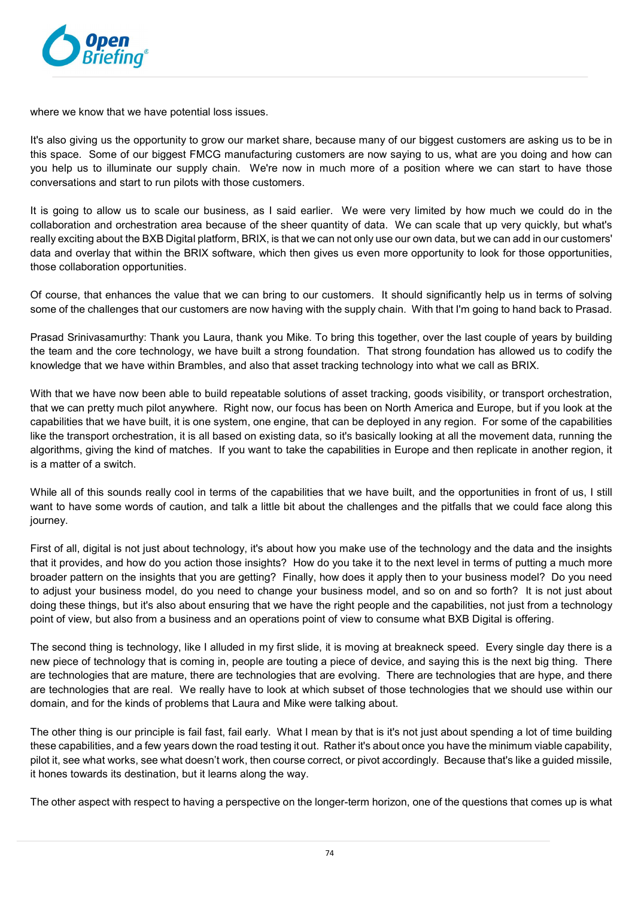

where we know that we have potential loss issues.

It's also giving us the opportunity to grow our market share, because many of our biggest customers are asking us to be in this space. Some of our biggest FMCG manufacturing customers are now saying to us, what are you doing and how can you help us to illuminate our supply chain. We're now in much more of a position where we can start to have those conversations and start to run pilots with those customers.

It is going to allow us to scale our business, as I said earlier. We were very limited by how much we could do in the collaboration and orchestration area because of the sheer quantity of data. We can scale that up very quickly, but what's really exciting about the BXB Digital platform, BRIX, is that we can not only use our own data, but we can add in our customers' data and overlay that within the BRIX software, which then gives us even more opportunity to look for those opportunities, those collaboration opportunities.

Of course, that enhances the value that we can bring to our customers. It should significantly help us in terms of solving some of the challenges that our customers are now having with the supply chain. With that I'm going to hand back to Prasad.

Prasad Srinivasamurthy: Thank you Laura, thank you Mike. To bring this together, over the last couple of years by building the team and the core technology, we have built a strong foundation. That strong foundation has allowed us to codify the knowledge that we have within Brambles, and also that asset tracking technology into what we call as BRIX.

With that we have now been able to build repeatable solutions of asset tracking, goods visibility, or transport orchestration, that we can pretty much pilot anywhere. Right now, our focus has been on North America and Europe, but if you look at the capabilities that we have built, it is one system, one engine, that can be deployed in any region. For some of the capabilities like the transport orchestration, it is all based on existing data, so it's basically looking at all the movement data, running the algorithms, giving the kind of matches. If you want to take the capabilities in Europe and then replicate in another region, it is a matter of a switch.

While all of this sounds really cool in terms of the capabilities that we have built, and the opportunities in front of us, I still want to have some words of caution, and talk a little bit about the challenges and the pitfalls that we could face along this journey.

First of all, digital is not just about technology, it's about how you make use of the technology and the data and the insights that it provides, and how do you action those insights? How do you take it to the next level in terms of putting a much more broader pattern on the insights that you are getting? Finally, how does it apply then to your business model? Do you need to adjust your business model, do you need to change your business model, and so on and so forth? It is not just about doing these things, but it's also about ensuring that we have the right people and the capabilities, not just from a technology point of view, but also from a business and an operations point of view to consume what BXB Digital is offering.

The second thing is technology, like I alluded in my first slide, it is moving at breakneck speed. Every single day there is a new piece of technology that is coming in, people are touting a piece of device, and saying this is the next big thing. There are technologies that are mature, there are technologies that are evolving. There are technologies that are hype, and there are technologies that are real. We really have to look at which subset of those technologies that we should use within our domain, and for the kinds of problems that Laura and Mike were talking about.

The other thing is our principle is fail fast, fail early. What I mean by that is it's not just about spending a lot of time building these capabilities, and a few years down the road testing it out. Rather it's about once you have the minimum viable capability, pilot it, see what works, see what doesn't work, then course correct, or pivot accordingly. Because that's like a guided missile, it hones towards its destination, but it learns along the way.

The other aspect with respect to having a perspective on the longer-term horizon, one of the questions that comes up is what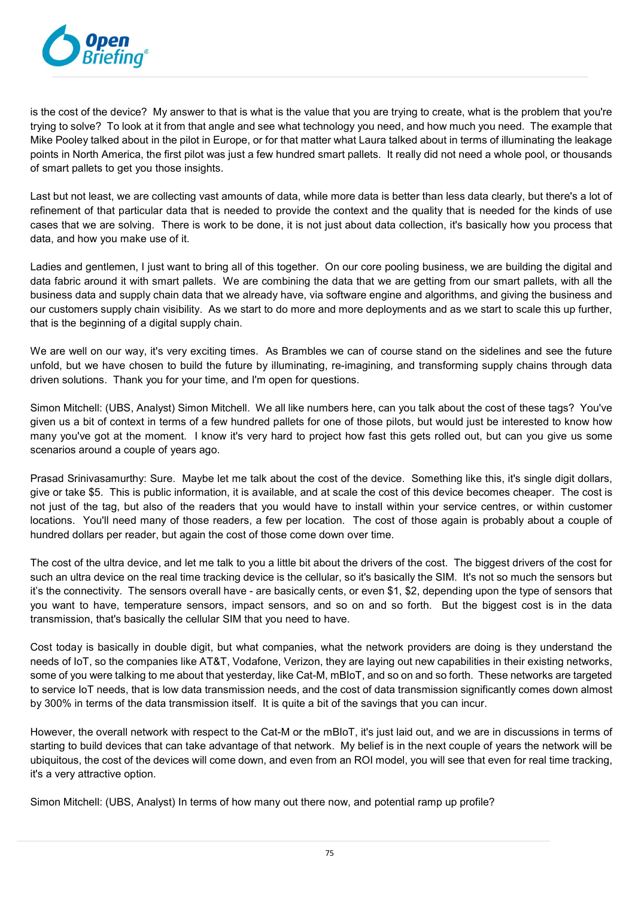

is the cost of the device? My answer to that is what is the value that you are trying to create, what is the problem that you're trying to solve? To look at it from that angle and see what technology you need, and how much you need. The example that Mike Pooley talked about in the pilot in Europe, or for that matter what Laura talked about in terms of illuminating the leakage points in North America, the first pilot was just a few hundred smart pallets. It really did not need a whole pool, or thousands of smart pallets to get you those insights.

Last but not least, we are collecting vast amounts of data, while more data is better than less data clearly, but there's a lot of refinement of that particular data that is needed to provide the context and the quality that is needed for the kinds of use cases that we are solving. There is work to be done, it is not just about data collection, it's basically how you process that data, and how you make use of it.

Ladies and gentlemen, I just want to bring all of this together. On our core pooling business, we are building the digital and data fabric around it with smart pallets. We are combining the data that we are getting from our smart pallets, with all the business data and supply chain data that we already have, via software engine and algorithms, and giving the business and our customers supply chain visibility. As we start to do more and more deployments and as we start to scale this up further, that is the beginning of a digital supply chain.

We are well on our way, it's very exciting times. As Brambles we can of course stand on the sidelines and see the future unfold, but we have chosen to build the future by illuminating, re-imagining, and transforming supply chains through data driven solutions. Thank you for your time, and I'm open for questions.

Simon Mitchell: (UBS, Analyst) Simon Mitchell. We all like numbers here, can you talk about the cost of these tags? You've given us a bit of context in terms of a few hundred pallets for one of those pilots, but would just be interested to know how many you've got at the moment. I know it's very hard to project how fast this gets rolled out, but can you give us some scenarios around a couple of years ago.

Prasad Srinivasamurthy: Sure. Maybe let me talk about the cost of the device. Something like this, it's single digit dollars, give or take \$5. This is public information, it is available, and at scale the cost of this device becomes cheaper. The cost is not just of the tag, but also of the readers that you would have to install within your service centres, or within customer locations. You'll need many of those readers, a few per location. The cost of those again is probably about a couple of hundred dollars per reader, but again the cost of those come down over time.

The cost of the ultra device, and let me talk to you a little bit about the drivers of the cost. The biggest drivers of the cost for such an ultra device on the real time tracking device is the cellular, so it's basically the SIM. It's not so much the sensors but it's the connectivity. The sensors overall have - are basically cents, or even \$1, \$2, depending upon the type of sensors that you want to have, temperature sensors, impact sensors, and so on and so forth. But the biggest cost is in the data transmission, that's basically the cellular SIM that you need to have.

Cost today is basically in double digit, but what companies, what the network providers are doing is they understand the needs of IoT, so the companies like AT&T, Vodafone, Verizon, they are laying out new capabilities in their existing networks, some of you were talking to me about that yesterday, like Cat-M, mBIoT, and so on and so forth. These networks are targeted to service IoT needs, that is low data transmission needs, and the cost of data transmission significantly comes down almost by 300% in terms of the data transmission itself. It is quite a bit of the savings that you can incur.

However, the overall network with respect to the Cat-M or the mBIoT, it's just laid out, and we are in discussions in terms of starting to build devices that can take advantage of that network. My belief is in the next couple of years the network will be ubiquitous, the cost of the devices will come down, and even from an ROI model, you will see that even for real time tracking, it's a very attractive option.

Simon Mitchell: (UBS, Analyst) In terms of how many out there now, and potential ramp up profile?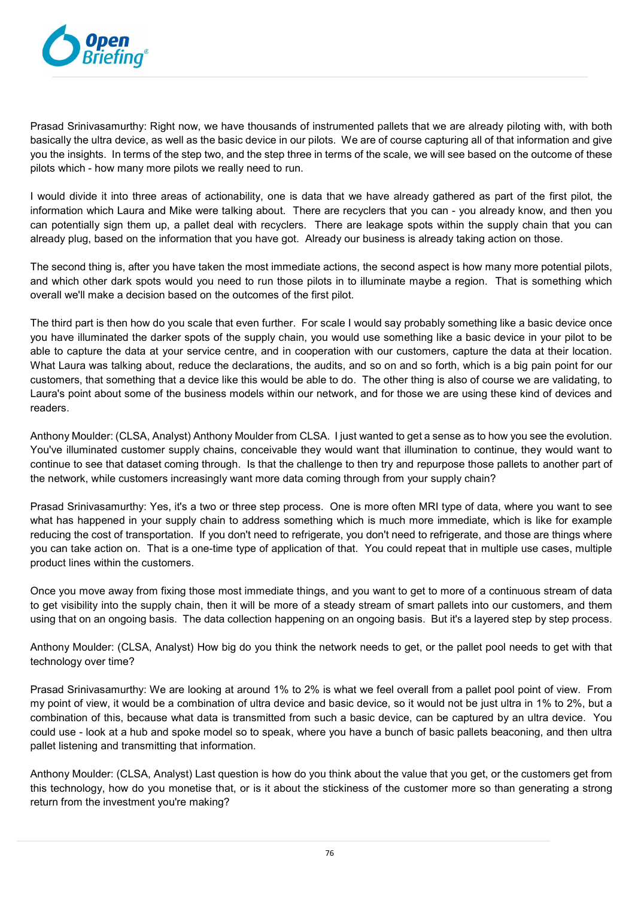

Prasad Srinivasamurthy: Right now, we have thousands of instrumented pallets that we are already piloting with, with both basically the ultra device, as well as the basic device in our pilots. We are of course capturing all of that information and give you the insights. In terms of the step two, and the step three in terms of the scale, we will see based on the outcome of these pilots which - how many more pilots we really need to run.

I would divide it into three areas of actionability, one is data that we have already gathered as part of the first pilot, the information which Laura and Mike were talking about. There are recyclers that you can - you already know, and then you can potentially sign them up, a pallet deal with recyclers. There are leakage spots within the supply chain that you can already plug, based on the information that you have got. Already our business is already taking action on those.

The second thing is, after you have taken the most immediate actions, the second aspect is how many more potential pilots, and which other dark spots would you need to run those pilots in to illuminate maybe a region. That is something which overall we'll make a decision based on the outcomes of the first pilot.

The third part is then how do you scale that even further. For scale I would say probably something like a basic device once you have illuminated the darker spots of the supply chain, you would use something like a basic device in your pilot to be able to capture the data at your service centre, and in cooperation with our customers, capture the data at their location. What Laura was talking about, reduce the declarations, the audits, and so on and so forth, which is a big pain point for our customers, that something that a device like this would be able to do. The other thing is also of course we are validating, to Laura's point about some of the business models within our network, and for those we are using these kind of devices and readers.

Anthony Moulder: (CLSA, Analyst) Anthony Moulder from CLSA. I just wanted to get a sense as to how you see the evolution. You've illuminated customer supply chains, conceivable they would want that illumination to continue, they would want to continue to see that dataset coming through. Is that the challenge to then try and repurpose those pallets to another part of the network, while customers increasingly want more data coming through from your supply chain?

Prasad Srinivasamurthy: Yes, it's a two or three step process. One is more often MRI type of data, where you want to see what has happened in your supply chain to address something which is much more immediate, which is like for example reducing the cost of transportation. If you don't need to refrigerate, you don't need to refrigerate, and those are things where you can take action on. That is a one-time type of application of that. You could repeat that in multiple use cases, multiple product lines within the customers.

Once you move away from fixing those most immediate things, and you want to get to more of a continuous stream of data to get visibility into the supply chain, then it will be more of a steady stream of smart pallets into our customers, and them using that on an ongoing basis. The data collection happening on an ongoing basis. But it's a layered step by step process.

Anthony Moulder: (CLSA, Analyst) How big do you think the network needs to get, or the pallet pool needs to get with that technology over time?

Prasad Srinivasamurthy: We are looking at around 1% to 2% is what we feel overall from a pallet pool point of view. From my point of view, it would be a combination of ultra device and basic device, so it would not be just ultra in 1% to 2%, but a combination of this, because what data is transmitted from such a basic device, can be captured by an ultra device. You could use - look at a hub and spoke model so to speak, where you have a bunch of basic pallets beaconing, and then ultra pallet listening and transmitting that information.

Anthony Moulder: (CLSA, Analyst) Last question is how do you think about the value that you get, or the customers get from this technology, how do you monetise that, or is it about the stickiness of the customer more so than generating a strong return from the investment you're making?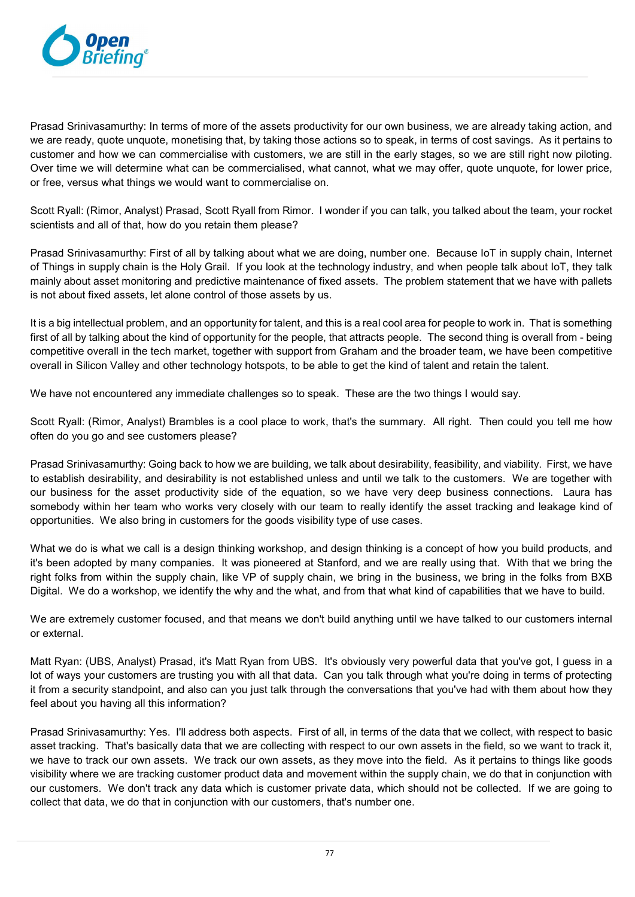

Prasad Srinivasamurthy: In terms of more of the assets productivity for our own business, we are already taking action, and we are ready, quote unquote, monetising that, by taking those actions so to speak, in terms of cost savings. As it pertains to customer and how we can commercialise with customers, we are still in the early stages, so we are still right now piloting. Over time we will determine what can be commercialised, what cannot, what we may offer, quote unquote, for lower price, or free, versus what things we would want to commercialise on.

Scott Ryall: (Rimor, Analyst) Prasad, Scott Ryall from Rimor. I wonder if you can talk, you talked about the team, your rocket scientists and all of that, how do you retain them please?

Prasad Srinivasamurthy: First of all by talking about what we are doing, number one. Because IoT in supply chain, Internet of Things in supply chain is the Holy Grail. If you look at the technology industry, and when people talk about IoT, they talk mainly about asset monitoring and predictive maintenance of fixed assets. The problem statement that we have with pallets is not about fixed assets, let alone control of those assets by us.

It is a big intellectual problem, and an opportunity for talent, and this is a real cool area for people to work in. That is something first of all by talking about the kind of opportunity for the people, that attracts people. The second thing is overall from - being competitive overall in the tech market, together with support from Graham and the broader team, we have been competitive overall in Silicon Valley and other technology hotspots, to be able to get the kind of talent and retain the talent.

We have not encountered any immediate challenges so to speak. These are the two things I would say.

Scott Ryall: (Rimor, Analyst) Brambles is a cool place to work, that's the summary. All right. Then could you tell me how often do you go and see customers please?

Prasad Srinivasamurthy: Going back to how we are building, we talk about desirability, feasibility, and viability. First, we have to establish desirability, and desirability is not established unless and until we talk to the customers. We are together with our business for the asset productivity side of the equation, so we have very deep business connections. Laura has somebody within her team who works very closely with our team to really identify the asset tracking and leakage kind of opportunities. We also bring in customers for the goods visibility type of use cases.

What we do is what we call is a design thinking workshop, and design thinking is a concept of how you build products, and it's been adopted by many companies. It was pioneered at Stanford, and we are really using that. With that we bring the right folks from within the supply chain, like VP of supply chain, we bring in the business, we bring in the folks from BXB Digital. We do a workshop, we identify the why and the what, and from that what kind of capabilities that we have to build.

We are extremely customer focused, and that means we don't build anything until we have talked to our customers internal or external.

Matt Ryan: (UBS, Analyst) Prasad, it's Matt Ryan from UBS. It's obviously very powerful data that you've got, I guess in a lot of ways your customers are trusting you with all that data. Can you talk through what you're doing in terms of protecting it from a security standpoint, and also can you just talk through the conversations that you've had with them about how they feel about you having all this information?

Prasad Srinivasamurthy: Yes. I'll address both aspects. First of all, in terms of the data that we collect, with respect to basic asset tracking. That's basically data that we are collecting with respect to our own assets in the field, so we want to track it, we have to track our own assets. We track our own assets, as they move into the field. As it pertains to things like goods visibility where we are tracking customer product data and movement within the supply chain, we do that in conjunction with our customers. We don't track any data which is customer private data, which should not be collected. If we are going to collect that data, we do that in conjunction with our customers, that's number one.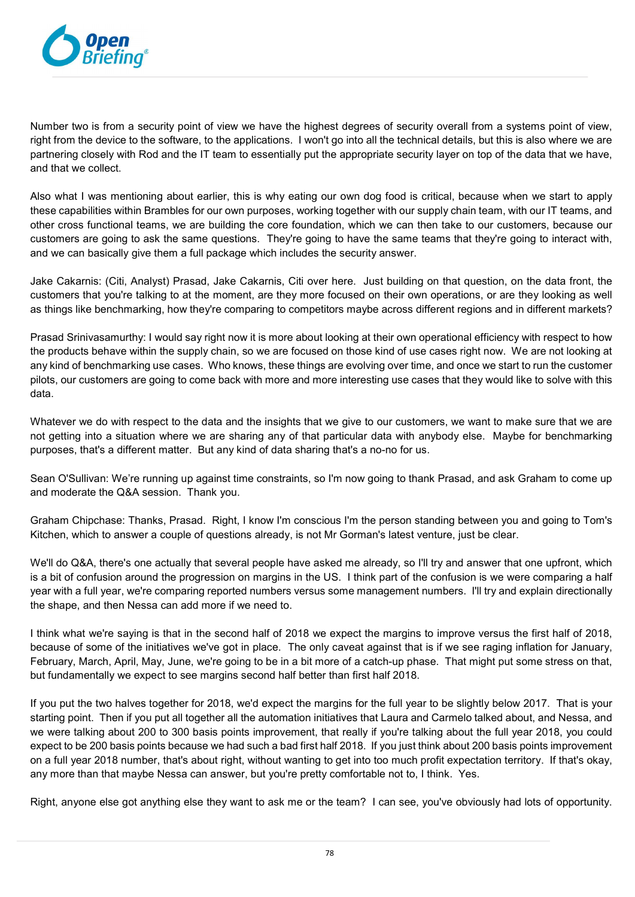

Number two is from a security point of view we have the highest degrees of security overall from a systems point of view, right from the device to the software, to the applications. I won't go into all the technical details, but this is also where we are partnering closely with Rod and the IT team to essentially put the appropriate security layer on top of the data that we have, and that we collect.

Also what I was mentioning about earlier, this is why eating our own dog food is critical, because when we start to apply these capabilities within Brambles for our own purposes, working together with our supply chain team, with our IT teams, and other cross functional teams, we are building the core foundation, which we can then take to our customers, because our customers are going to ask the same questions. They're going to have the same teams that they're going to interact with, and we can basically give them a full package which includes the security answer.

Jake Cakarnis: (Citi, Analyst) Prasad, Jake Cakarnis, Citi over here. Just building on that question, on the data front, the customers that you're talking to at the moment, are they more focused on their own operations, or are they looking as well as things like benchmarking, how they're comparing to competitors maybe across different regions and in different markets?

Prasad Srinivasamurthy: I would say right now it is more about looking at their own operational efficiency with respect to how the products behave within the supply chain, so we are focused on those kind of use cases right now. We are not looking at any kind of benchmarking use cases. Who knows, these things are evolving over time, and once we start to run the customer pilots, our customers are going to come back with more and more interesting use cases that they would like to solve with this data.

Whatever we do with respect to the data and the insights that we give to our customers, we want to make sure that we are not getting into a situation where we are sharing any of that particular data with anybody else. Maybe for benchmarking purposes, that's a different matter. But any kind of data sharing that's a no-no for us.

Sean O'Sullivan: We're running up against time constraints, so I'm now going to thank Prasad, and ask Graham to come up and moderate the Q&A session. Thank you.

Graham Chipchase: Thanks, Prasad. Right, I know I'm conscious I'm the person standing between you and going to Tom's Kitchen, which to answer a couple of questions already, is not Mr Gorman's latest venture, just be clear.

We'll do Q&A, there's one actually that several people have asked me already, so I'll try and answer that one upfront, which is a bit of confusion around the progression on margins in the US. I think part of the confusion is we were comparing a half year with a full year, we're comparing reported numbers versus some management numbers. I'll try and explain directionally the shape, and then Nessa can add more if we need to.

I think what we're saying is that in the second half of 2018 we expect the margins to improve versus the first half of 2018, because of some of the initiatives we've got in place. The only caveat against that is if we see raging inflation for January, February, March, April, May, June, we're going to be in a bit more of a catch-up phase. That might put some stress on that, but fundamentally we expect to see margins second half better than first half 2018.

If you put the two halves together for 2018, we'd expect the margins for the full year to be slightly below 2017. That is your starting point. Then if you put all together all the automation initiatives that Laura and Carmelo talked about, and Nessa, and we were talking about 200 to 300 basis points improvement, that really if you're talking about the full year 2018, you could expect to be 200 basis points because we had such a bad first half 2018. If you just think about 200 basis points improvement on a full year 2018 number, that's about right, without wanting to get into too much profit expectation territory. If that's okay, any more than that maybe Nessa can answer, but you're pretty comfortable not to, I think. Yes.

Right, anyone else got anything else they want to ask me or the team? I can see, you've obviously had lots of opportunity.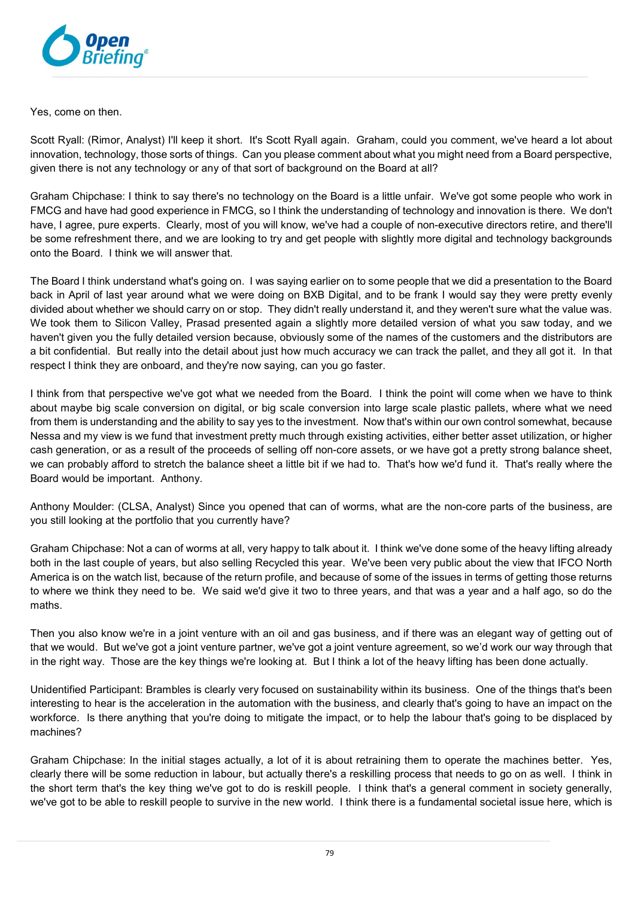

Yes, come on then.

Scott Ryall: (Rimor, Analyst) I'll keep it short. It's Scott Ryall again. Graham, could you comment, we've heard a lot about innovation, technology, those sorts of things. Can you please comment about what you might need from a Board perspective, given there is not any technology or any of that sort of background on the Board at all?

Graham Chipchase: I think to say there's no technology on the Board is a little unfair. We've got some people who work in FMCG and have had good experience in FMCG, so I think the understanding of technology and innovation is there. We don't have, I agree, pure experts. Clearly, most of you will know, we've had a couple of non-executive directors retire, and there'll be some refreshment there, and we are looking to try and get people with slightly more digital and technology backgrounds onto the Board. I think we will answer that.

The Board I think understand what's going on. I was saying earlier on to some people that we did a presentation to the Board back in April of last year around what we were doing on BXB Digital, and to be frank I would say they were pretty evenly divided about whether we should carry on or stop. They didn't really understand it, and they weren't sure what the value was. We took them to Silicon Valley, Prasad presented again a slightly more detailed version of what you saw today, and we haven't given you the fully detailed version because, obviously some of the names of the customers and the distributors are a bit confidential. But really into the detail about just how much accuracy we can track the pallet, and they all got it. In that respect I think they are onboard, and they're now saying, can you go faster.

I think from that perspective we've got what we needed from the Board. I think the point will come when we have to think about maybe big scale conversion on digital, or big scale conversion into large scale plastic pallets, where what we need from them is understanding and the ability to say yes to the investment. Now that's within our own control somewhat, because Nessa and my view is we fund that investment pretty much through existing activities, either better asset utilization, or higher cash generation, or as a result of the proceeds of selling off non-core assets, or we have got a pretty strong balance sheet, we can probably afford to stretch the balance sheet a little bit if we had to. That's how we'd fund it. That's really where the Board would be important. Anthony.

Anthony Moulder: (CLSA, Analyst) Since you opened that can of worms, what are the non-core parts of the business, are you still looking at the portfolio that you currently have?

Graham Chipchase: Not a can of worms at all, very happy to talk about it. I think we've done some of the heavy lifting already both in the last couple of years, but also selling Recycled this year. We've been very public about the view that IFCO North America is on the watch list, because of the return profile, and because of some of the issues in terms of getting those returns to where we think they need to be. We said we'd give it two to three years, and that was a year and a half ago, so do the maths.

Then you also know we're in a joint venture with an oil and gas business, and if there was an elegant way of getting out of that we would. But we've got a joint venture partner, we've got a joint venture agreement, so we'd work our way through that in the right way. Those are the key things we're looking at. But I think a lot of the heavy lifting has been done actually.

Unidentified Participant: Brambles is clearly very focused on sustainability within its business. One of the things that's been interesting to hear is the acceleration in the automation with the business, and clearly that's going to have an impact on the workforce. Is there anything that you're doing to mitigate the impact, or to help the labour that's going to be displaced by machines?

Graham Chipchase: In the initial stages actually, a lot of it is about retraining them to operate the machines better. Yes, clearly there will be some reduction in labour, but actually there's a reskilling process that needs to go on as well. I think in the short term that's the key thing we've got to do is reskill people. I think that's a general comment in society generally, we've got to be able to reskill people to survive in the new world. I think there is a fundamental societal issue here, which is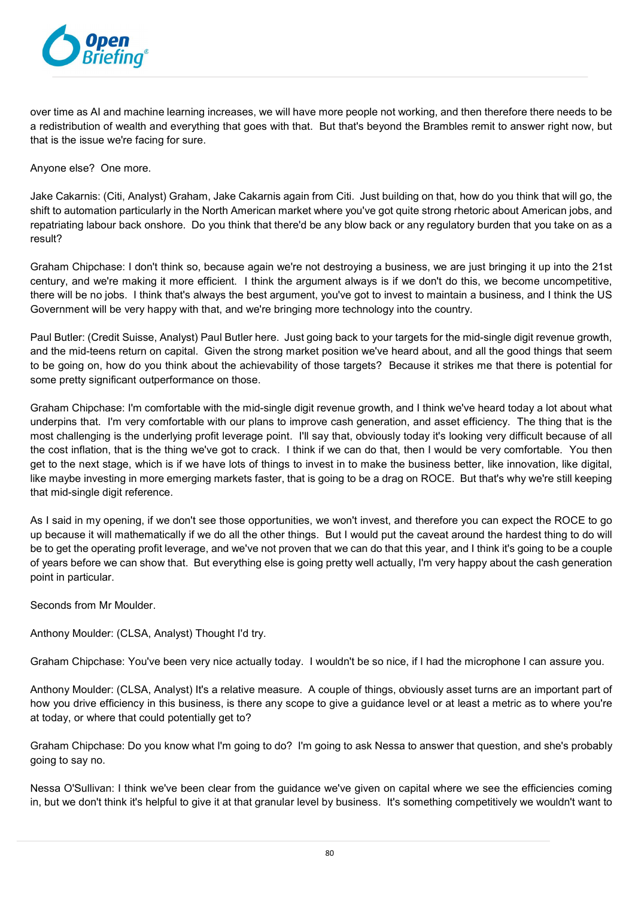

over time as AI and machine learning increases, we will have more people not working, and then therefore there needs to be a redistribution of wealth and everything that goes with that. But that's beyond the Brambles remit to answer right now, but that is the issue we're facing for sure.

Anyone else? One more.

Jake Cakarnis: (Citi, Analyst) Graham, Jake Cakarnis again from Citi. Just building on that, how do you think that will go, the shift to automation particularly in the North American market where you've got quite strong rhetoric about American jobs, and repatriating labour back onshore. Do you think that there'd be any blow back or any regulatory burden that you take on as a result?

Graham Chipchase: I don't think so, because again we're not destroying a business, we are just bringing it up into the 21st century, and we're making it more efficient. I think the argument always is if we don't do this, we become uncompetitive, there will be no jobs. I think that's always the best argument, you've got to invest to maintain a business, and I think the US Government will be very happy with that, and we're bringing more technology into the country.

Paul Butler: (Credit Suisse, Analyst) Paul Butler here. Just going back to your targets for the mid-single digit revenue growth, and the mid-teens return on capital. Given the strong market position we've heard about, and all the good things that seem to be going on, how do you think about the achievability of those targets? Because it strikes me that there is potential for some pretty significant outperformance on those.

Graham Chipchase: I'm comfortable with the mid-single digit revenue growth, and I think we've heard today a lot about what underpins that. I'm very comfortable with our plans to improve cash generation, and asset efficiency. The thing that is the most challenging is the underlying profit leverage point. I'll say that, obviously today it's looking very difficult because of all the cost inflation, that is the thing we've got to crack. I think if we can do that, then I would be very comfortable. You then get to the next stage, which is if we have lots of things to invest in to make the business better, like innovation, like digital, like maybe investing in more emerging markets faster, that is going to be a drag on ROCE. But that's why we're still keeping that mid-single digit reference.

As I said in my opening, if we don't see those opportunities, we won't invest, and therefore you can expect the ROCE to go up because it will mathematically if we do all the other things. But I would put the caveat around the hardest thing to do will be to get the operating profit leverage, and we've not proven that we can do that this year, and I think it's going to be a couple of years before we can show that. But everything else is going pretty well actually, I'm very happy about the cash generation point in particular.

Seconds from Mr Moulder.

Anthony Moulder: (CLSA, Analyst) Thought I'd try.

Graham Chipchase: You've been very nice actually today. I wouldn't be so nice, if I had the microphone I can assure you.

Anthony Moulder: (CLSA, Analyst) It's a relative measure. A couple of things, obviously asset turns are an important part of how you drive efficiency in this business, is there any scope to give a guidance level or at least a metric as to where you're at today, or where that could potentially get to?

Graham Chipchase: Do you know what I'm going to do? I'm going to ask Nessa to answer that question, and she's probably going to say no.

Nessa O'Sullivan: I think we've been clear from the guidance we've given on capital where we see the efficiencies coming in, but we don't think it's helpful to give it at that granular level by business. It's something competitively we wouldn't want to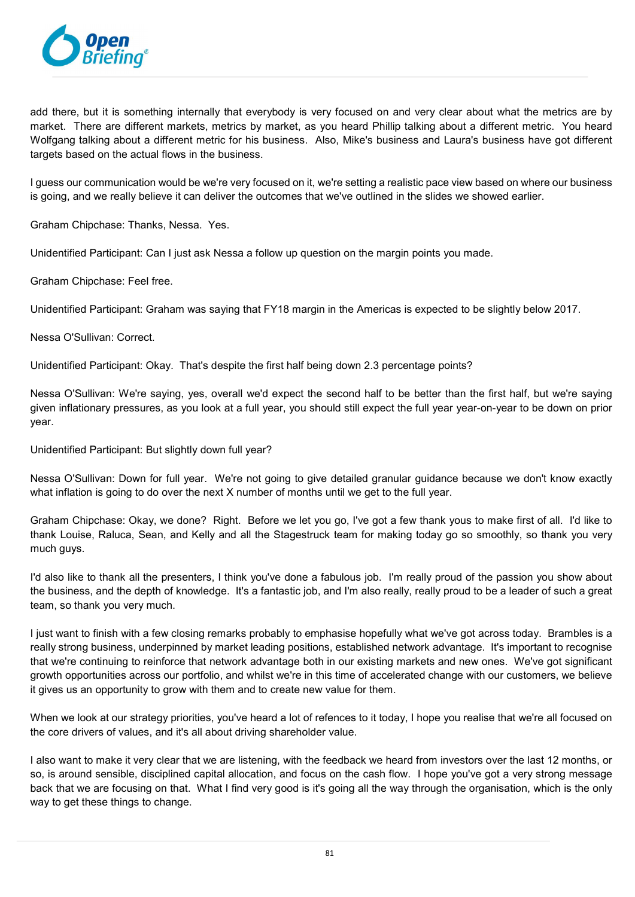

add there, but it is something internally that everybody is very focused on and very clear about what the metrics are by market. There are different markets, metrics by market, as you heard Phillip talking about a different metric. You heard Wolfgang talking about a different metric for his business. Also, Mike's business and Laura's business have got different targets based on the actual flows in the business.

I guess our communication would be we're very focused on it, we're setting a realistic pace view based on where our business is going, and we really believe it can deliver the outcomes that we've outlined in the slides we showed earlier.

Graham Chipchase: Thanks, Nessa. Yes.

Unidentified Participant: Can I just ask Nessa a follow up question on the margin points you made.

Graham Chipchase: Feel free.

Unidentified Participant: Graham was saying that FY18 margin in the Americas is expected to be slightly below 2017.

Nessa O'Sullivan: Correct.

Unidentified Participant: Okay. That's despite the first half being down 2.3 percentage points?

Nessa O'Sullivan: We're saying, yes, overall we'd expect the second half to be better than the first half, but we're saying given inflationary pressures, as you look at a full year, you should still expect the full year year-on-year to be down on prior year.

Unidentified Participant: But slightly down full year?

Nessa O'Sullivan: Down for full year. We're not going to give detailed granular guidance because we don't know exactly what inflation is going to do over the next X number of months until we get to the full year.

Graham Chipchase: Okay, we done? Right. Before we let you go, I've got a few thank yous to make first of all. I'd like to thank Louise, Raluca, Sean, and Kelly and all the Stagestruck team for making today go so smoothly, so thank you very much guys.

I'd also like to thank all the presenters, I think you've done a fabulous job. I'm really proud of the passion you show about the business, and the depth of knowledge. It's a fantastic job, and I'm also really, really proud to be a leader of such a great team, so thank you very much.

I just want to finish with a few closing remarks probably to emphasise hopefully what we've got across today. Brambles is a really strong business, underpinned by market leading positions, established network advantage. It's important to recognise that we're continuing to reinforce that network advantage both in our existing markets and new ones. We've got significant growth opportunities across our portfolio, and whilst we're in this time of accelerated change with our customers, we believe it gives us an opportunity to grow with them and to create new value for them.

When we look at our strategy priorities, you've heard a lot of refences to it today, I hope you realise that we're all focused on the core drivers of values, and it's all about driving shareholder value.

I also want to make it very clear that we are listening, with the feedback we heard from investors over the last 12 months, or so, is around sensible, disciplined capital allocation, and focus on the cash flow. I hope you've got a very strong message back that we are focusing on that. What I find very good is it's going all the way through the organisation, which is the only way to get these things to change.